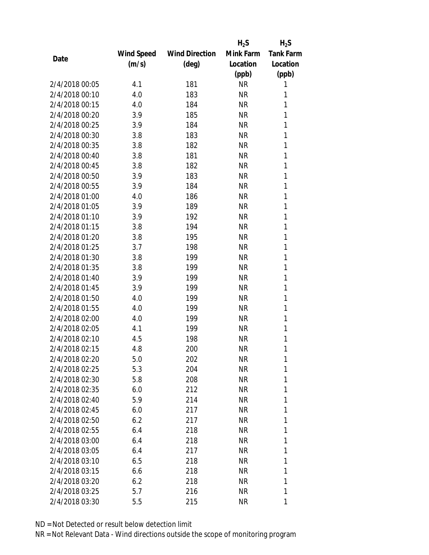|                |            |                       | $H_2S$    | $H_2S$           |
|----------------|------------|-----------------------|-----------|------------------|
|                | Wind Speed | <b>Wind Direction</b> | Mink Farm | <b>Tank Farm</b> |
| Date           | (m/s)      | (deg)                 | Location  | Location         |
|                |            |                       | (ppb)     | (ppb)            |
| 2/4/2018 00:05 | 4.1        | 181                   | <b>NR</b> | 1                |
| 2/4/2018 00:10 | 4.0        | 183                   | <b>NR</b> | 1                |
| 2/4/2018 00:15 | 4.0        | 184                   | <b>NR</b> | 1                |
| 2/4/2018 00:20 | 3.9        | 185                   | <b>NR</b> | 1                |
| 2/4/2018 00:25 | 3.9        | 184                   | <b>NR</b> | 1                |
| 2/4/2018 00:30 | 3.8        | 183                   | <b>NR</b> | 1                |
| 2/4/2018 00:35 | 3.8        | 182                   | <b>NR</b> | 1                |
| 2/4/2018 00:40 | 3.8        | 181                   | <b>NR</b> | 1                |
| 2/4/2018 00:45 | 3.8        | 182                   | <b>NR</b> | 1                |
| 2/4/2018 00:50 | 3.9        | 183                   | <b>NR</b> | 1                |
| 2/4/2018 00:55 | 3.9        | 184                   | <b>NR</b> | 1                |
| 2/4/2018 01:00 | 4.0        | 186                   | <b>NR</b> | 1                |
| 2/4/2018 01:05 | 3.9        | 189                   | <b>NR</b> | 1                |
| 2/4/2018 01:10 | 3.9        | 192                   | <b>NR</b> | 1                |
| 2/4/2018 01:15 | 3.8        | 194                   | <b>NR</b> | 1                |
| 2/4/2018 01:20 | 3.8        | 195                   | <b>NR</b> | 1                |
| 2/4/2018 01:25 | 3.7        | 198                   | <b>NR</b> | 1                |
| 2/4/2018 01:30 | 3.8        | 199                   | <b>NR</b> | 1                |
| 2/4/2018 01:35 | 3.8        | 199                   | <b>NR</b> | 1                |
| 2/4/2018 01:40 | 3.9        | 199                   | <b>NR</b> | 1                |
| 2/4/2018 01:45 | 3.9        | 199                   | <b>NR</b> | 1                |
| 2/4/2018 01:50 | 4.0        | 199                   | <b>NR</b> | 1                |
| 2/4/2018 01:55 | 4.0        | 199                   | <b>NR</b> | 1                |
| 2/4/2018 02:00 | 4.0        | 199                   | <b>NR</b> | 1                |
| 2/4/2018 02:05 | 4.1        | 199                   | <b>NR</b> | 1                |
| 2/4/2018 02:10 | 4.5        | 198                   | <b>NR</b> | 1                |
| 2/4/2018 02:15 | 4.8        | 200                   | <b>NR</b> | 1                |
| 2/4/2018 02:20 | 5.0        | 202                   | ΝR        | 1                |
| 2/4/2018 02:25 | 5.3        | 204                   | <b>NR</b> | 1                |
| 2/4/2018 02:30 | 5.8        | 208                   | NR        | 1                |
| 2/4/2018 02:35 | 6.0        | 212                   | <b>NR</b> | 1                |
| 2/4/2018 02:40 | 5.9        | 214                   | <b>NR</b> | 1                |
| 2/4/2018 02:45 | 6.0        | 217                   | NR        | 1                |
| 2/4/2018 02:50 | 6.2        | 217                   | <b>NR</b> | 1                |
| 2/4/2018 02:55 | 6.4        | 218                   | NR        | 1                |
| 2/4/2018 03:00 | 6.4        | 218                   | <b>NR</b> | 1                |
| 2/4/2018 03:05 | 6.4        | 217                   | NR        | 1                |
| 2/4/2018 03:10 | 6.5        | 218                   | NR        | 1                |
| 2/4/2018 03:15 | 6.6        | 218                   | <b>NR</b> | 1                |
| 2/4/2018 03:20 | 6.2        | 218                   | NR        | 1                |
| 2/4/2018 03:25 | 5.7        | 216                   | <b>NR</b> | 1                |
| 2/4/2018 03:30 | 5.5        | 215                   | <b>NR</b> | 1                |
|                |            |                       |           |                  |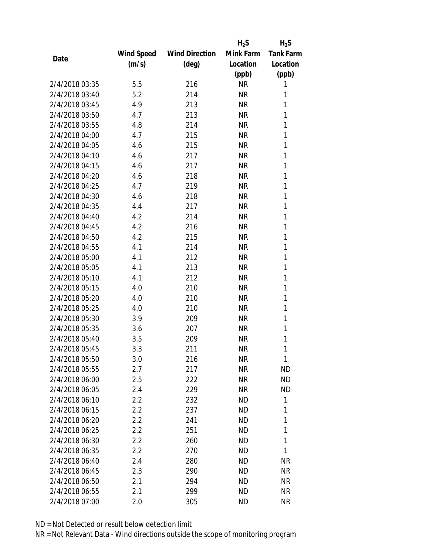|                |            |                       | $H_2S$    | $H_2S$           |
|----------------|------------|-----------------------|-----------|------------------|
|                | Wind Speed | <b>Wind Direction</b> | Mink Farm | <b>Tank Farm</b> |
| Date           | (m/s)      | (deg)                 | Location  | Location         |
|                |            |                       | (ppb)     | (ppb)            |
| 2/4/2018 03:35 | 5.5        | 216                   | <b>NR</b> | 1                |
| 2/4/2018 03:40 | 5.2        | 214                   | <b>NR</b> | 1                |
| 2/4/2018 03:45 | 4.9        | 213                   | <b>NR</b> | 1                |
| 2/4/2018 03:50 | 4.7        | 213                   | <b>NR</b> | 1                |
| 2/4/2018 03:55 | 4.8        | 214                   | <b>NR</b> | 1                |
| 2/4/2018 04:00 | 4.7        | 215                   | <b>NR</b> | 1                |
| 2/4/2018 04:05 | 4.6        | 215                   | <b>NR</b> | 1                |
| 2/4/2018 04:10 | 4.6        | 217                   | <b>NR</b> | 1                |
| 2/4/2018 04:15 | 4.6        | 217                   | <b>NR</b> | 1                |
| 2/4/2018 04:20 | 4.6        | 218                   | <b>NR</b> | 1                |
| 2/4/2018 04:25 | 4.7        | 219                   | <b>NR</b> | 1                |
| 2/4/2018 04:30 | 4.6        | 218                   | <b>NR</b> | 1                |
| 2/4/2018 04:35 | 4.4        | 217                   | <b>NR</b> | 1                |
| 2/4/2018 04:40 | 4.2        | 214                   | <b>NR</b> | 1                |
| 2/4/2018 04:45 | 4.2        | 216                   | <b>NR</b> | 1                |
| 2/4/2018 04:50 | 4.2        | 215                   | <b>NR</b> | 1                |
| 2/4/2018 04:55 | 4.1        | 214                   | <b>NR</b> | 1                |
| 2/4/2018 05:00 | 4.1        | 212                   | <b>NR</b> | 1                |
| 2/4/2018 05:05 | 4.1        | 213                   | <b>NR</b> | 1                |
| 2/4/2018 05:10 | 4.1        | 212                   | <b>NR</b> | 1                |
| 2/4/2018 05:15 | 4.0        | 210                   | <b>NR</b> | 1                |
| 2/4/2018 05:20 | 4.0        | 210                   | <b>NR</b> | 1                |
| 2/4/2018 05:25 | 4.0        | 210                   | <b>NR</b> | 1                |
| 2/4/2018 05:30 | 3.9        | 209                   | <b>NR</b> | 1                |
| 2/4/2018 05:35 | 3.6        | 207                   | <b>NR</b> | 1                |
| 2/4/2018 05:40 | 3.5        | 209                   | <b>NR</b> | 1                |
| 2/4/2018 05:45 | 3.3        | 211                   | <b>NR</b> | 1                |
| 2/4/2018 05:50 | 3.0        | 216                   | ΝR        | 1                |
| 2/4/2018 05:55 | 2.7        | 217                   | <b>NR</b> | <b>ND</b>        |
| 2/4/2018 06:00 | 2.5        | 222                   | <b>NR</b> | <b>ND</b>        |
| 2/4/2018 06:05 | 2.4        | 229                   | <b>NR</b> | <b>ND</b>        |
| 2/4/2018 06:10 | 2.2        | 232                   | <b>ND</b> | 1                |
| 2/4/2018 06:15 | 2.2        | 237                   | ND        | 1                |
| 2/4/2018 06:20 | 2.2        | 241                   | <b>ND</b> | 1                |
| 2/4/2018 06:25 | $2.2\,$    | 251                   | ND        | 1                |
| 2/4/2018 06:30 | 2.2        | 260                   | ND        | 1                |
| 2/4/2018 06:35 | 2.2        | 270                   | <b>ND</b> | 1                |
| 2/4/2018 06:40 | 2.4        | 280                   | ND        | <b>NR</b>        |
| 2/4/2018 06:45 | 2.3        | 290                   | <b>ND</b> | <b>NR</b>        |
| 2/4/2018 06:50 | 2.1        | 294                   | ND        | <b>NR</b>        |
| 2/4/2018 06:55 | 2.1        | 299                   | <b>ND</b> | <b>NR</b>        |
| 2/4/2018 07:00 | 2.0        | 305                   | <b>ND</b> | <b>NR</b>        |
|                |            |                       |           |                  |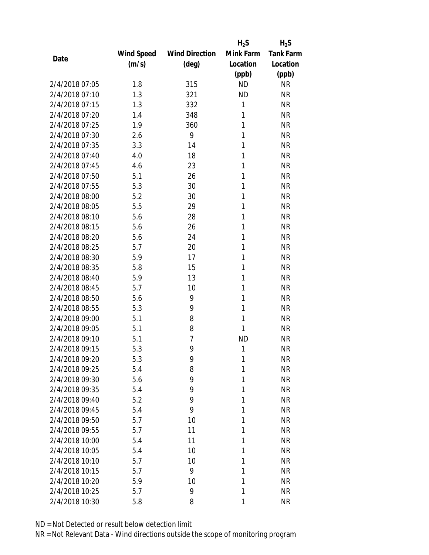|                |            |                       | $H_2S$    | $H_2S$           |
|----------------|------------|-----------------------|-----------|------------------|
|                | Wind Speed | <b>Wind Direction</b> | Mink Farm | <b>Tank Farm</b> |
| Date           | (m/s)      | $(\text{deg})$        | Location  | Location         |
|                |            |                       | (ppb)     | (ppb)            |
| 2/4/2018 07:05 | 1.8        | 315                   | <b>ND</b> | <b>NR</b>        |
| 2/4/2018 07:10 | 1.3        | 321                   | <b>ND</b> | <b>NR</b>        |
| 2/4/2018 07:15 | 1.3        | 332                   | 1         | <b>NR</b>        |
| 2/4/2018 07:20 | 1.4        | 348                   | 1         | <b>NR</b>        |
| 2/4/2018 07:25 | 1.9        | 360                   | 1         | <b>NR</b>        |
| 2/4/2018 07:30 | 2.6        | 9                     | 1         | <b>NR</b>        |
| 2/4/2018 07:35 | 3.3        | 14                    | 1         | <b>NR</b>        |
| 2/4/2018 07:40 | 4.0        | 18                    | 1         | <b>NR</b>        |
| 2/4/2018 07:45 | 4.6        | 23                    | 1         | <b>NR</b>        |
| 2/4/2018 07:50 | 5.1        | 26                    | 1         | <b>NR</b>        |
| 2/4/2018 07:55 | 5.3        | 30                    | 1         | <b>NR</b>        |
| 2/4/2018 08:00 | 5.2        | 30                    | 1         | <b>NR</b>        |
| 2/4/2018 08:05 | 5.5        | 29                    | 1         | <b>NR</b>        |
| 2/4/2018 08:10 | 5.6        | 28                    | 1         | <b>NR</b>        |
| 2/4/2018 08:15 | 5.6        | 26                    | 1         | <b>NR</b>        |
| 2/4/2018 08:20 | 5.6        | 24                    | 1         | <b>NR</b>        |
| 2/4/2018 08:25 | 5.7        | 20                    | 1         | <b>NR</b>        |
| 2/4/2018 08:30 | 5.9        | 17                    | 1         | <b>NR</b>        |
| 2/4/2018 08:35 | 5.8        | 15                    | 1         | <b>NR</b>        |
| 2/4/2018 08:40 | 5.9        | 13                    | 1         | <b>NR</b>        |
| 2/4/2018 08:45 | 5.7        | 10                    | 1         | <b>NR</b>        |
| 2/4/2018 08:50 | 5.6        | 9                     | 1         | <b>NR</b>        |
| 2/4/2018 08:55 | 5.3        | 9                     | 1         | <b>NR</b>        |
| 2/4/2018 09:00 | 5.1        | 8                     | 1         | <b>NR</b>        |
| 2/4/2018 09:05 | 5.1        | 8                     | 1         | <b>NR</b>        |
| 2/4/2018 09:10 | 5.1        | 7                     | <b>ND</b> | <b>NR</b>        |
| 2/4/2018 09:15 | 5.3        | 9                     | 1         | <b>NR</b>        |
| 2/4/2018 09:20 | 5.3        | 9                     | 1         | <b>NR</b>        |
| 2/4/2018 09:25 | 5.4        | 8                     | 1         | <b>NR</b>        |
| 2/4/2018 09:30 | 5.6        | 9                     | 1         | <b>NR</b>        |
| 2/4/2018 09:35 | 5.4        | 9                     | 1         | <b>NR</b>        |
| 2/4/2018 09:40 | 5.2        | 9                     | 1         | <b>NR</b>        |
| 2/4/2018 09:45 | 5.4        | 9                     | 1         | <b>NR</b>        |
| 2/4/2018 09:50 | 5.7        | 10                    | 1         | <b>NR</b>        |
| 2/4/2018 09:55 | 5.7        | 11                    | 1         | <b>NR</b>        |
| 2/4/2018 10:00 | 5.4        | 11                    | 1         | <b>NR</b>        |
| 2/4/2018 10:05 | 5.4        | 10                    | 1         | <b>NR</b>        |
| 2/4/2018 10:10 | 5.7        | 10                    | 1         | <b>NR</b>        |
| 2/4/2018 10:15 | 5.7        | 9                     | 1         | <b>NR</b>        |
| 2/4/2018 10:20 | 5.9        | 10                    | 1         | <b>NR</b>        |
| 2/4/2018 10:25 | 5.7        | 9                     | 1         | <b>NR</b>        |
| 2/4/2018 10:30 | 5.8        | 8                     | 1         | <b>NR</b>        |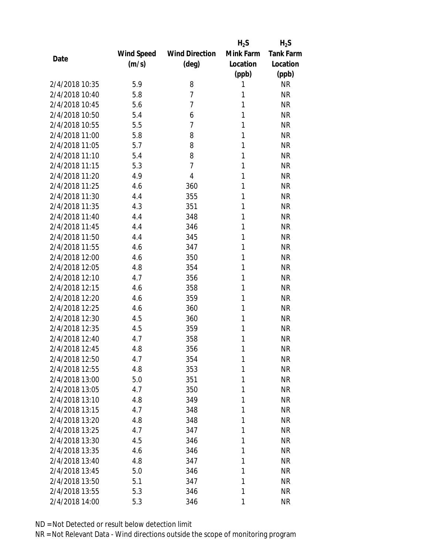|                |            |                       | $H_2S$    | $H_2S$           |
|----------------|------------|-----------------------|-----------|------------------|
|                | Wind Speed | <b>Wind Direction</b> | Mink Farm | <b>Tank Farm</b> |
| Date           | (m/s)      | $(\text{deg})$        | Location  | Location         |
|                |            |                       | (ppb)     | (ppb)            |
| 2/4/2018 10:35 | 5.9        | 8                     | 1         | <b>NR</b>        |
| 2/4/2018 10:40 | 5.8        | $\overline{7}$        | 1         | <b>NR</b>        |
| 2/4/2018 10:45 | 5.6        | $\overline{7}$        | 1         | <b>NR</b>        |
| 2/4/2018 10:50 | 5.4        | 6                     | 1         | <b>NR</b>        |
| 2/4/2018 10:55 | 5.5        | $\overline{7}$        | 1         | <b>NR</b>        |
| 2/4/2018 11:00 | 5.8        | 8                     | 1         | <b>NR</b>        |
| 2/4/2018 11:05 | 5.7        | 8                     | 1         | <b>NR</b>        |
| 2/4/2018 11:10 | 5.4        | 8                     | 1         | <b>NR</b>        |
| 2/4/2018 11:15 | 5.3        | $\overline{7}$        | 1         | <b>NR</b>        |
| 2/4/2018 11:20 | 4.9        | $\overline{4}$        | 1         | <b>NR</b>        |
| 2/4/2018 11:25 | 4.6        | 360                   | 1         | <b>NR</b>        |
| 2/4/2018 11:30 | 4.4        | 355                   | 1         | <b>NR</b>        |
| 2/4/2018 11:35 | 4.3        | 351                   | 1         | <b>NR</b>        |
| 2/4/2018 11:40 | 4.4        | 348                   | 1         | <b>NR</b>        |
| 2/4/2018 11:45 | 4.4        | 346                   | 1         | <b>NR</b>        |
| 2/4/2018 11:50 | 4.4        | 345                   | 1         | <b>NR</b>        |
| 2/4/2018 11:55 | 4.6        | 347                   | 1         | <b>NR</b>        |
| 2/4/2018 12:00 | 4.6        | 350                   | 1         | <b>NR</b>        |
| 2/4/2018 12:05 | 4.8        | 354                   | 1         | <b>NR</b>        |
| 2/4/2018 12:10 | 4.7        | 356                   | 1         | <b>NR</b>        |
| 2/4/2018 12:15 | 4.6        | 358                   | 1         | <b>NR</b>        |
| 2/4/2018 12:20 | 4.6        | 359                   | 1         | <b>NR</b>        |
| 2/4/2018 12:25 | 4.6        | 360                   | 1         | <b>NR</b>        |
| 2/4/2018 12:30 | 4.5        | 360                   | 1         | <b>NR</b>        |
| 2/4/2018 12:35 | 4.5        | 359                   | 1         | <b>NR</b>        |
| 2/4/2018 12:40 | 4.7        | 358                   | 1         | <b>NR</b>        |
| 2/4/2018 12:45 | 4.8        | 356                   | 1         | <b>NR</b>        |
| 2/4/2018 12:50 | 4.7        | 354                   | 1         | <b>NR</b>        |
| 2/4/2018 12:55 | 4.8        | 353                   | 1         | <b>NR</b>        |
| 2/4/2018 13:00 | 5.0        | 351                   | 1         | <b>NR</b>        |
| 2/4/2018 13:05 | 4.7        | 350                   | 1         | <b>NR</b>        |
| 2/4/2018 13:10 | 4.8        | 349                   | 1         | <b>NR</b>        |
| 2/4/2018 13:15 | 4.7        | 348                   | 1         | <b>NR</b>        |
| 2/4/2018 13:20 | 4.8        | 348                   | 1         | <b>NR</b>        |
| 2/4/2018 13:25 | 4.7        | 347                   | 1         | <b>NR</b>        |
| 2/4/2018 13:30 | 4.5        |                       | 1         | <b>NR</b>        |
| 2/4/2018 13:35 | 4.6        | 346                   | 1         | <b>NR</b>        |
| 2/4/2018 13:40 |            | 346                   |           |                  |
|                | 4.8        | 347                   | 1         | <b>NR</b>        |
| 2/4/2018 13:45 | 5.0        | 346                   | 1         | <b>NR</b>        |
| 2/4/2018 13:50 | 5.1        | 347                   | 1         | <b>NR</b>        |
| 2/4/2018 13:55 | 5.3        | 346                   | 1         | <b>NR</b>        |
| 2/4/2018 14:00 | 5.3        | 346                   | 1         | <b>NR</b>        |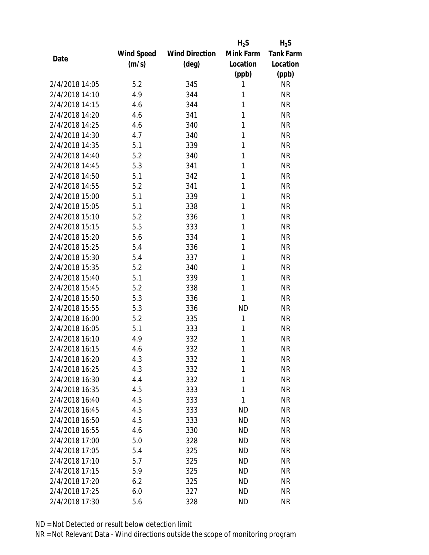|                |                   |                       | $H_2S$    | $H_2S$           |
|----------------|-------------------|-----------------------|-----------|------------------|
|                | <b>Wind Speed</b> | <b>Wind Direction</b> | Mink Farm | <b>Tank Farm</b> |
| Date           | (m/s)             | $(\text{deg})$        | Location  | Location         |
|                |                   |                       | (ppb)     | (ppb)            |
| 2/4/2018 14:05 | 5.2               | 345                   | 1         | <b>NR</b>        |
| 2/4/2018 14:10 | 4.9               | 344                   | 1         | <b>NR</b>        |
| 2/4/2018 14:15 | 4.6               | 344                   | 1         | <b>NR</b>        |
| 2/4/2018 14:20 | 4.6               | 341                   | 1         | <b>NR</b>        |
| 2/4/2018 14:25 | 4.6               | 340                   | 1         | <b>NR</b>        |
| 2/4/2018 14:30 | 4.7               | 340                   | 1         | <b>NR</b>        |
| 2/4/2018 14:35 | 5.1               | 339                   | 1         | <b>NR</b>        |
| 2/4/2018 14:40 | 5.2               | 340                   | 1         | <b>NR</b>        |
| 2/4/2018 14:45 | 5.3               | 341                   | 1         | <b>NR</b>        |
| 2/4/2018 14:50 | 5.1               | 342                   | 1         | <b>NR</b>        |
| 2/4/2018 14:55 | 5.2               | 341                   | 1         | <b>NR</b>        |
| 2/4/2018 15:00 | 5.1               | 339                   | 1         | <b>NR</b>        |
| 2/4/2018 15:05 | 5.1               | 338                   | 1         | <b>NR</b>        |
| 2/4/2018 15:10 | 5.2               | 336                   | 1         | <b>NR</b>        |
| 2/4/2018 15:15 | 5.5               | 333                   | 1         | <b>NR</b>        |
| 2/4/2018 15:20 | 5.6               | 334                   | 1         | <b>NR</b>        |
| 2/4/2018 15:25 | 5.4               | 336                   | 1         | <b>NR</b>        |
| 2/4/2018 15:30 | 5.4               | 337                   | 1         | <b>NR</b>        |
| 2/4/2018 15:35 | 5.2               | 340                   | 1         | <b>NR</b>        |
| 2/4/2018 15:40 | 5.1               | 339                   | 1         | <b>NR</b>        |
| 2/4/2018 15:45 | 5.2               | 338                   | 1         | <b>NR</b>        |
| 2/4/2018 15:50 | 5.3               | 336                   | 1         | <b>NR</b>        |
| 2/4/2018 15:55 | 5.3               | 336                   | <b>ND</b> | <b>NR</b>        |
| 2/4/2018 16:00 | 5.2               | 335                   | 1         | <b>NR</b>        |
| 2/4/2018 16:05 | 5.1               | 333                   | 1         | <b>NR</b>        |
| 2/4/2018 16:10 | 4.9               | 332                   | 1         | <b>NR</b>        |
| 2/4/2018 16:15 | 4.6               | 332                   | 1         | <b>NR</b>        |
| 2/4/2018 16:20 | 4.3               | 332                   | 1         | <b>NR</b>        |
| 2/4/2018 16:25 | 4.3               | 332                   | 1         | <b>NR</b>        |
| 2/4/2018 16:30 | 4.4               | 332                   | 1         | <b>NR</b>        |
| 2/4/2018 16:35 | 4.5               | 333                   | 1         | <b>NR</b>        |
| 2/4/2018 16:40 | 4.5               | 333                   | 1         | <b>NR</b>        |
| 2/4/2018 16:45 | 4.5               | 333                   | <b>ND</b> | <b>NR</b>        |
| 2/4/2018 16:50 | 4.5               | 333                   | <b>ND</b> | <b>NR</b>        |
| 2/4/2018 16:55 | 4.6               | 330                   | <b>ND</b> | <b>NR</b>        |
| 2/4/2018 17:00 | 5.0               | 328                   | <b>ND</b> | <b>NR</b>        |
| 2/4/2018 17:05 | 5.4               | 325                   | <b>ND</b> | <b>NR</b>        |
| 2/4/2018 17:10 | 5.7               | 325                   | ND        | <b>NR</b>        |
| 2/4/2018 17:15 | 5.9               | 325                   | <b>ND</b> | <b>NR</b>        |
| 2/4/2018 17:20 | 6.2               | 325                   | ND        | <b>NR</b>        |
| 2/4/2018 17:25 | 6.0               | 327                   | <b>ND</b> | <b>NR</b>        |
| 2/4/2018 17:30 | 5.6               | 328                   | <b>ND</b> | <b>NR</b>        |
|                |                   |                       |           |                  |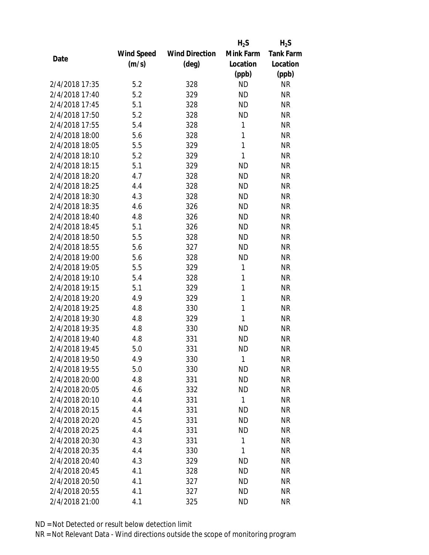|                |                   |                       | $H_2S$    | $H_2S$           |
|----------------|-------------------|-----------------------|-----------|------------------|
|                | <b>Wind Speed</b> | <b>Wind Direction</b> | Mink Farm | <b>Tank Farm</b> |
| Date           | (m/s)             | $(\text{deg})$        | Location  | Location         |
|                |                   |                       | (ppb)     | (ppb)            |
| 2/4/2018 17:35 | 5.2               | 328                   | <b>ND</b> | <b>NR</b>        |
| 2/4/2018 17:40 | 5.2               | 329                   | <b>ND</b> | <b>NR</b>        |
| 2/4/2018 17:45 | 5.1               | 328                   | <b>ND</b> | <b>NR</b>        |
| 2/4/2018 17:50 | 5.2               | 328                   | <b>ND</b> | <b>NR</b>        |
| 2/4/2018 17:55 | 5.4               | 328                   | 1         | <b>NR</b>        |
| 2/4/2018 18:00 | 5.6               | 328                   | 1         | <b>NR</b>        |
| 2/4/2018 18:05 | 5.5               | 329                   | 1         | <b>NR</b>        |
| 2/4/2018 18:10 | 5.2               | 329                   | 1         | <b>NR</b>        |
| 2/4/2018 18:15 | 5.1               | 329                   | <b>ND</b> | <b>NR</b>        |
| 2/4/2018 18:20 | 4.7               | 328                   | <b>ND</b> | <b>NR</b>        |
| 2/4/2018 18:25 | 4.4               | 328                   | <b>ND</b> | <b>NR</b>        |
| 2/4/2018 18:30 | 4.3               | 328                   | <b>ND</b> | <b>NR</b>        |
| 2/4/2018 18:35 | 4.6               | 326                   | <b>ND</b> | <b>NR</b>        |
| 2/4/2018 18:40 | 4.8               | 326                   | <b>ND</b> | <b>NR</b>        |
| 2/4/2018 18:45 | 5.1               | 326                   | <b>ND</b> | <b>NR</b>        |
| 2/4/2018 18:50 | 5.5               | 328                   | <b>ND</b> | <b>NR</b>        |
| 2/4/2018 18:55 | 5.6               | 327                   | <b>ND</b> | <b>NR</b>        |
| 2/4/2018 19:00 | 5.6               | 328                   | <b>ND</b> | <b>NR</b>        |
| 2/4/2018 19:05 | 5.5               | 329                   | 1         | <b>NR</b>        |
| 2/4/2018 19:10 | 5.4               | 328                   | 1         | <b>NR</b>        |
| 2/4/2018 19:15 | 5.1               | 329                   | 1         | <b>NR</b>        |
| 2/4/2018 19:20 | 4.9               | 329                   | 1         | <b>NR</b>        |
| 2/4/2018 19:25 | 4.8               | 330                   | 1         | <b>NR</b>        |
| 2/4/2018 19:30 | 4.8               | 329                   | 1         | <b>NR</b>        |
| 2/4/2018 19:35 | 4.8               | 330                   | <b>ND</b> | <b>NR</b>        |
| 2/4/2018 19:40 | 4.8               | 331                   | <b>ND</b> | <b>NR</b>        |
| 2/4/2018 19:45 | 5.0               | 331                   | <b>ND</b> | <b>NR</b>        |
| 2/4/2018 19:50 | 4.9               | 330                   | 1         | <b>NR</b>        |
| 2/4/2018 19:55 | 5.0               | 330                   | <b>ND</b> | <b>NR</b>        |
| 2/4/2018 20:00 | 4.8               | 331                   | <b>ND</b> | <b>NR</b>        |
| 2/4/2018 20:05 | 4.6               | 332                   | <b>ND</b> | <b>NR</b>        |
| 2/4/2018 20:10 | 4.4               | 331                   | 1         | <b>NR</b>        |
| 2/4/2018 20:15 | 4.4               | 331                   | <b>ND</b> | <b>NR</b>        |
| 2/4/2018 20:20 | 4.5               | 331                   | <b>ND</b> | <b>NR</b>        |
| 2/4/2018 20:25 | 4.4               | 331                   | <b>ND</b> | <b>NR</b>        |
| 2/4/2018 20:30 | 4.3               | 331                   | 1         | <b>NR</b>        |
| 2/4/2018 20:35 | 4.4               | 330                   | 1         | <b>NR</b>        |
| 2/4/2018 20:40 | 4.3               | 329                   | <b>ND</b> | <b>NR</b>        |
| 2/4/2018 20:45 | 4.1               | 328                   | <b>ND</b> | <b>NR</b>        |
| 2/4/2018 20:50 | 4.1               | 327                   | <b>ND</b> | <b>NR</b>        |
| 2/4/2018 20:55 | 4.1               | 327                   | <b>ND</b> | <b>NR</b>        |
| 2/4/2018 21:00 | 4.1               | 325                   | <b>ND</b> | <b>NR</b>        |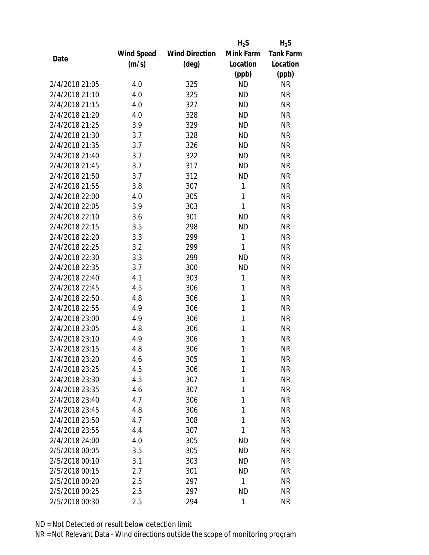|                |                   |                       | $H_2S$    | $H_2S$           |
|----------------|-------------------|-----------------------|-----------|------------------|
|                | <b>Wind Speed</b> | <b>Wind Direction</b> | Mink Farm | <b>Tank Farm</b> |
| Date           | (m/s)             | $(\text{deg})$        | Location  | Location         |
|                |                   |                       | (ppb)     | (ppb)            |
| 2/4/2018 21:05 | 4.0               | 325                   | <b>ND</b> | <b>NR</b>        |
| 2/4/2018 21:10 | 4.0               | 325                   | <b>ND</b> | <b>NR</b>        |
| 2/4/2018 21:15 | 4.0               | 327                   | <b>ND</b> | <b>NR</b>        |
| 2/4/2018 21:20 | 4.0               | 328                   | <b>ND</b> | <b>NR</b>        |
| 2/4/2018 21:25 | 3.9               | 329                   | <b>ND</b> | <b>NR</b>        |
| 2/4/2018 21:30 | 3.7               | 328                   | <b>ND</b> | <b>NR</b>        |
| 2/4/2018 21:35 | 3.7               | 326                   | <b>ND</b> | <b>NR</b>        |
| 2/4/2018 21:40 | 3.7               | 322                   | <b>ND</b> | <b>NR</b>        |
| 2/4/2018 21:45 | 3.7               | 317                   | <b>ND</b> | <b>NR</b>        |
| 2/4/2018 21:50 | 3.7               | 312                   | <b>ND</b> | <b>NR</b>        |
| 2/4/2018 21:55 | 3.8               | 307                   | 1         | <b>NR</b>        |
| 2/4/2018 22:00 | 4.0               | 305                   | 1         | <b>NR</b>        |
| 2/4/2018 22:05 | 3.9               | 303                   | 1         | <b>NR</b>        |
| 2/4/2018 22:10 | 3.6               | 301                   | <b>ND</b> | <b>NR</b>        |
| 2/4/2018 22:15 | 3.5               | 298                   | <b>ND</b> | <b>NR</b>        |
| 2/4/2018 22:20 | 3.3               | 299                   | 1         | <b>NR</b>        |
| 2/4/2018 22:25 | 3.2               | 299                   | 1         | <b>NR</b>        |
| 2/4/2018 22:30 | 3.3               | 299                   | <b>ND</b> | <b>NR</b>        |
| 2/4/2018 22:35 | 3.7               | 300                   | <b>ND</b> | <b>NR</b>        |
| 2/4/2018 22:40 | 4.1               | 303                   | 1         | <b>NR</b>        |
| 2/4/2018 22:45 | 4.5               | 306                   | 1         | <b>NR</b>        |
| 2/4/2018 22:50 | 4.8               | 306                   | 1         | <b>NR</b>        |
| 2/4/2018 22:55 | 4.9               | 306                   | 1         | <b>NR</b>        |
| 2/4/2018 23:00 | 4.9               | 306                   | 1         | <b>NR</b>        |
| 2/4/2018 23:05 | 4.8               | 306                   | 1         | <b>NR</b>        |
| 2/4/2018 23:10 | 4.9               | 306                   | 1         | <b>NR</b>        |
| 2/4/2018 23:15 | 4.8               | 306                   | 1         | <b>NR</b>        |
| 2/4/2018 23:20 | 4.6               | 305                   | 1         | <b>NR</b>        |
| 2/4/2018 23:25 | 4.5               | 306                   | 1         | <b>NR</b>        |
| 2/4/2018 23:30 | 4.5               | 307                   | 1         | <b>NR</b>        |
| 2/4/2018 23:35 | 4.6               | 307                   | 1         | <b>NR</b>        |
| 2/4/2018 23:40 | 4.7               | 306                   | 1         | <b>NR</b>        |
| 2/4/2018 23:45 | 4.8               | 306                   | 1         | <b>NR</b>        |
| 2/4/2018 23:50 | 4.7               | 308                   | 1         | <b>NR</b>        |
| 2/4/2018 23:55 | 4.4               | 307                   | 1         | <b>NR</b>        |
| 2/4/2018 24:00 | 4.0               | 305                   | <b>ND</b> | <b>NR</b>        |
| 2/5/2018 00:05 | 3.5               | 305                   | <b>ND</b> | <b>NR</b>        |
| 2/5/2018 00:10 | 3.1               | 303                   | ND        | <b>NR</b>        |
| 2/5/2018 00:15 | 2.7               | 301                   | <b>ND</b> | <b>NR</b>        |
| 2/5/2018 00:20 | 2.5               | 297                   | 1         | <b>NR</b>        |
| 2/5/2018 00:25 | 2.5               | 297                   | <b>ND</b> | <b>NR</b>        |
| 2/5/2018 00:30 | 2.5               | 294                   | 1         | <b>NR</b>        |
|                |                   |                       |           |                  |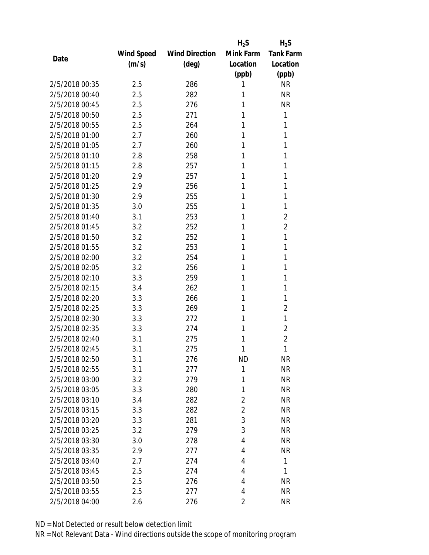|                |            |                       | $H_2S$    | $H_2S$           |
|----------------|------------|-----------------------|-----------|------------------|
|                | Wind Speed | <b>Wind Direction</b> | Mink Farm | <b>Tank Farm</b> |
| Date           | (m/s)      | $(\text{deg})$        | Location  | Location         |
|                |            |                       | (ppb)     | (ppb)            |
| 2/5/2018 00:35 | 2.5        | 286                   | 1         | <b>NR</b>        |
| 2/5/2018 00:40 | 2.5        | 282                   | 1         | <b>NR</b>        |
| 2/5/2018 00:45 | 2.5        | 276                   | 1         | <b>NR</b>        |
| 2/5/2018 00:50 | 2.5        | 271                   | 1         | 1                |
| 2/5/2018 00:55 | 2.5        | 264                   | 1         | 1                |
| 2/5/2018 01:00 | 2.7        | 260                   | 1         | 1                |
| 2/5/2018 01:05 | 2.7        | 260                   | 1         | 1                |
| 2/5/2018 01:10 | 2.8        | 258                   | 1         | 1                |
| 2/5/2018 01:15 | 2.8        | 257                   | 1         | 1                |
| 2/5/2018 01:20 | 2.9        | 257                   | 1         | 1                |
| 2/5/2018 01:25 | 2.9        | 256                   | 1         | 1                |
| 2/5/2018 01:30 | 2.9        | 255                   | 1         | 1                |
| 2/5/2018 01:35 | 3.0        | 255                   | 1         | 1                |
| 2/5/2018 01:40 | 3.1        | 253                   | 1         | $\overline{2}$   |
| 2/5/2018 01:45 | 3.2        | 252                   | 1         | $\overline{2}$   |
| 2/5/2018 01:50 | 3.2        | 252                   | 1         | 1                |
| 2/5/2018 01:55 | 3.2        | 253                   | 1         | 1                |
| 2/5/2018 02:00 | 3.2        | 254                   | 1         | 1                |
| 2/5/2018 02:05 | 3.2        | 256                   | 1         | 1                |
| 2/5/2018 02:10 | 3.3        | 259                   | 1         | 1                |
| 2/5/2018 02:15 | 3.4        | 262                   | 1         | 1                |
| 2/5/2018 02:20 | 3.3        | 266                   | 1         | 1                |
| 2/5/2018 02:25 | 3.3        | 269                   | 1         | $\overline{2}$   |
| 2/5/2018 02:30 | 3.3        | 272                   | 1         | 1                |
| 2/5/2018 02:35 | 3.3        | 274                   | 1         | $\overline{2}$   |
| 2/5/2018 02:40 | 3.1        | 275                   | 1         | $\overline{2}$   |
| 2/5/2018 02:45 | 3.1        | 275                   | 1         | 1                |
| 2/5/2018 02:50 | 3.1        | 276                   | <b>ND</b> | <b>NR</b>        |
| 2/5/2018 02:55 | 3.1        | 277                   | 1         | <b>NR</b>        |
| 2/5/2018 03:00 | 3.2        | 279                   | 1         | <b>NR</b>        |
| 2/5/2018 03:05 | 3.3        | 280                   | 1         | <b>NR</b>        |
| 2/5/2018 03:10 | 3.4        | 282                   | 2         | <b>NR</b>        |
| 2/5/2018 03:15 | 3.3        | 282                   | 2         | <b>NR</b>        |
| 2/5/2018 03:20 | 3.3        | 281                   | 3         | <b>NR</b>        |
| 2/5/2018 03:25 | 3.2        | 279                   | 3         | <b>NR</b>        |
| 2/5/2018 03:30 | 3.0        | 278                   | 4         | <b>NR</b>        |
| 2/5/2018 03:35 | 2.9        | 277                   | 4         | <b>NR</b>        |
| 2/5/2018 03:40 | 2.7        | 274                   | 4         | 1                |
| 2/5/2018 03:45 | 2.5        | 274                   | 4         | 1                |
| 2/5/2018 03:50 | 2.5        | 276                   | 4         | <b>NR</b>        |
| 2/5/2018 03:55 | 2.5        | 277                   | 4         | <b>NR</b>        |
| 2/5/2018 04:00 | 2.6        | 276                   | 2         | <b>NR</b>        |
|                |            |                       |           |                  |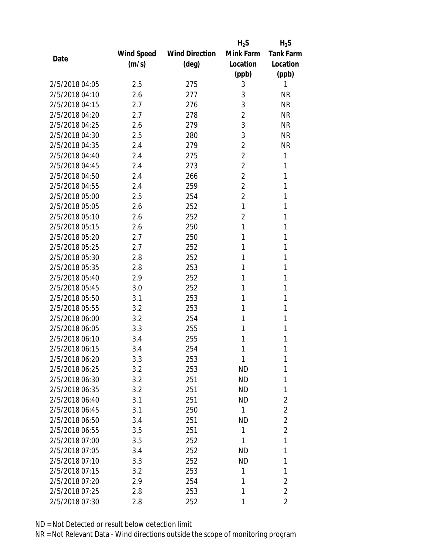|                |                   |                       | $H_2S$         | $H_2S$           |
|----------------|-------------------|-----------------------|----------------|------------------|
|                | <b>Wind Speed</b> | <b>Wind Direction</b> | Mink Farm      | <b>Tank Farm</b> |
| Date           | (m/s)             | (deg)                 | Location       | Location         |
|                |                   |                       | (ppb)          | (ppb)            |
| 2/5/2018 04:05 | 2.5               | 275                   | 3              | 1                |
| 2/5/2018 04:10 | 2.6               | 277                   | 3              | <b>NR</b>        |
| 2/5/2018 04:15 | 2.7               | 276                   | 3              | <b>NR</b>        |
| 2/5/2018 04:20 | 2.7               | 278                   | $\overline{2}$ | <b>NR</b>        |
| 2/5/2018 04:25 | 2.6               | 279                   | 3              | <b>NR</b>        |
| 2/5/2018 04:30 | 2.5               | 280                   | 3              | <b>NR</b>        |
| 2/5/2018 04:35 | 2.4               | 279                   | $\overline{2}$ | <b>NR</b>        |
| 2/5/2018 04:40 | 2.4               | 275                   | $\overline{2}$ | 1                |
| 2/5/2018 04:45 | 2.4               | 273                   | $\overline{2}$ | 1                |
| 2/5/2018 04:50 | 2.4               | 266                   | $\overline{2}$ | 1                |
| 2/5/2018 04:55 | 2.4               | 259                   | $\overline{2}$ | 1                |
| 2/5/2018 05:00 | 2.5               | 254                   | $\overline{2}$ | 1                |
| 2/5/2018 05:05 | 2.6               | 252                   | 1              | 1                |
| 2/5/2018 05:10 | 2.6               | 252                   | $\overline{2}$ | 1                |
| 2/5/2018 05:15 | 2.6               | 250                   | 1              | 1                |
| 2/5/2018 05:20 | 2.7               | 250                   | 1              | 1                |
| 2/5/2018 05:25 | 2.7               | 252                   | 1              | 1                |
| 2/5/2018 05:30 | 2.8               | 252                   | 1              | 1                |
| 2/5/2018 05:35 | 2.8               | 253                   | 1              | 1                |
| 2/5/2018 05:40 | 2.9               | 252                   | 1              | 1                |
| 2/5/2018 05:45 | 3.0               | 252                   | 1              | 1                |
| 2/5/2018 05:50 | 3.1               | 253                   | 1              | 1                |
| 2/5/2018 05:55 | 3.2               | 253                   | 1              | 1                |
| 2/5/2018 06:00 | 3.2               | 254                   | 1              | 1                |
| 2/5/2018 06:05 | 3.3               | 255                   | 1              | 1                |
| 2/5/2018 06:10 | 3.4               | 255                   | 1              | 1                |
| 2/5/2018 06:15 | 3.4               | 254                   | 1              | 1                |
| 2/5/2018 06:20 | 3.3               | 253                   | 1              | 1                |
| 2/5/2018 06:25 | 3.2               | 253                   | <b>ND</b>      | 1                |
| 2/5/2018 06:30 | 3.2               | 251                   | <b>ND</b>      | 1                |
| 2/5/2018 06:35 | 3.2               | 251                   | <b>ND</b>      | 1                |
| 2/5/2018 06:40 | 3.1               | 251                   | <b>ND</b>      | $\overline{2}$   |
| 2/5/2018 06:45 | 3.1               | 250                   | 1              | $\overline{2}$   |
| 2/5/2018 06:50 | 3.4               | 251                   | <b>ND</b>      | $\overline{2}$   |
| 2/5/2018 06:55 | 3.5               | 251                   | 1              | $\overline{2}$   |
| 2/5/2018 07:00 | 3.5               | 252                   | 1              | 1                |
| 2/5/2018 07:05 | 3.4               | 252                   | <b>ND</b>      | 1                |
| 2/5/2018 07:10 | 3.3               | 252                   | <b>ND</b>      | 1                |
| 2/5/2018 07:15 | 3.2               | 253                   | 1              | 1                |
| 2/5/2018 07:20 | 2.9               | 254                   | 1              | $\overline{2}$   |
| 2/5/2018 07:25 | 2.8               | 253                   | 1              | $\overline{2}$   |
| 2/5/2018 07:30 | 2.8               | 252                   | 1              | $\overline{2}$   |
|                |                   |                       |                |                  |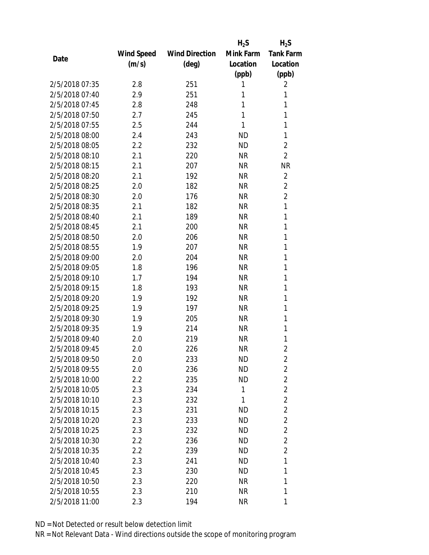|                |            |                       | $H_2S$    | $H_2S$           |
|----------------|------------|-----------------------|-----------|------------------|
|                | Wind Speed | <b>Wind Direction</b> | Mink Farm | <b>Tank Farm</b> |
| Date           | (m/s)      | $(\text{deg})$        | Location  | Location         |
|                |            |                       | (ppb)     | (ppb)            |
| 2/5/2018 07:35 | 2.8        | 251                   | 1         | 2                |
| 2/5/2018 07:40 | 2.9        | 251                   | 1         | 1                |
| 2/5/2018 07:45 | 2.8        | 248                   | 1         | 1                |
| 2/5/2018 07:50 | 2.7        | 245                   | 1         | 1                |
| 2/5/2018 07:55 | 2.5        | 244                   | 1         | 1                |
| 2/5/2018 08:00 | 2.4        | 243                   | <b>ND</b> | 1                |
| 2/5/2018 08:05 | 2.2        | 232                   | <b>ND</b> | $\overline{2}$   |
| 2/5/2018 08:10 | 2.1        | 220                   | <b>NR</b> | $\overline{2}$   |
| 2/5/2018 08:15 | 2.1        | 207                   | <b>NR</b> | <b>NR</b>        |
| 2/5/2018 08:20 | 2.1        | 192                   | <b>NR</b> | $\overline{2}$   |
| 2/5/2018 08:25 | 2.0        | 182                   | <b>NR</b> | $\overline{2}$   |
| 2/5/2018 08:30 | 2.0        | 176                   | <b>NR</b> | $\overline{2}$   |
| 2/5/2018 08:35 | 2.1        | 182                   | <b>NR</b> | $\mathbf{1}$     |
| 2/5/2018 08:40 | 2.1        | 189                   | <b>NR</b> | 1                |
| 2/5/2018 08:45 | 2.1        | 200                   | <b>NR</b> | 1                |
| 2/5/2018 08:50 | 2.0        | 206                   | <b>NR</b> | 1                |
| 2/5/2018 08:55 | 1.9        | 207                   | <b>NR</b> | 1                |
| 2/5/2018 09:00 | 2.0        | 204                   | <b>NR</b> | 1                |
| 2/5/2018 09:05 | 1.8        | 196                   | <b>NR</b> | 1                |
| 2/5/2018 09:10 | 1.7        | 194                   | <b>NR</b> | 1                |
| 2/5/2018 09:15 | 1.8        | 193                   | <b>NR</b> | 1                |
| 2/5/2018 09:20 | 1.9        | 192                   | <b>NR</b> | 1                |
| 2/5/2018 09:25 | 1.9        | 197                   | <b>NR</b> | 1                |
| 2/5/2018 09:30 | 1.9        | 205                   | <b>NR</b> | 1                |
| 2/5/2018 09:35 | 1.9        | 214                   | <b>NR</b> | 1                |
| 2/5/2018 09:40 | 2.0        | 219                   | <b>NR</b> | 1                |
| 2/5/2018 09:45 | 2.0        | 226                   | <b>NR</b> | $\overline{2}$   |
| 2/5/2018 09:50 | 2.0        | 233                   | ND        | $\overline{2}$   |
| 2/5/2018 09:55 | 2.0        | 236                   | <b>ND</b> | $\overline{2}$   |
| 2/5/2018 10:00 | 2.2        | 235                   | <b>ND</b> | $\overline{2}$   |
| 2/5/2018 10:05 | 2.3        | 234                   | 1         | $\overline{2}$   |
| 2/5/2018 10:10 | 2.3        | 232                   | 1         | $\overline{2}$   |
| 2/5/2018 10:15 | 2.3        | 231                   | <b>ND</b> | $\overline{2}$   |
| 2/5/2018 10:20 | 2.3        | 233                   | <b>ND</b> | $\overline{2}$   |
| 2/5/2018 10:25 | 2.3        | 232                   | ND.       | $\overline{c}$   |
| 2/5/2018 10:30 | 2.2        | 236                   | <b>ND</b> | $\overline{2}$   |
| 2/5/2018 10:35 | 2.2        | 239                   | ND        | $\overline{2}$   |
| 2/5/2018 10:40 | 2.3        | 241                   | ND.       | 1                |
| 2/5/2018 10:45 | 2.3        | 230                   | <b>ND</b> | 1                |
| 2/5/2018 10:50 | 2.3        | 220                   | NR        | 1                |
| 2/5/2018 10:55 | 2.3        | 210                   | <b>NR</b> | 1                |
| 2/5/2018 11:00 | 2.3        | 194                   | <b>NR</b> | 1                |
|                |            |                       |           |                  |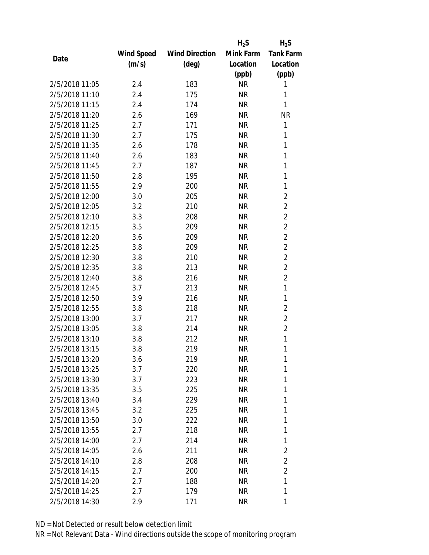|                |                   |                       | $H_2S$    | $H_2S$           |
|----------------|-------------------|-----------------------|-----------|------------------|
|                | <b>Wind Speed</b> | <b>Wind Direction</b> | Mink Farm | <b>Tank Farm</b> |
| Date           | (m/s)             | $(\text{deg})$        | Location  | Location         |
|                |                   |                       | (ppb)     | (ppb)            |
| 2/5/2018 11:05 | 2.4               | 183                   | <b>NR</b> | 1                |
| 2/5/2018 11:10 | 2.4               | 175                   | <b>NR</b> | 1                |
| 2/5/2018 11:15 | 2.4               | 174                   | <b>NR</b> | 1                |
| 2/5/2018 11:20 | 2.6               | 169                   | <b>NR</b> | <b>NR</b>        |
| 2/5/2018 11:25 | 2.7               | 171                   | <b>NR</b> | 1                |
| 2/5/2018 11:30 | 2.7               | 175                   | <b>NR</b> | 1                |
| 2/5/2018 11:35 | 2.6               | 178                   | <b>NR</b> | 1                |
| 2/5/2018 11:40 | 2.6               | 183                   | <b>NR</b> | 1                |
| 2/5/2018 11:45 | 2.7               | 187                   | <b>NR</b> | $\mathbf{1}$     |
| 2/5/2018 11:50 | 2.8               | 195                   | <b>NR</b> | 1                |
| 2/5/2018 11:55 | 2.9               | 200                   | <b>NR</b> | 1                |
| 2/5/2018 12:00 | 3.0               | 205                   | <b>NR</b> | $\overline{2}$   |
| 2/5/2018 12:05 | 3.2               | 210                   | <b>NR</b> | $\overline{2}$   |
| 2/5/2018 12:10 | 3.3               | 208                   | <b>NR</b> | $\overline{2}$   |
| 2/5/2018 12:15 | 3.5               | 209                   | <b>NR</b> | $\overline{2}$   |
| 2/5/2018 12:20 | 3.6               | 209                   | <b>NR</b> | $\overline{2}$   |
| 2/5/2018 12:25 | 3.8               | 209                   | <b>NR</b> | $\overline{2}$   |
| 2/5/2018 12:30 | 3.8               | 210                   | <b>NR</b> | $\overline{2}$   |
| 2/5/2018 12:35 | 3.8               | 213                   | <b>NR</b> | $\overline{2}$   |
| 2/5/2018 12:40 | 3.8               | 216                   | <b>NR</b> | $\overline{2}$   |
| 2/5/2018 12:45 | 3.7               | 213                   | <b>NR</b> | 1                |
| 2/5/2018 12:50 | 3.9               | 216                   | <b>NR</b> | 1                |
| 2/5/2018 12:55 | 3.8               | 218                   | <b>NR</b> | $\overline{2}$   |
| 2/5/2018 13:00 | 3.7               | 217                   | <b>NR</b> | $\overline{2}$   |
| 2/5/2018 13:05 | 3.8               | 214                   | <b>NR</b> | $\overline{2}$   |
| 2/5/2018 13:10 | 3.8               | 212                   | <b>NR</b> | 1                |
| 2/5/2018 13:15 | 3.8               | 219                   | <b>NR</b> | 1                |
| 2/5/2018 13:20 | 3.6               | 219                   | ΝR        | 1                |
| 2/5/2018 13:25 | 3.7               | 220                   | <b>NR</b> | 1                |
| 2/5/2018 13:30 | 3.7               | 223                   | ΝR        | 1                |
| 2/5/2018 13:35 | 3.5               | 225                   | ΝR        | 1                |
| 2/5/2018 13:40 | 3.4               | 229                   | <b>NR</b> | 1                |
| 2/5/2018 13:45 | 3.2               | 225                   | NR        | 1                |
| 2/5/2018 13:50 | 3.0               | 222                   | <b>NR</b> | 1                |
| 2/5/2018 13:55 | 2.7               | 218                   | NR        | 1                |
| 2/5/2018 14:00 | 2.7               | 214                   | ΝR        | 1                |
| 2/5/2018 14:05 | 2.6               | 211                   | ΝR        | 2                |
| 2/5/2018 14:10 | 2.8               | 208                   | ΝR        | $\overline{2}$   |
| 2/5/2018 14:15 | 2.7               | 200                   | <b>NR</b> | $\overline{2}$   |
| 2/5/2018 14:20 | 2.7               | 188                   | NR        | 1                |
| 2/5/2018 14:25 | 2.7               | 179                   | <b>NR</b> | 1                |
| 2/5/2018 14:30 | 2.9               | 171                   | <b>NR</b> | 1                |
|                |                   |                       |           |                  |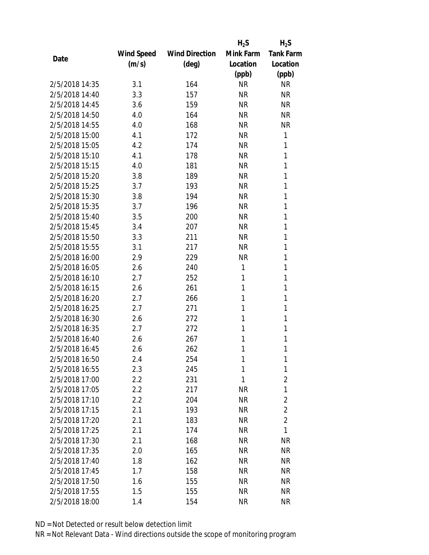|                |            |                       | $H_2S$    | $H_2S$           |
|----------------|------------|-----------------------|-----------|------------------|
|                | Wind Speed | <b>Wind Direction</b> | Mink Farm | <b>Tank Farm</b> |
| Date           | (m/s)      | (deg)                 | Location  | Location         |
|                |            |                       | (ppb)     | (ppb)            |
| 2/5/2018 14:35 | 3.1        | 164                   | <b>NR</b> | <b>NR</b>        |
| 2/5/2018 14:40 | 3.3        | 157                   | <b>NR</b> | <b>NR</b>        |
| 2/5/2018 14:45 | 3.6        | 159                   | <b>NR</b> | <b>NR</b>        |
| 2/5/2018 14:50 | 4.0        | 164                   | <b>NR</b> | <b>NR</b>        |
| 2/5/2018 14:55 | 4.0        | 168                   | <b>NR</b> | <b>NR</b>        |
| 2/5/2018 15:00 | 4.1        | 172                   | <b>NR</b> | 1                |
| 2/5/2018 15:05 | 4.2        | 174                   | <b>NR</b> | 1                |
| 2/5/2018 15:10 | 4.1        | 178                   | <b>NR</b> | 1                |
| 2/5/2018 15:15 | 4.0        | 181                   | <b>NR</b> | 1                |
| 2/5/2018 15:20 | 3.8        | 189                   | <b>NR</b> | 1                |
| 2/5/2018 15:25 | 3.7        | 193                   | <b>NR</b> | 1                |
| 2/5/2018 15:30 | 3.8        | 194                   | <b>NR</b> | 1                |
| 2/5/2018 15:35 | 3.7        | 196                   | <b>NR</b> | 1                |
| 2/5/2018 15:40 | 3.5        | 200                   | <b>NR</b> | 1                |
| 2/5/2018 15:45 | 3.4        | 207                   | <b>NR</b> | 1                |
| 2/5/2018 15:50 | 3.3        | 211                   | <b>NR</b> | 1                |
| 2/5/2018 15:55 | 3.1        | 217                   | <b>NR</b> | 1                |
| 2/5/2018 16:00 | 2.9        | 229                   | <b>NR</b> | 1                |
| 2/5/2018 16:05 | 2.6        | 240                   | 1         | 1                |
| 2/5/2018 16:10 | 2.7        | 252                   | 1         | 1                |
| 2/5/2018 16:15 | 2.6        | 261                   | 1         | 1                |
| 2/5/2018 16:20 | 2.7        | 266                   | 1         | 1                |
| 2/5/2018 16:25 | 2.7        | 271                   | 1         | 1                |
| 2/5/2018 16:30 | 2.6        | 272                   | 1         | 1                |
| 2/5/2018 16:35 | 2.7        | 272                   | 1         | 1                |
| 2/5/2018 16:40 | 2.6        | 267                   | 1         | 1                |
| 2/5/2018 16:45 | 2.6        | 262                   | 1         | 1                |
| 2/5/2018 16:50 | 2.4        | 254                   | 1         | 1                |
| 2/5/2018 16:55 | 2.3        | 245                   | 1         | 1                |
| 2/5/2018 17:00 | 2.2        | 231                   | 1         | $\overline{2}$   |
| 2/5/2018 17:05 | 2.2        | 217                   | <b>NR</b> | 1                |
| 2/5/2018 17:10 | 2.2        | 204                   | <b>NR</b> | $\overline{2}$   |
| 2/5/2018 17:15 | 2.1        | 193                   | NR        | $\overline{2}$   |
| 2/5/2018 17:20 | 2.1        | 183                   | <b>NR</b> | $\overline{2}$   |
| 2/5/2018 17:25 | 2.1        | 174                   | NR        | 1                |
| 2/5/2018 17:30 | 2.1        | 168                   | <b>NR</b> | <b>NR</b>        |
| 2/5/2018 17:35 | 2.0        | 165                   | ΝR        | <b>NR</b>        |
| 2/5/2018 17:40 | 1.8        | 162                   | ΝR        | <b>NR</b>        |
| 2/5/2018 17:45 | 1.7        | 158                   | <b>NR</b> | <b>NR</b>        |
| 2/5/2018 17:50 | 1.6        | 155                   | ΝR        | <b>NR</b>        |
| 2/5/2018 17:55 | 1.5        | 155                   | <b>NR</b> | <b>NR</b>        |
| 2/5/2018 18:00 | 1.4        | 154                   | <b>NR</b> | <b>NR</b>        |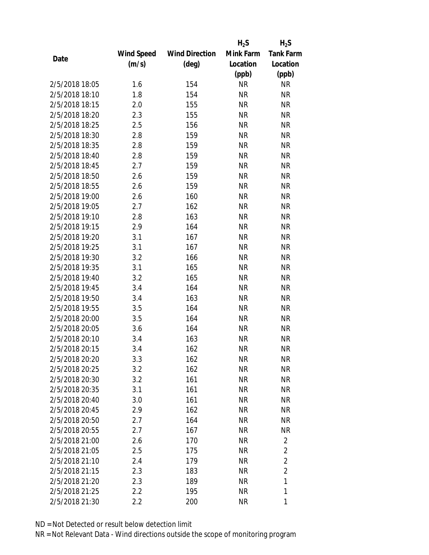|                |            |                       | $H_2S$    | $H_2S$           |
|----------------|------------|-----------------------|-----------|------------------|
|                | Wind Speed | <b>Wind Direction</b> | Mink Farm | <b>Tank Farm</b> |
| Date           | (m/s)      | $(\text{deg})$        | Location  | Location         |
|                |            |                       | (ppb)     | (ppb)            |
| 2/5/2018 18:05 | 1.6        | 154                   | <b>NR</b> | NR               |
| 2/5/2018 18:10 | 1.8        | 154                   | <b>NR</b> | <b>NR</b>        |
| 2/5/2018 18:15 | 2.0        | 155                   | <b>NR</b> | <b>NR</b>        |
| 2/5/2018 18:20 | 2.3        | 155                   | <b>NR</b> | <b>NR</b>        |
| 2/5/2018 18:25 | 2.5        | 156                   | <b>NR</b> | <b>NR</b>        |
| 2/5/2018 18:30 | 2.8        | 159                   | <b>NR</b> | <b>NR</b>        |
| 2/5/2018 18:35 | 2.8        | 159                   | <b>NR</b> | <b>NR</b>        |
| 2/5/2018 18:40 | 2.8        | 159                   | <b>NR</b> | <b>NR</b>        |
| 2/5/2018 18:45 | 2.7        | 159                   | <b>NR</b> | <b>NR</b>        |
| 2/5/2018 18:50 | 2.6        | 159                   | <b>NR</b> | <b>NR</b>        |
| 2/5/2018 18:55 | 2.6        | 159                   | <b>NR</b> | <b>NR</b>        |
| 2/5/2018 19:00 | 2.6        | 160                   | <b>NR</b> | <b>NR</b>        |
| 2/5/2018 19:05 | 2.7        | 162                   | <b>NR</b> | <b>NR</b>        |
| 2/5/2018 19:10 | 2.8        | 163                   | <b>NR</b> | <b>NR</b>        |
| 2/5/2018 19:15 | 2.9        | 164                   | <b>NR</b> | <b>NR</b>        |
| 2/5/2018 19:20 | 3.1        | 167                   | <b>NR</b> | <b>NR</b>        |
| 2/5/2018 19:25 | 3.1        | 167                   | <b>NR</b> | <b>NR</b>        |
| 2/5/2018 19:30 | 3.2        | 166                   | <b>NR</b> | <b>NR</b>        |
| 2/5/2018 19:35 | 3.1        | 165                   | <b>NR</b> | <b>NR</b>        |
| 2/5/2018 19:40 | 3.2        | 165                   | <b>NR</b> | <b>NR</b>        |
| 2/5/2018 19:45 | 3.4        | 164                   | <b>NR</b> | <b>NR</b>        |
| 2/5/2018 19:50 | 3.4        | 163                   | <b>NR</b> | <b>NR</b>        |
| 2/5/2018 19:55 | 3.5        | 164                   | <b>NR</b> | <b>NR</b>        |
| 2/5/2018 20:00 | 3.5        | 164                   | <b>NR</b> | <b>NR</b>        |
| 2/5/2018 20:05 | 3.6        | 164                   | <b>NR</b> | <b>NR</b>        |
| 2/5/2018 20:10 | 3.4        | 163                   | <b>NR</b> | <b>NR</b>        |
| 2/5/2018 20:15 | 3.4        | 162                   | <b>NR</b> | <b>NR</b>        |
| 2/5/2018 20:20 | 3.3        | 162                   | ΝR        | <b>NR</b>        |
| 2/5/2018 20:25 | 3.2        | 162                   | <b>NR</b> | <b>NR</b>        |
| 2/5/2018 20:30 | 3.2        | 161                   | <b>NR</b> | <b>NR</b>        |
| 2/5/2018 20:35 | 3.1        | 161                   | <b>NR</b> | NR               |
| 2/5/2018 20:40 | 3.0        | 161                   | <b>NR</b> | NR               |
| 2/5/2018 20:45 | 2.9        | 162                   | NR        | NR               |
| 2/5/2018 20:50 | 2.7        | 164                   | <b>NR</b> | <b>NR</b>        |
| 2/5/2018 20:55 | 2.7        | 167                   | <b>NR</b> | <b>NR</b>        |
| 2/5/2018 21:00 | 2.6        | 170                   | <b>NR</b> | $\overline{2}$   |
| 2/5/2018 21:05 | 2.5        | 175                   | <b>NR</b> | $\overline{2}$   |
| 2/5/2018 21:10 | 2.4        | 179                   | NR        | $\overline{2}$   |
| 2/5/2018 21:15 | 2.3        | 183                   | <b>NR</b> | $\overline{2}$   |
| 2/5/2018 21:20 | 2.3        | 189                   | NR        | 1                |
| 2/5/2018 21:25 | 2.2        | 195                   | <b>NR</b> | 1                |
| 2/5/2018 21:30 | 2.2        | 200                   | <b>NR</b> | 1                |
|                |            |                       |           |                  |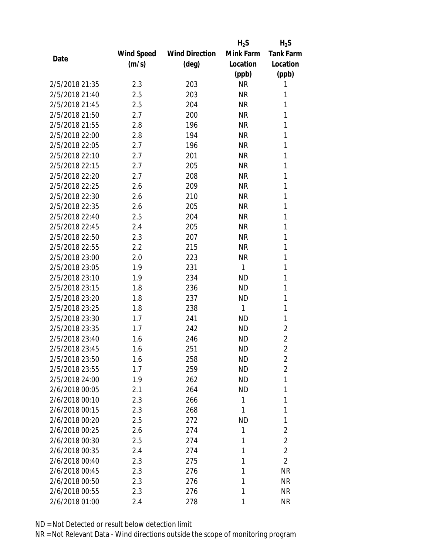|                |            |                       | $H_2S$    | $H_2S$           |
|----------------|------------|-----------------------|-----------|------------------|
|                | Wind Speed | <b>Wind Direction</b> | Mink Farm | <b>Tank Farm</b> |
| Date           | (m/s)      | $(\text{deg})$        | Location  | Location         |
|                |            |                       | (ppb)     | (ppb)            |
| 2/5/2018 21:35 | 2.3        | 203                   | <b>NR</b> | 1                |
| 2/5/2018 21:40 | 2.5        | 203                   | <b>NR</b> | 1                |
| 2/5/2018 21:45 | 2.5        | 204                   | <b>NR</b> | 1                |
| 2/5/2018 21:50 | 2.7        | 200                   | <b>NR</b> | 1                |
| 2/5/2018 21:55 | 2.8        | 196                   | <b>NR</b> | 1                |
| 2/5/2018 22:00 | 2.8        | 194                   | <b>NR</b> | 1                |
| 2/5/2018 22:05 | 2.7        | 196                   | <b>NR</b> | 1                |
| 2/5/2018 22:10 | 2.7        | 201                   | <b>NR</b> | 1                |
| 2/5/2018 22:15 | 2.7        | 205                   | <b>NR</b> | 1                |
| 2/5/2018 22:20 | 2.7        | 208                   | <b>NR</b> | 1                |
| 2/5/2018 22:25 | 2.6        | 209                   | <b>NR</b> | 1                |
| 2/5/2018 22:30 | 2.6        | 210                   | <b>NR</b> | 1                |
| 2/5/2018 22:35 | 2.6        | 205                   | <b>NR</b> | 1                |
| 2/5/2018 22:40 | 2.5        | 204                   | <b>NR</b> | 1                |
| 2/5/2018 22:45 | 2.4        | 205                   | <b>NR</b> | 1                |
| 2/5/2018 22:50 | 2.3        | 207                   | <b>NR</b> | 1                |
| 2/5/2018 22:55 | 2.2        | 215                   | <b>NR</b> | 1                |
| 2/5/2018 23:00 | 2.0        | 223                   | <b>NR</b> | 1                |
| 2/5/2018 23:05 | 1.9        | 231                   | 1         | 1                |
| 2/5/2018 23:10 | 1.9        | 234                   | <b>ND</b> | 1                |
| 2/5/2018 23:15 | 1.8        | 236                   | <b>ND</b> | 1                |
| 2/5/2018 23:20 | 1.8        | 237                   | <b>ND</b> | 1                |
| 2/5/2018 23:25 | 1.8        | 238                   | 1         | 1                |
| 2/5/2018 23:30 | 1.7        | 241                   | <b>ND</b> | 1                |
| 2/5/2018 23:35 | 1.7        | 242                   | <b>ND</b> | $\overline{2}$   |
| 2/5/2018 23:40 | 1.6        | 246                   | <b>ND</b> | $\overline{2}$   |
| 2/5/2018 23:45 | 1.6        | 251                   | <b>ND</b> | $\overline{2}$   |
| 2/5/2018 23:50 | 1.6        | 258                   | ND        | $\overline{2}$   |
| 2/5/2018 23:55 | 1.7        | 259                   | <b>ND</b> | $\overline{2}$   |
| 2/5/2018 24:00 | 1.9        | 262                   | ND        | 1                |
| 2/6/2018 00:05 | 2.1        | 264                   | <b>ND</b> | 1                |
| 2/6/2018 00:10 | 2.3        | 266                   | 1         | 1                |
| 2/6/2018 00:15 | 2.3        | 268                   | 1         | 1                |
| 2/6/2018 00:20 | 2.5        | 272                   | <b>ND</b> | 1                |
| 2/6/2018 00:25 | 2.6        | 274                   | 1         | $\overline{2}$   |
| 2/6/2018 00:30 | 2.5        | 274                   | 1         | $\overline{2}$   |
| 2/6/2018 00:35 | 2.4        | 274                   | 1         | $\overline{2}$   |
| 2/6/2018 00:40 | 2.3        | 275                   | 1         | $\overline{2}$   |
| 2/6/2018 00:45 | 2.3        | 276                   | 1         | <b>NR</b>        |
| 2/6/2018 00:50 | 2.3        | 276                   | 1         | <b>NR</b>        |
| 2/6/2018 00:55 | 2.3        | 276                   | 1         | <b>NR</b>        |
| 2/6/2018 01:00 | 2.4        | 278                   | 1         | <b>NR</b>        |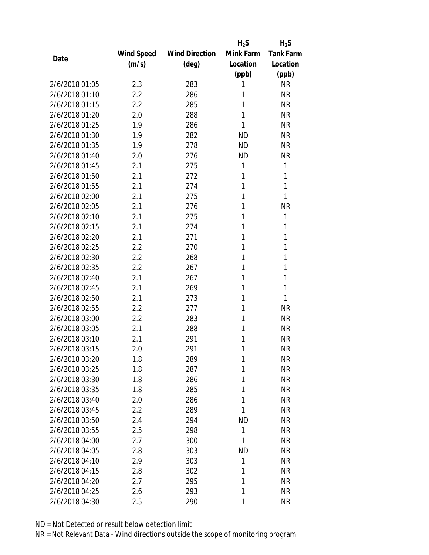|                |                   |                       | $H_2S$    | $H_2S$           |
|----------------|-------------------|-----------------------|-----------|------------------|
|                | <b>Wind Speed</b> | <b>Wind Direction</b> | Mink Farm | <b>Tank Farm</b> |
| Date           | (m/s)             | $(\text{deg})$        | Location  | Location         |
|                |                   |                       | (ppb)     | (ppb)            |
| 2/6/2018 01:05 | 2.3               | 283                   | 1         | <b>NR</b>        |
| 2/6/2018 01:10 | 2.2               | 286                   | 1         | <b>NR</b>        |
| 2/6/2018 01:15 | 2.2               | 285                   | 1         | <b>NR</b>        |
| 2/6/2018 01:20 | 2.0               | 288                   | 1         | <b>NR</b>        |
| 2/6/2018 01:25 | 1.9               | 286                   | 1         | <b>NR</b>        |
| 2/6/2018 01:30 | 1.9               | 282                   | <b>ND</b> | <b>NR</b>        |
| 2/6/2018 01:35 | 1.9               | 278                   | <b>ND</b> | <b>NR</b>        |
| 2/6/2018 01:40 | 2.0               | 276                   | <b>ND</b> | <b>NR</b>        |
| 2/6/2018 01:45 | 2.1               | 275                   | 1         | 1                |
| 2/6/2018 01:50 | 2.1               | 272                   | 1         | 1                |
| 2/6/2018 01:55 | 2.1               | 274                   | 1         | 1                |
| 2/6/2018 02:00 | 2.1               | 275                   | 1         | 1                |
| 2/6/2018 02:05 | 2.1               | 276                   | 1         | <b>NR</b>        |
| 2/6/2018 02:10 | 2.1               | 275                   | 1         | 1                |
| 2/6/2018 02:15 | 2.1               | 274                   | 1         | 1                |
| 2/6/2018 02:20 | 2.1               | 271                   | 1         | 1                |
| 2/6/2018 02:25 | 2.2               | 270                   | 1         | 1                |
| 2/6/2018 02:30 | 2.2               | 268                   | 1         | 1                |
| 2/6/2018 02:35 | 2.2               | 267                   | 1         | 1                |
| 2/6/2018 02:40 | 2.1               | 267                   | 1         | 1                |
| 2/6/2018 02:45 | 2.1               | 269                   | 1         | 1                |
| 2/6/2018 02:50 | 2.1               | 273                   | 1         | 1                |
| 2/6/2018 02:55 | 2.2               | 277                   | 1         | <b>NR</b>        |
| 2/6/2018 03:00 | 2.2               | 283                   | 1         | <b>NR</b>        |
| 2/6/2018 03:05 | 2.1               | 288                   | 1         | <b>NR</b>        |
| 2/6/2018 03:10 | 2.1               | 291                   | 1         | <b>NR</b>        |
| 2/6/2018 03:15 | 2.0               | 291                   | 1         | <b>NR</b>        |
| 2/6/2018 03:20 | 1.8               | 289                   | 1         | <b>NR</b>        |
| 2/6/2018 03:25 | 1.8               | 287                   | 1         | <b>NR</b>        |
| 2/6/2018 03:30 | 1.8               | 286                   | 1         | <b>NR</b>        |
| 2/6/2018 03:35 | 1.8               | 285                   | 1         | <b>NR</b>        |
| 2/6/2018 03:40 | 2.0               | 286                   | 1         | <b>NR</b>        |
| 2/6/2018 03:45 | 2.2               | 289                   | 1         | <b>NR</b>        |
| 2/6/2018 03:50 | 2.4               | 294                   | <b>ND</b> | <b>NR</b>        |
| 2/6/2018 03:55 | 2.5               | 298                   | 1         | <b>NR</b>        |
| 2/6/2018 04:00 | 2.7               | 300                   | 1         | <b>NR</b>        |
| 2/6/2018 04:05 | 2.8               | 303                   | <b>ND</b> | <b>NR</b>        |
| 2/6/2018 04:10 | 2.9               | 303                   | 1         | <b>NR</b>        |
| 2/6/2018 04:15 | 2.8               | 302                   | 1         | <b>NR</b>        |
| 2/6/2018 04:20 | 2.7               | 295                   | 1         | <b>NR</b>        |
| 2/6/2018 04:25 | 2.6               | 293                   | 1         | <b>NR</b>        |
| 2/6/2018 04:30 | 2.5               | 290                   | 1         | <b>NR</b>        |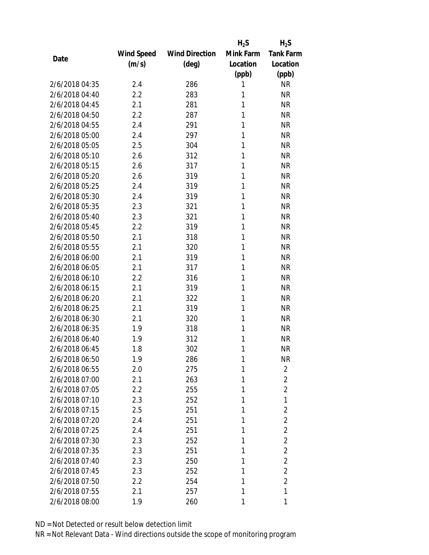|                |                   |                       | $H_2S$    | $H_2S$           |
|----------------|-------------------|-----------------------|-----------|------------------|
|                | <b>Wind Speed</b> | <b>Wind Direction</b> | Mink Farm | <b>Tank Farm</b> |
| Date           | (m/s)             | $(\text{deg})$        | Location  | Location         |
|                |                   |                       | (ppb)     | (ppb)            |
| 2/6/2018 04:35 | 2.4               | 286                   | 1         | <b>NR</b>        |
| 2/6/2018 04:40 | 2.2               | 283                   | 1         | <b>NR</b>        |
| 2/6/2018 04:45 | 2.1               | 281                   | 1         | <b>NR</b>        |
| 2/6/2018 04:50 | 2.2               | 287                   | 1         | <b>NR</b>        |
| 2/6/2018 04:55 | 2.4               | 291                   | 1         | <b>NR</b>        |
| 2/6/2018 05:00 | 2.4               | 297                   | 1         | <b>NR</b>        |
| 2/6/2018 05:05 | 2.5               | 304                   | 1         | <b>NR</b>        |
| 2/6/2018 05:10 | 2.6               | 312                   | 1         | <b>NR</b>        |
| 2/6/2018 05:15 | 2.6               | 317                   | 1         | <b>NR</b>        |
| 2/6/2018 05:20 | 2.6               | 319                   | 1         | <b>NR</b>        |
| 2/6/2018 05:25 | 2.4               | 319                   | 1         | <b>NR</b>        |
| 2/6/2018 05:30 | 2.4               | 319                   | 1         | <b>NR</b>        |
| 2/6/2018 05:35 | 2.3               | 321                   | 1         | <b>NR</b>        |
| 2/6/2018 05:40 | 2.3               | 321                   | 1         | <b>NR</b>        |
| 2/6/2018 05:45 | 2.2               | 319                   | 1         | <b>NR</b>        |
| 2/6/2018 05:50 | 2.1               | 318                   | 1         | <b>NR</b>        |
| 2/6/2018 05:55 | 2.1               | 320                   | 1         | <b>NR</b>        |
| 2/6/2018 06:00 | 2.1               | 319                   | 1         | <b>NR</b>        |
| 2/6/2018 06:05 | 2.1               | 317                   | 1         | <b>NR</b>        |
| 2/6/2018 06:10 | 2.2               | 316                   | 1         | <b>NR</b>        |
| 2/6/2018 06:15 | 2.1               | 319                   | 1         | <b>NR</b>        |
| 2/6/2018 06:20 | 2.1               | 322                   | 1         | <b>NR</b>        |
| 2/6/2018 06:25 | 2.1               | 319                   | 1         | <b>NR</b>        |
| 2/6/2018 06:30 | 2.1               | 320                   | 1         | <b>NR</b>        |
| 2/6/2018 06:35 | 1.9               | 318                   | 1         | <b>NR</b>        |
| 2/6/2018 06:40 | 1.9               | 312                   | 1         | <b>NR</b>        |
| 2/6/2018 06:45 | 1.8               | 302                   | 1         | <b>NR</b>        |
| 2/6/2018 06:50 | 1.9               | 286                   | 1         | <b>NR</b>        |
| 2/6/2018 06:55 | 2.0               | 275                   | 1         | $\overline{2}$   |
| 2/6/2018 07:00 | 2.1               | 263                   | 1         | $\overline{2}$   |
| 2/6/2018 07:05 | 2.2               | 255                   | 1         | $\overline{2}$   |
| 2/6/2018 07:10 | 2.3               | 252                   | 1         | 1                |
| 2/6/2018 07:15 | 2.5               | 251                   | 1         | $\overline{2}$   |
| 2/6/2018 07:20 | 2.4               | 251                   | 1         | $\overline{2}$   |
| 2/6/2018 07:25 | 2.4               | 251                   | 1         | $\overline{2}$   |
| 2/6/2018 07:30 | 2.3               | 252                   | 1         | $\overline{2}$   |
| 2/6/2018 07:35 | 2.3               | 251                   | 1         | $\overline{2}$   |
| 2/6/2018 07:40 | 2.3               | 250                   | 1         | $\overline{2}$   |
| 2/6/2018 07:45 | 2.3               | 252                   | 1         | $\overline{2}$   |
| 2/6/2018 07:50 | 2.2               | 254                   | 1         | $\overline{2}$   |
| 2/6/2018 07:55 | 2.1               | 257                   | 1         | 1                |
| 2/6/2018 08:00 | 1.9               | 260                   | 1         | 1                |
|                |                   |                       |           |                  |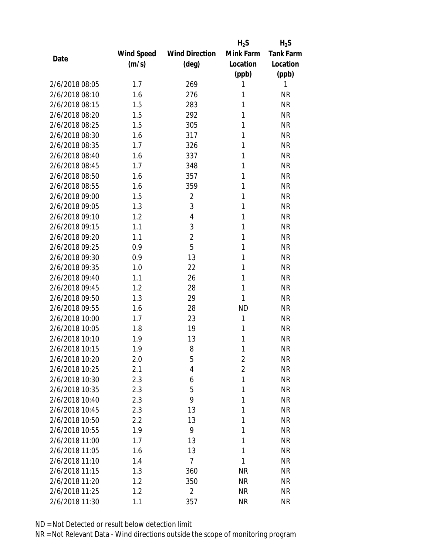|                |            |                       | $H_2S$         | $H_2S$           |
|----------------|------------|-----------------------|----------------|------------------|
|                | Wind Speed | <b>Wind Direction</b> | Mink Farm      | <b>Tank Farm</b> |
| Date           | (m/s)      | $(\text{deg})$        | Location       | Location         |
|                |            |                       | (ppb)          | (ppb)            |
| 2/6/2018 08:05 | 1.7        | 269                   | 1              | 1                |
| 2/6/2018 08:10 | 1.6        | 276                   | 1              | <b>NR</b>        |
| 2/6/2018 08:15 | 1.5        | 283                   | 1              | <b>NR</b>        |
| 2/6/2018 08:20 | 1.5        | 292                   | 1              | <b>NR</b>        |
| 2/6/2018 08:25 | 1.5        | 305                   | 1              | <b>NR</b>        |
| 2/6/2018 08:30 | 1.6        | 317                   | 1              | <b>NR</b>        |
| 2/6/2018 08:35 | 1.7        | 326                   | 1              | <b>NR</b>        |
| 2/6/2018 08:40 | 1.6        | 337                   | 1              | <b>NR</b>        |
| 2/6/2018 08:45 | 1.7        | 348                   | 1              | <b>NR</b>        |
| 2/6/2018 08:50 | 1.6        | 357                   | 1              | <b>NR</b>        |
| 2/6/2018 08:55 | 1.6        | 359                   | 1              | <b>NR</b>        |
| 2/6/2018 09:00 | 1.5        | $\overline{2}$        | 1              | <b>NR</b>        |
| 2/6/2018 09:05 | 1.3        | 3                     | 1              | <b>NR</b>        |
| 2/6/2018 09:10 | 1.2        | 4                     | 1              | <b>NR</b>        |
| 2/6/2018 09:15 | 1.1        | 3                     | 1              | <b>NR</b>        |
| 2/6/2018 09:20 | 1.1        | $\overline{2}$        | 1              | <b>NR</b>        |
| 2/6/2018 09:25 | 0.9        | 5                     | 1              | <b>NR</b>        |
| 2/6/2018 09:30 | 0.9        | 13                    | 1              | <b>NR</b>        |
| 2/6/2018 09:35 | 1.0        | 22                    | 1              | <b>NR</b>        |
| 2/6/2018 09:40 | 1.1        | 26                    | 1              | <b>NR</b>        |
| 2/6/2018 09:45 | 1.2        | 28                    | 1              | <b>NR</b>        |
| 2/6/2018 09:50 | 1.3        | 29                    | 1              | <b>NR</b>        |
| 2/6/2018 09:55 | 1.6        | 28                    | <b>ND</b>      | <b>NR</b>        |
| 2/6/2018 10:00 | 1.7        | 23                    | 1              | <b>NR</b>        |
| 2/6/2018 10:05 | 1.8        | 19                    | 1              | <b>NR</b>        |
| 2/6/2018 10:10 | 1.9        | 13                    | 1              | <b>NR</b>        |
| 2/6/2018 10:15 | 1.9        | 8                     | 1              | <b>NR</b>        |
| 2/6/2018 10:20 | 2.0        | 5                     | $\overline{2}$ | <b>NR</b>        |
| 2/6/2018 10:25 | 2.1        | 4                     | $\overline{2}$ | <b>NR</b>        |
| 2/6/2018 10:30 | 2.3        | 6                     | 1              | <b>NR</b>        |
| 2/6/2018 10:35 | 2.3        | 5                     | 1              | <b>NR</b>        |
| 2/6/2018 10:40 | 2.3        | 9                     | 1              | <b>NR</b>        |
| 2/6/2018 10:45 | 2.3        | 13                    | 1              | <b>NR</b>        |
| 2/6/2018 10:50 | 2.2        | 13                    | 1              | <b>NR</b>        |
| 2/6/2018 10:55 | 1.9        | 9                     | 1              | <b>NR</b>        |
| 2/6/2018 11:00 | 1.7        | 13                    | 1              | <b>NR</b>        |
| 2/6/2018 11:05 | 1.6        | 13                    | 1              | <b>NR</b>        |
| 2/6/2018 11:10 | 1.4        | $\overline{7}$        | 1              | <b>NR</b>        |
| 2/6/2018 11:15 | 1.3        | 360                   | <b>NR</b>      | <b>NR</b>        |
| 2/6/2018 11:20 | 1.2        | 350                   | <b>NR</b>      | <b>NR</b>        |
| 2/6/2018 11:25 | 1.2        | $\overline{2}$        | <b>NR</b>      | <b>NR</b>        |
| 2/6/2018 11:30 | 1.1        | 357                   | <b>NR</b>      | <b>NR</b>        |
|                |            |                       |                |                  |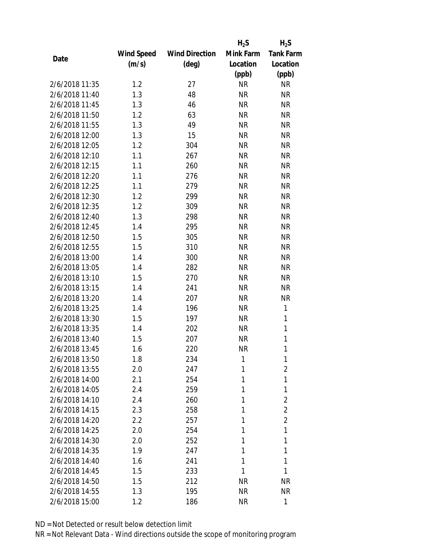|                |                   |                       | $H_2S$    | $H_2S$           |
|----------------|-------------------|-----------------------|-----------|------------------|
|                | <b>Wind Speed</b> | <b>Wind Direction</b> | Mink Farm | <b>Tank Farm</b> |
| Date           | (m/s)             | $(\text{deg})$        | Location  | Location         |
|                |                   |                       | (ppb)     | (ppb)            |
| 2/6/2018 11:35 | 1.2               | 27                    | <b>NR</b> | <b>NR</b>        |
| 2/6/2018 11:40 | 1.3               | 48                    | <b>NR</b> | <b>NR</b>        |
| 2/6/2018 11:45 | 1.3               | 46                    | <b>NR</b> | <b>NR</b>        |
| 2/6/2018 11:50 | 1.2               | 63                    | <b>NR</b> | <b>NR</b>        |
| 2/6/2018 11:55 | 1.3               | 49                    | <b>NR</b> | <b>NR</b>        |
| 2/6/2018 12:00 | 1.3               | 15                    | <b>NR</b> | <b>NR</b>        |
| 2/6/2018 12:05 | 1.2               | 304                   | <b>NR</b> | <b>NR</b>        |
| 2/6/2018 12:10 | 1.1               | 267                   | <b>NR</b> | <b>NR</b>        |
| 2/6/2018 12:15 | 1.1               | 260                   | <b>NR</b> | <b>NR</b>        |
| 2/6/2018 12:20 | 1.1               | 276                   | <b>NR</b> | <b>NR</b>        |
| 2/6/2018 12:25 | 1.1               | 279                   | <b>NR</b> | <b>NR</b>        |
| 2/6/2018 12:30 | 1.2               | 299                   | <b>NR</b> | <b>NR</b>        |
| 2/6/2018 12:35 | 1.2               | 309                   | <b>NR</b> | <b>NR</b>        |
| 2/6/2018 12:40 | 1.3               | 298                   | <b>NR</b> | <b>NR</b>        |
| 2/6/2018 12:45 | 1.4               | 295                   | <b>NR</b> | <b>NR</b>        |
| 2/6/2018 12:50 | 1.5               | 305                   | <b>NR</b> | <b>NR</b>        |
| 2/6/2018 12:55 | 1.5               | 310                   | <b>NR</b> | <b>NR</b>        |
| 2/6/2018 13:00 | 1.4               | 300                   | <b>NR</b> | <b>NR</b>        |
| 2/6/2018 13:05 | 1.4               | 282                   | <b>NR</b> | <b>NR</b>        |
| 2/6/2018 13:10 | 1.5               | 270                   | <b>NR</b> | <b>NR</b>        |
| 2/6/2018 13:15 | 1.4               | 241                   | <b>NR</b> | <b>NR</b>        |
| 2/6/2018 13:20 | 1.4               | 207                   | <b>NR</b> | <b>NR</b>        |
| 2/6/2018 13:25 | 1.4               | 196                   | <b>NR</b> | 1                |
| 2/6/2018 13:30 | 1.5               | 197                   | <b>NR</b> | 1                |
| 2/6/2018 13:35 | 1.4               | 202                   | <b>NR</b> | $\mathbf{1}$     |
| 2/6/2018 13:40 | 1.5               | 207                   | <b>NR</b> | $\mathbf{1}$     |
| 2/6/2018 13:45 | 1.6               | 220                   | <b>NR</b> | 1                |
| 2/6/2018 13:50 | 1.8               | 234                   | 1         | 1                |
| 2/6/2018 13:55 | 2.0               | 247                   | 1         | 2                |
| 2/6/2018 14:00 | 2.1               | 254                   | 1         | 1                |
| 2/6/2018 14:05 | 2.4               | 259                   | 1         | 1                |
| 2/6/2018 14:10 | 2.4               | 260                   | 1         | $\overline{2}$   |
| 2/6/2018 14:15 | 2.3               | 258                   | 1         | $\overline{2}$   |
| 2/6/2018 14:20 | 2.2               | 257                   | 1         | $\overline{2}$   |
| 2/6/2018 14:25 | 2.0               | 254                   | 1         | 1                |
| 2/6/2018 14:30 | 2.0               | 252                   | 1         | 1                |
| 2/6/2018 14:35 | 1.9               | 247                   | 1         | 1                |
| 2/6/2018 14:40 | 1.6               | 241                   | 1         | 1                |
| 2/6/2018 14:45 | 1.5               | 233                   | 1         | 1                |
| 2/6/2018 14:50 | 1.5               | 212                   | ΝR        | <b>NR</b>        |
| 2/6/2018 14:55 | 1.3               | 195                   | <b>NR</b> | <b>NR</b>        |
|                |                   |                       |           | 1                |
| 2/6/2018 15:00 | 1.2               | 186                   | ΝR        |                  |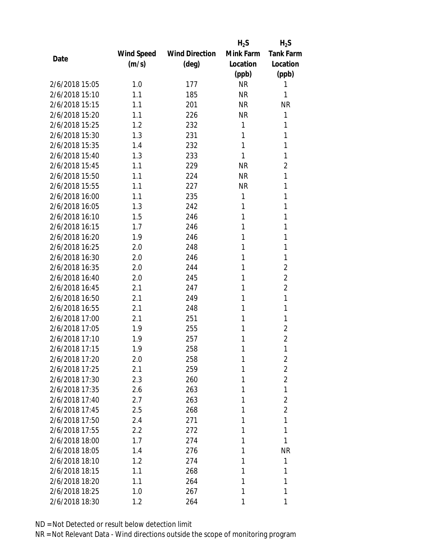|                |            |                       | $H_2S$    | $H_2S$           |
|----------------|------------|-----------------------|-----------|------------------|
|                | Wind Speed | <b>Wind Direction</b> | Mink Farm | <b>Tank Farm</b> |
| Date           | (m/s)      | $(\text{deg})$        | Location  | Location         |
|                |            |                       | (ppb)     | (ppb)            |
| 2/6/2018 15:05 | 1.0        | 177                   | <b>NR</b> | 1                |
| 2/6/2018 15:10 | 1.1        | 185                   | <b>NR</b> | 1                |
| 2/6/2018 15:15 | 1.1        | 201                   | <b>NR</b> | <b>NR</b>        |
| 2/6/2018 15:20 | 1.1        | 226                   | <b>NR</b> | 1                |
| 2/6/2018 15:25 | 1.2        | 232                   | 1         | 1                |
| 2/6/2018 15:30 | 1.3        | 231                   | 1         | 1                |
| 2/6/2018 15:35 | 1.4        | 232                   | 1         | 1                |
| 2/6/2018 15:40 | 1.3        | 233                   | 1         | 1                |
| 2/6/2018 15:45 | 1.1        | 229                   | <b>NR</b> | $\overline{2}$   |
| 2/6/2018 15:50 | 1.1        | 224                   | <b>NR</b> | 1                |
| 2/6/2018 15:55 | 1.1        | 227                   | <b>NR</b> | 1                |
| 2/6/2018 16:00 | 1.1        | 235                   | 1         | 1                |
| 2/6/2018 16:05 | 1.3        | 242                   | 1         | 1                |
| 2/6/2018 16:10 | 1.5        | 246                   | 1         | 1                |
| 2/6/2018 16:15 | 1.7        | 246                   | 1         | 1                |
| 2/6/2018 16:20 | 1.9        | 246                   | 1         | 1                |
| 2/6/2018 16:25 | 2.0        | 248                   | 1         | 1                |
| 2/6/2018 16:30 | 2.0        | 246                   | 1         | 1                |
| 2/6/2018 16:35 | 2.0        | 244                   | 1         | $\overline{2}$   |
| 2/6/2018 16:40 | 2.0        | 245                   | 1         | $\overline{2}$   |
| 2/6/2018 16:45 | 2.1        | 247                   | 1         | $\overline{2}$   |
| 2/6/2018 16:50 | 2.1        | 249                   | 1         | 1                |
| 2/6/2018 16:55 | 2.1        | 248                   | 1         | 1                |
| 2/6/2018 17:00 | 2.1        | 251                   | 1         | 1                |
| 2/6/2018 17:05 | 1.9        | 255                   | 1         | $\overline{2}$   |
| 2/6/2018 17:10 | 1.9        | 257                   | 1         | $\overline{2}$   |
| 2/6/2018 17:15 | 1.9        | 258                   | 1         | 1                |
| 2/6/2018 17:20 | 2.0        | 258                   | 1         | $\overline{2}$   |
| 2/6/2018 17:25 | 2.1        | 259                   | 1         | $\overline{2}$   |
| 2/6/2018 17:30 | 2.3        | 260                   | 1         | $\overline{2}$   |
| 2/6/2018 17:35 | 2.6        | 263                   | 1         | 1                |
| 2/6/2018 17:40 | 2.7        | 263                   | 1         | $\overline{2}$   |
| 2/6/2018 17:45 | 2.5        | 268                   | 1         | $\overline{2}$   |
| 2/6/2018 17:50 | 2.4        | 271                   | 1         | 1                |
| 2/6/2018 17:55 | 2.2        | 272                   | 1         | 1                |
| 2/6/2018 18:00 | 1.7        | 274                   | 1         | 1                |
| 2/6/2018 18:05 | 1.4        | 276                   | 1         | <b>NR</b>        |
| 2/6/2018 18:10 | 1.2        | 274                   | 1         | 1                |
| 2/6/2018 18:15 | 1.1        | 268                   | 1         | 1                |
| 2/6/2018 18:20 | 1.1        | 264                   | 1         | 1                |
| 2/6/2018 18:25 | 1.0        | 267                   | 1         | 1                |
| 2/6/2018 18:30 | 1.2        | 264                   | 1         | 1                |
|                |            |                       |           |                  |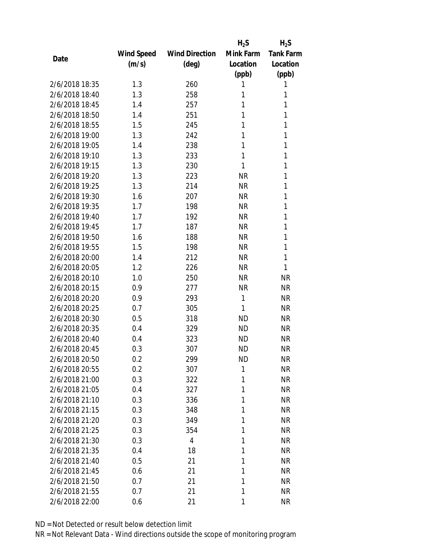|                |            |                       | $H_2S$    | $H_2S$           |
|----------------|------------|-----------------------|-----------|------------------|
|                | Wind Speed | <b>Wind Direction</b> | Mink Farm | <b>Tank Farm</b> |
| Date           | (m/s)      | (deg)                 | Location  | Location         |
|                |            |                       | (ppb)     | (ppb)            |
| 2/6/2018 18:35 | 1.3        | 260                   | 1         | 1                |
| 2/6/2018 18:40 | 1.3        | 258                   | 1         | 1                |
| 2/6/2018 18:45 | 1.4        | 257                   | 1         | 1                |
| 2/6/2018 18:50 | 1.4        | 251                   | 1         | 1                |
| 2/6/2018 18:55 | 1.5        | 245                   | 1         | 1                |
| 2/6/2018 19:00 | 1.3        | 242                   | 1         | 1                |
| 2/6/2018 19:05 | 1.4        | 238                   | 1         | 1                |
| 2/6/2018 19:10 | 1.3        | 233                   | 1         | 1                |
| 2/6/2018 19:15 | 1.3        | 230                   | 1         | 1                |
| 2/6/2018 19:20 | 1.3        | 223                   | <b>NR</b> | 1                |
| 2/6/2018 19:25 | 1.3        | 214                   | <b>NR</b> | 1                |
| 2/6/2018 19:30 | 1.6        | 207                   | <b>NR</b> | 1                |
| 2/6/2018 19:35 | 1.7        | 198                   | <b>NR</b> | 1                |
| 2/6/2018 19:40 | 1.7        | 192                   | <b>NR</b> | 1                |
| 2/6/2018 19:45 | 1.7        | 187                   | <b>NR</b> | 1                |
| 2/6/2018 19:50 | 1.6        | 188                   | <b>NR</b> | 1                |
| 2/6/2018 19:55 | 1.5        | 198                   | <b>NR</b> | 1                |
| 2/6/2018 20:00 | 1.4        | 212                   | <b>NR</b> | 1                |
| 2/6/2018 20:05 | 1.2        | 226                   | <b>NR</b> | 1                |
| 2/6/2018 20:10 | 1.0        | 250                   | <b>NR</b> | <b>NR</b>        |
| 2/6/2018 20:15 | 0.9        | 277                   | <b>NR</b> | <b>NR</b>        |
| 2/6/2018 20:20 | 0.9        | 293                   | 1         | <b>NR</b>        |
| 2/6/2018 20:25 | 0.7        | 305                   | 1         | <b>NR</b>        |
| 2/6/2018 20:30 | 0.5        | 318                   | <b>ND</b> | <b>NR</b>        |
| 2/6/2018 20:35 | 0.4        | 329                   | <b>ND</b> | <b>NR</b>        |
| 2/6/2018 20:40 | 0.4        | 323                   | <b>ND</b> | <b>NR</b>        |
| 2/6/2018 20:45 | 0.3        | 307                   | <b>ND</b> | <b>NR</b>        |
| 2/6/2018 20:50 | 0.2        | 299                   | ND        | <b>NR</b>        |
| 2/6/2018 20:55 | 0.2        | 307                   | 1         | <b>NR</b>        |
| 2/6/2018 21:00 | 0.3        | 322                   | 1         | <b>NR</b>        |
| 2/6/2018 21:05 | 0.4        | 327                   | 1         | <b>NR</b>        |
| 2/6/2018 21:10 | 0.3        | 336                   | 1         | <b>NR</b>        |
| 2/6/2018 21:15 | 0.3        | 348                   | 1         | <b>NR</b>        |
| 2/6/2018 21:20 | 0.3        | 349                   | 1         | <b>NR</b>        |
| 2/6/2018 21:25 | 0.3        | 354                   | 1         | <b>NR</b>        |
| 2/6/2018 21:30 | 0.3        | 4                     | 1         | <b>NR</b>        |
| 2/6/2018 21:35 | 0.4        | 18                    | 1         | <b>NR</b>        |
| 2/6/2018 21:40 | 0.5        | 21                    | 1         | <b>NR</b>        |
| 2/6/2018 21:45 | 0.6        | 21                    | 1         | <b>NR</b>        |
| 2/6/2018 21:50 | 0.7        | 21                    | 1         | <b>NR</b>        |
| 2/6/2018 21:55 | 0.7        | 21                    | 1         | <b>NR</b>        |
| 2/6/2018 22:00 | 0.6        | 21                    | 1         | <b>NR</b>        |
|                |            |                       |           |                  |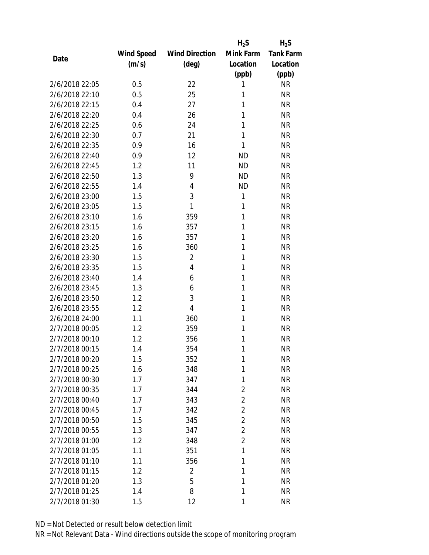|                |            |                       | $H_2S$         | $H_2S$           |
|----------------|------------|-----------------------|----------------|------------------|
|                | Wind Speed | <b>Wind Direction</b> | Mink Farm      | <b>Tank Farm</b> |
| Date           | (m/s)      | $(\text{deg})$        | Location       | Location         |
|                |            |                       | (ppb)          | (ppb)            |
| 2/6/2018 22:05 | 0.5        | 22                    | 1              | <b>NR</b>        |
| 2/6/2018 22:10 | 0.5        | 25                    | 1              | <b>NR</b>        |
| 2/6/2018 22:15 | 0.4        | 27                    | 1              | <b>NR</b>        |
| 2/6/2018 22:20 | 0.4        | 26                    | 1              | <b>NR</b>        |
| 2/6/2018 22:25 | 0.6        | 24                    | 1              | <b>NR</b>        |
| 2/6/2018 22:30 | 0.7        | 21                    | 1              | <b>NR</b>        |
| 2/6/2018 22:35 | 0.9        | 16                    | 1              | <b>NR</b>        |
| 2/6/2018 22:40 | 0.9        | 12                    | <b>ND</b>      | <b>NR</b>        |
| 2/6/2018 22:45 | 1.2        | 11                    | <b>ND</b>      | <b>NR</b>        |
| 2/6/2018 22:50 | 1.3        | 9                     | <b>ND</b>      | <b>NR</b>        |
| 2/6/2018 22:55 | 1.4        | 4                     | <b>ND</b>      | <b>NR</b>        |
| 2/6/2018 23:00 | 1.5        | 3                     | $\mathbf{1}$   | <b>NR</b>        |
| 2/6/2018 23:05 | 1.5        | 1                     | 1              | <b>NR</b>        |
| 2/6/2018 23:10 | 1.6        | 359                   | 1              | <b>NR</b>        |
| 2/6/2018 23:15 | 1.6        | 357                   | 1              | <b>NR</b>        |
| 2/6/2018 23:20 | 1.6        | 357                   | 1              | <b>NR</b>        |
| 2/6/2018 23:25 | 1.6        | 360                   | 1              | <b>NR</b>        |
| 2/6/2018 23:30 | 1.5        | $\overline{2}$        | 1              | <b>NR</b>        |
| 2/6/2018 23:35 | 1.5        | 4                     | 1              | <b>NR</b>        |
| 2/6/2018 23:40 | 1.4        | 6                     | 1              | <b>NR</b>        |
| 2/6/2018 23:45 | 1.3        | 6                     | 1              | <b>NR</b>        |
| 2/6/2018 23:50 | 1.2        | 3                     | 1              | <b>NR</b>        |
| 2/6/2018 23:55 | 1.2        | 4                     | 1              | <b>NR</b>        |
| 2/6/2018 24:00 | 1.1        | 360                   | 1              | <b>NR</b>        |
| 2/7/2018 00:05 | 1.2        | 359                   | 1              | <b>NR</b>        |
| 2/7/2018 00:10 | 1.2        | 356                   | 1              | <b>NR</b>        |
| 2/7/2018 00:15 | 1.4        | 354                   | 1              | <b>NR</b>        |
| 2/7/2018 00:20 | 1.5        | 352                   | 1              | <b>NR</b>        |
| 2/7/2018 00:25 | 1.6        | 348                   | 1              | <b>NR</b>        |
| 2/7/2018 00:30 | 1.7        | 347                   | 1              | <b>NR</b>        |
| 2/7/2018 00:35 | 1.7        | 344                   | $\overline{2}$ | <b>NR</b>        |
| 2/7/2018 00:40 | 1.7        | 343                   | $\overline{a}$ | <b>NR</b>        |
| 2/7/2018 00:45 | 1.7        | 342                   | 2              | <b>NR</b>        |
| 2/7/2018 00:50 | 1.5        | 345                   | $\overline{2}$ | <b>NR</b>        |
| 2/7/2018 00:55 | 1.3        | 347                   | $\overline{2}$ | <b>NR</b>        |
| 2/7/2018 01:00 | 1.2        | 348                   | $\overline{2}$ | <b>NR</b>        |
| 2/7/2018 01:05 | 1.1        | 351                   | 1              | <b>NR</b>        |
| 2/7/2018 01:10 | 1.1        | 356                   | 1              | <b>NR</b>        |
| 2/7/2018 01:15 | 1.2        | $\overline{2}$        | 1              | <b>NR</b>        |
| 2/7/2018 01:20 | 1.3        | 5                     | 1              | <b>NR</b>        |
| 2/7/2018 01:25 | 1.4        | 8                     | 1              | <b>NR</b>        |
| 2/7/2018 01:30 | 1.5        | 12                    | 1              | <b>NR</b>        |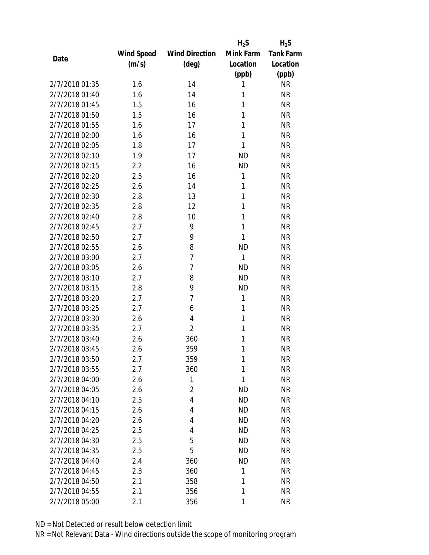|                |            |                       | $H_2S$    | $H_2S$           |
|----------------|------------|-----------------------|-----------|------------------|
|                | Wind Speed | <b>Wind Direction</b> | Mink Farm | <b>Tank Farm</b> |
| Date           | (m/s)      | (deg)                 | Location  | Location         |
|                |            |                       | (ppb)     | (ppb)            |
| 2/7/2018 01:35 | 1.6        | 14                    | 1         | <b>NR</b>        |
| 2/7/2018 01:40 | 1.6        | 14                    | 1         | <b>NR</b>        |
| 2/7/2018 01:45 | 1.5        | 16                    | 1         | <b>NR</b>        |
| 2/7/2018 01:50 | 1.5        | 16                    | 1         | <b>NR</b>        |
| 2/7/2018 01:55 | 1.6        | 17                    | 1         | <b>NR</b>        |
| 2/7/2018 02:00 | 1.6        | 16                    | 1         | <b>NR</b>        |
| 2/7/2018 02:05 | 1.8        | 17                    | 1         | <b>NR</b>        |
| 2/7/2018 02:10 | 1.9        | 17                    | <b>ND</b> | <b>NR</b>        |
| 2/7/2018 02:15 | 2.2        | 16                    | <b>ND</b> | <b>NR</b>        |
| 2/7/2018 02:20 | 2.5        | 16                    | 1         | <b>NR</b>        |
| 2/7/2018 02:25 | 2.6        | 14                    | 1         | <b>NR</b>        |
| 2/7/2018 02:30 | 2.8        | 13                    | 1         | <b>NR</b>        |
| 2/7/2018 02:35 | 2.8        | 12                    | 1         | <b>NR</b>        |
| 2/7/2018 02:40 | 2.8        | 10                    | 1         | <b>NR</b>        |
| 2/7/2018 02:45 | 2.7        | 9                     | 1         | <b>NR</b>        |
| 2/7/2018 02:50 | 2.7        | 9                     | 1         | <b>NR</b>        |
| 2/7/2018 02:55 | 2.6        | 8                     | <b>ND</b> | <b>NR</b>        |
| 2/7/2018 03:00 | 2.7        | $\overline{7}$        | 1         | <b>NR</b>        |
| 2/7/2018 03:05 | 2.6        | 7                     | <b>ND</b> | <b>NR</b>        |
| 2/7/2018 03:10 | 2.7        | 8                     | <b>ND</b> | <b>NR</b>        |
| 2/7/2018 03:15 | 2.8        | 9                     | <b>ND</b> | <b>NR</b>        |
| 2/7/2018 03:20 | 2.7        | $\overline{7}$        | 1         | <b>NR</b>        |
| 2/7/2018 03:25 | 2.7        | 6                     | 1         | <b>NR</b>        |
| 2/7/2018 03:30 | 2.6        | 4                     | 1         | <b>NR</b>        |
| 2/7/2018 03:35 | 2.7        | $\overline{2}$        | 1         | <b>NR</b>        |
| 2/7/2018 03:40 | 2.6        | 360                   | 1         | <b>NR</b>        |
| 2/7/2018 03:45 | 2.6        | 359                   | 1         | <b>NR</b>        |
| 2/7/2018 03:50 | 2.7        | 359                   | 1         | <b>NR</b>        |
| 2/7/2018 03:55 | 2.7        | 360                   | 1         | <b>NR</b>        |
| 2/7/2018 04:00 | 2.6        | 1                     | 1         | <b>NR</b>        |
| 2/7/2018 04:05 | 2.6        | $\overline{2}$        | <b>ND</b> | <b>NR</b>        |
| 2/7/2018 04:10 | 2.5        | 4                     | <b>ND</b> | <b>NR</b>        |
| 2/7/2018 04:15 | 2.6        | 4                     | <b>ND</b> | <b>NR</b>        |
| 2/7/2018 04:20 | 2.6        | 4                     | <b>ND</b> | <b>NR</b>        |
| 2/7/2018 04:25 | 2.5        | 4                     | <b>ND</b> | <b>NR</b>        |
| 2/7/2018 04:30 | 2.5        | 5                     | <b>ND</b> | <b>NR</b>        |
| 2/7/2018 04:35 | 2.5        | 5                     | <b>ND</b> | <b>NR</b>        |
| 2/7/2018 04:40 | 2.4        | 360                   | <b>ND</b> | <b>NR</b>        |
| 2/7/2018 04:45 | 2.3        | 360                   | 1         | <b>NR</b>        |
| 2/7/2018 04:50 | 2.1        | 358                   | 1         | <b>NR</b>        |
| 2/7/2018 04:55 | 2.1        | 356                   | 1         | <b>NR</b>        |
| 2/7/2018 05:00 | 2.1        | 356                   | 1         | <b>NR</b>        |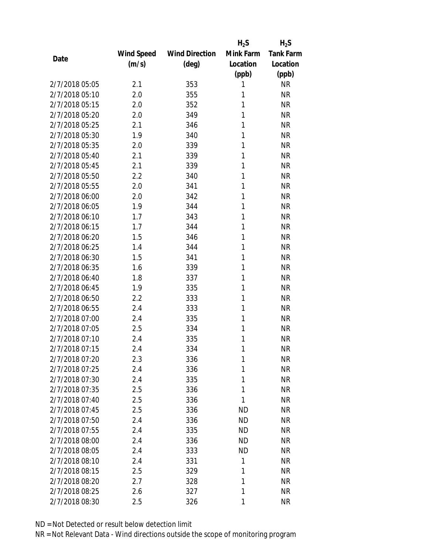|                |                   |                       | $H_2S$    | $H_2S$           |
|----------------|-------------------|-----------------------|-----------|------------------|
|                | <b>Wind Speed</b> | <b>Wind Direction</b> | Mink Farm | <b>Tank Farm</b> |
| Date           | (m/s)             | (deg)                 | Location  | Location         |
|                |                   |                       | (ppb)     | (ppb)            |
| 2/7/2018 05:05 | 2.1               | 353                   | 1         | <b>NR</b>        |
| 2/7/2018 05:10 | 2.0               | 355                   | 1         | <b>NR</b>        |
| 2/7/2018 05:15 | 2.0               | 352                   | 1         | <b>NR</b>        |
| 2/7/2018 05:20 | 2.0               | 349                   | 1         | <b>NR</b>        |
| 2/7/2018 05:25 | 2.1               | 346                   | 1         | <b>NR</b>        |
| 2/7/2018 05:30 | 1.9               | 340                   | 1         | <b>NR</b>        |
| 2/7/2018 05:35 | 2.0               | 339                   | 1         | <b>NR</b>        |
| 2/7/2018 05:40 | 2.1               | 339                   | 1         | <b>NR</b>        |
| 2/7/2018 05:45 | 2.1               | 339                   | 1         | <b>NR</b>        |
| 2/7/2018 05:50 | 2.2               | 340                   | 1         | <b>NR</b>        |
| 2/7/2018 05:55 | 2.0               | 341                   | 1         | <b>NR</b>        |
| 2/7/2018 06:00 | 2.0               | 342                   | 1         | <b>NR</b>        |
| 2/7/2018 06:05 | 1.9               | 344                   | 1         | <b>NR</b>        |
| 2/7/2018 06:10 | 1.7               | 343                   | 1         | <b>NR</b>        |
| 2/7/2018 06:15 | 1.7               | 344                   | 1         | <b>NR</b>        |
| 2/7/2018 06:20 | 1.5               | 346                   | 1         | <b>NR</b>        |
| 2/7/2018 06:25 | 1.4               | 344                   | 1         | <b>NR</b>        |
| 2/7/2018 06:30 | 1.5               | 341                   | 1         | <b>NR</b>        |
| 2/7/2018 06:35 | 1.6               | 339                   | 1         | <b>NR</b>        |
| 2/7/2018 06:40 | 1.8               | 337                   | 1         | <b>NR</b>        |
| 2/7/2018 06:45 | 1.9               | 335                   | 1         | <b>NR</b>        |
| 2/7/2018 06:50 | 2.2               | 333                   | 1         | <b>NR</b>        |
| 2/7/2018 06:55 | 2.4               | 333                   | 1         | <b>NR</b>        |
| 2/7/2018 07:00 | 2.4               | 335                   | 1         | <b>NR</b>        |
| 2/7/2018 07:05 | 2.5               | 334                   | 1         | <b>NR</b>        |
| 2/7/2018 07:10 | 2.4               | 335                   | 1         | <b>NR</b>        |
| 2/7/2018 07:15 | 2.4               | 334                   | 1         | <b>NR</b>        |
| 2/7/2018 07:20 | 2.3               | 336                   | 1         | <b>NR</b>        |
| 2/7/2018 07:25 | 2.4               | 336                   | 1         | <b>NR</b>        |
| 2/7/2018 07:30 | 2.4               | 335                   | 1         | <b>NR</b>        |
| 2/7/2018 07:35 | 2.5               | 336                   | 1         | <b>NR</b>        |
| 2/7/2018 07:40 | 2.5               | 336                   | 1         | <b>NR</b>        |
| 2/7/2018 07:45 | 2.5               | 336                   | <b>ND</b> | <b>NR</b>        |
| 2/7/2018 07:50 | 2.4               | 336                   | <b>ND</b> | <b>NR</b>        |
| 2/7/2018 07:55 | 2.4               | 335                   | ND        | <b>NR</b>        |
| 2/7/2018 08:00 | 2.4               | 336                   | <b>ND</b> | <b>NR</b>        |
| 2/7/2018 08:05 | 2.4               | 333                   | <b>ND</b> | <b>NR</b>        |
| 2/7/2018 08:10 | 2.4               | 331                   | 1         | <b>NR</b>        |
| 2/7/2018 08:15 | 2.5               | 329                   | 1         | <b>NR</b>        |
| 2/7/2018 08:20 | 2.7               | 328                   | 1         | <b>NR</b>        |
| 2/7/2018 08:25 | 2.6               | 327                   | 1         | <b>NR</b>        |
| 2/7/2018 08:30 | 2.5               | 326                   | 1         | <b>NR</b>        |
|                |                   |                       |           |                  |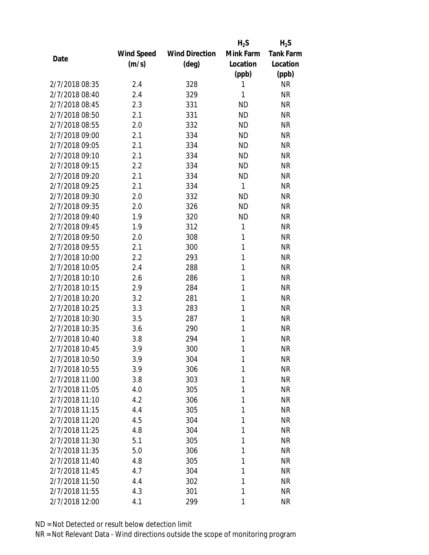|                |            |                       | $H_2S$    | $H_2S$           |
|----------------|------------|-----------------------|-----------|------------------|
|                | Wind Speed | <b>Wind Direction</b> | Mink Farm | <b>Tank Farm</b> |
| Date           | (m/s)      | $(\text{deg})$        | Location  | Location         |
|                |            |                       | (ppb)     | (ppb)            |
| 2/7/2018 08:35 | 2.4        | 328                   | 1         | <b>NR</b>        |
| 2/7/2018 08:40 | 2.4        | 329                   | 1         | <b>NR</b>        |
| 2/7/2018 08:45 | 2.3        | 331                   | <b>ND</b> | <b>NR</b>        |
| 2/7/2018 08:50 | 2.1        | 331                   | <b>ND</b> | <b>NR</b>        |
| 2/7/2018 08:55 | 2.0        | 332                   | <b>ND</b> | <b>NR</b>        |
| 2/7/2018 09:00 | 2.1        | 334                   | <b>ND</b> | <b>NR</b>        |
| 2/7/2018 09:05 | 2.1        | 334                   | <b>ND</b> | <b>NR</b>        |
| 2/7/2018 09:10 | 2.1        | 334                   | <b>ND</b> | <b>NR</b>        |
| 2/7/2018 09:15 | 2.2        | 334                   | <b>ND</b> | <b>NR</b>        |
| 2/7/2018 09:20 | 2.1        | 334                   | <b>ND</b> | <b>NR</b>        |
| 2/7/2018 09:25 | 2.1        | 334                   | 1         | <b>NR</b>        |
| 2/7/2018 09:30 | 2.0        | 332                   | <b>ND</b> | <b>NR</b>        |
| 2/7/2018 09:35 | 2.0        | 326                   | <b>ND</b> | <b>NR</b>        |
| 2/7/2018 09:40 | 1.9        | 320                   | <b>ND</b> | <b>NR</b>        |
| 2/7/2018 09:45 | 1.9        | 312                   | 1         | <b>NR</b>        |
| 2/7/2018 09:50 | 2.0        | 308                   | 1         | <b>NR</b>        |
| 2/7/2018 09:55 | 2.1        | 300                   | 1         | <b>NR</b>        |
| 2/7/2018 10:00 | 2.2        | 293                   | 1         | <b>NR</b>        |
| 2/7/2018 10:05 | 2.4        | 288                   | 1         | <b>NR</b>        |
| 2/7/2018 10:10 | 2.6        | 286                   | 1         | <b>NR</b>        |
| 2/7/2018 10:15 | 2.9        | 284                   | 1         | <b>NR</b>        |
| 2/7/2018 10:20 | 3.2        | 281                   | 1         | <b>NR</b>        |
| 2/7/2018 10:25 | 3.3        | 283                   | 1         | <b>NR</b>        |
| 2/7/2018 10:30 | 3.5        | 287                   | 1         | <b>NR</b>        |
| 2/7/2018 10:35 | 3.6        | 290                   | 1         | <b>NR</b>        |
| 2/7/2018 10:40 | 3.8        | 294                   | 1         | <b>NR</b>        |
| 2/7/2018 10:45 | 3.9        | 300                   | 1         | <b>NR</b>        |
| 2/7/2018 10:50 | 3.9        | 304                   | 1         | <b>NR</b>        |
| 2/7/2018 10:55 | 3.9        | 306                   | 1         | <b>NR</b>        |
| 2/7/2018 11:00 | 3.8        | 303                   | 1         | <b>NR</b>        |
| 2/7/2018 11:05 | 4.0        | 305                   | 1         | <b>NR</b>        |
| 2/7/2018 11:10 | 4.2        | 306                   | 1         | <b>NR</b>        |
| 2/7/2018 11:15 | 4.4        | 305                   | 1         | <b>NR</b>        |
| 2/7/2018 11:20 | 4.5        | 304                   | 1         | <b>NR</b>        |
| 2/7/2018 11:25 | 4.8        | 304                   | 1         | <b>NR</b>        |
| 2/7/2018 11:30 | 5.1        | 305                   | 1         | <b>NR</b>        |
| 2/7/2018 11:35 | 5.0        | 306                   | 1         | <b>NR</b>        |
| 2/7/2018 11:40 | 4.8        | 305                   | 1         | <b>NR</b>        |
| 2/7/2018 11:45 | 4.7        | 304                   | 1         | <b>NR</b>        |
| 2/7/2018 11:50 | 4.4        | 302                   | 1         | <b>NR</b>        |
| 2/7/2018 11:55 | 4.3        | 301                   | 1         | <b>NR</b>        |
| 2/7/2018 12:00 | 4.1        | 299                   | 1         | <b>NR</b>        |
|                |            |                       |           |                  |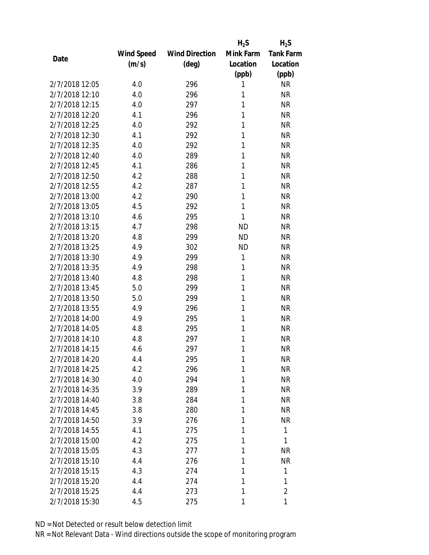|                |            |                       | $H_2S$    | $H_2S$           |
|----------------|------------|-----------------------|-----------|------------------|
|                | Wind Speed | <b>Wind Direction</b> | Mink Farm | <b>Tank Farm</b> |
| Date           | (m/s)      | (deg)                 | Location  | Location         |
|                |            |                       | (ppb)     | (ppb)            |
| 2/7/2018 12:05 | 4.0        | 296                   | 1         | <b>NR</b>        |
| 2/7/2018 12:10 | 4.0        | 296                   | 1         | <b>NR</b>        |
| 2/7/2018 12:15 | 4.0        | 297                   | 1         | <b>NR</b>        |
| 2/7/2018 12:20 | 4.1        | 296                   | 1         | <b>NR</b>        |
| 2/7/2018 12:25 | 4.0        | 292                   | 1         | <b>NR</b>        |
| 2/7/2018 12:30 | 4.1        | 292                   | 1         | <b>NR</b>        |
| 2/7/2018 12:35 | 4.0        | 292                   | 1         | <b>NR</b>        |
| 2/7/2018 12:40 | 4.0        | 289                   | 1         | <b>NR</b>        |
| 2/7/2018 12:45 | 4.1        | 286                   | 1         | <b>NR</b>        |
| 2/7/2018 12:50 | 4.2        | 288                   | 1         | <b>NR</b>        |
| 2/7/2018 12:55 | 4.2        | 287                   | 1         | <b>NR</b>        |
| 2/7/2018 13:00 | 4.2        | 290                   | 1         | <b>NR</b>        |
| 2/7/2018 13:05 | 4.5        | 292                   | 1         | <b>NR</b>        |
| 2/7/2018 13:10 | 4.6        | 295                   | 1         | <b>NR</b>        |
| 2/7/2018 13:15 | 4.7        | 298                   | <b>ND</b> | <b>NR</b>        |
| 2/7/2018 13:20 | 4.8        | 299                   | <b>ND</b> | <b>NR</b>        |
| 2/7/2018 13:25 | 4.9        | 302                   | <b>ND</b> | <b>NR</b>        |
| 2/7/2018 13:30 | 4.9        | 299                   | 1         | <b>NR</b>        |
| 2/7/2018 13:35 | 4.9        | 298                   | 1         | <b>NR</b>        |
| 2/7/2018 13:40 | 4.8        | 298                   | 1         | <b>NR</b>        |
| 2/7/2018 13:45 | 5.0        | 299                   | 1         | <b>NR</b>        |
| 2/7/2018 13:50 | 5.0        | 299                   | 1         | <b>NR</b>        |
| 2/7/2018 13:55 | 4.9        | 296                   | 1         | <b>NR</b>        |
| 2/7/2018 14:00 | 4.9        | 295                   | 1         | <b>NR</b>        |
| 2/7/2018 14:05 | 4.8        | 295                   | 1         | <b>NR</b>        |
| 2/7/2018 14:10 | 4.8        | 297                   | 1         | <b>NR</b>        |
| 2/7/2018 14:15 | 4.6        | 297                   | 1         | <b>NR</b>        |
| 2/7/2018 14:20 | 4.4        | 295                   | 1         | <b>NR</b>        |
| 2/7/2018 14:25 | 4.2        | 296                   | 1         | <b>NR</b>        |
| 2/7/2018 14:30 | 4.0        | 294                   | 1         | <b>NR</b>        |
| 2/7/2018 14:35 | 3.9        | 289                   | 1         | <b>NR</b>        |
| 2/7/2018 14:40 | 3.8        | 284                   | 1         | NR               |
| 2/7/2018 14:45 | 3.8        | 280                   | 1         | <b>NR</b>        |
| 2/7/2018 14:50 | 3.9        | 276                   | 1         | <b>NR</b>        |
| 2/7/2018 14:55 | 4.1        | 275                   | 1         | 1                |
| 2/7/2018 15:00 | 4.2        | 275                   | 1         | 1                |
| 2/7/2018 15:05 | 4.3        | 277                   | 1         | <b>NR</b>        |
| 2/7/2018 15:10 | 4.4        | 276                   | 1         | <b>NR</b>        |
| 2/7/2018 15:15 | 4.3        | 274                   | 1         | 1                |
| 2/7/2018 15:20 | 4.4        | 274                   | 1         | 1                |
| 2/7/2018 15:25 | 4.4        | 273                   | 1         | $\overline{2}$   |
| 2/7/2018 15:30 | 4.5        | 275                   | 1         | 1                |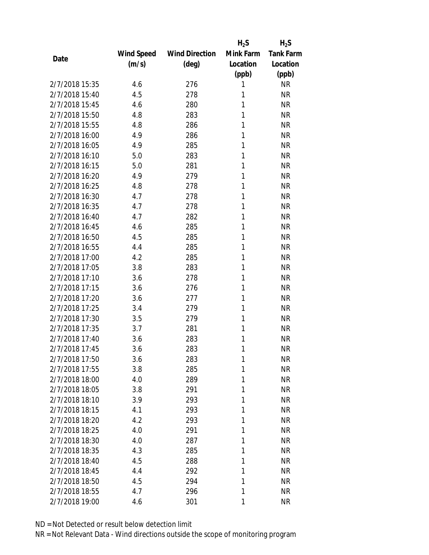|                |            |                       | $H_2S$    | $H_2S$           |
|----------------|------------|-----------------------|-----------|------------------|
|                | Wind Speed | <b>Wind Direction</b> | Mink Farm | <b>Tank Farm</b> |
| Date           | (m/s)      | (deg)                 | Location  | Location         |
|                |            |                       | (ppb)     | (ppb)            |
| 2/7/2018 15:35 | 4.6        | 276                   | 1         | <b>NR</b>        |
| 2/7/2018 15:40 | 4.5        | 278                   | 1         | <b>NR</b>        |
| 2/7/2018 15:45 | 4.6        | 280                   | 1         | <b>NR</b>        |
| 2/7/2018 15:50 | 4.8        | 283                   | 1         | <b>NR</b>        |
| 2/7/2018 15:55 | 4.8        | 286                   | 1         | <b>NR</b>        |
| 2/7/2018 16:00 | 4.9        | 286                   | 1         | <b>NR</b>        |
| 2/7/2018 16:05 | 4.9        | 285                   | 1         | <b>NR</b>        |
| 2/7/2018 16:10 | 5.0        | 283                   | 1         | <b>NR</b>        |
| 2/7/2018 16:15 | 5.0        | 281                   | 1         | <b>NR</b>        |
| 2/7/2018 16:20 | 4.9        | 279                   | 1         | <b>NR</b>        |
| 2/7/2018 16:25 | 4.8        | 278                   | 1         | <b>NR</b>        |
| 2/7/2018 16:30 | 4.7        | 278                   | 1         | <b>NR</b>        |
| 2/7/2018 16:35 | 4.7        | 278                   | 1         | <b>NR</b>        |
| 2/7/2018 16:40 | 4.7        | 282                   | 1         | <b>NR</b>        |
| 2/7/2018 16:45 | 4.6        | 285                   | 1         | <b>NR</b>        |
| 2/7/2018 16:50 | 4.5        | 285                   | 1         | <b>NR</b>        |
| 2/7/2018 16:55 | 4.4        | 285                   | 1         | <b>NR</b>        |
| 2/7/2018 17:00 | 4.2        | 285                   | 1         | <b>NR</b>        |
| 2/7/2018 17:05 | 3.8        | 283                   | 1         | <b>NR</b>        |
| 2/7/2018 17:10 | 3.6        | 278                   | 1         | <b>NR</b>        |
| 2/7/2018 17:15 | 3.6        | 276                   | 1         | <b>NR</b>        |
| 2/7/2018 17:20 | 3.6        | 277                   | 1         | <b>NR</b>        |
| 2/7/2018 17:25 | 3.4        | 279                   | 1         | <b>NR</b>        |
| 2/7/2018 17:30 | 3.5        | 279                   | 1         | <b>NR</b>        |
| 2/7/2018 17:35 | 3.7        | 281                   | 1         | <b>NR</b>        |
| 2/7/2018 17:40 | 3.6        | 283                   | 1         | <b>NR</b>        |
| 2/7/2018 17:45 | 3.6        | 283                   | 1         | <b>NR</b>        |
| 2/7/2018 17:50 | 3.6        | 283                   | 1         | <b>NR</b>        |
| 2/7/2018 17:55 | 3.8        | 285                   | 1         | <b>NR</b>        |
| 2/7/2018 18:00 | 4.0        | 289                   | 1         | <b>NR</b>        |
| 2/7/2018 18:05 | 3.8        | 291                   | 1         | <b>NR</b>        |
| 2/7/2018 18:10 | 3.9        | 293                   | 1         | <b>NR</b>        |
| 2/7/2018 18:15 | 4.1        | 293                   | 1         | <b>NR</b>        |
| 2/7/2018 18:20 | 4.2        | 293                   | 1         | <b>NR</b>        |
| 2/7/2018 18:25 | 4.0        | 291                   | 1         | <b>NR</b>        |
| 2/7/2018 18:30 | 4.0        | 287                   | 1         | <b>NR</b>        |
| 2/7/2018 18:35 | 4.3        | 285                   | 1         | <b>NR</b>        |
| 2/7/2018 18:40 | 4.5        | 288                   | 1         | <b>NR</b>        |
| 2/7/2018 18:45 | 4.4        | 292                   | 1         | <b>NR</b>        |
| 2/7/2018 18:50 | 4.5        | 294                   | 1         | <b>NR</b>        |
| 2/7/2018 18:55 | 4.7        | 296                   | 1         | <b>NR</b>        |
| 2/7/2018 19:00 | 4.6        | 301                   | 1         | <b>NR</b>        |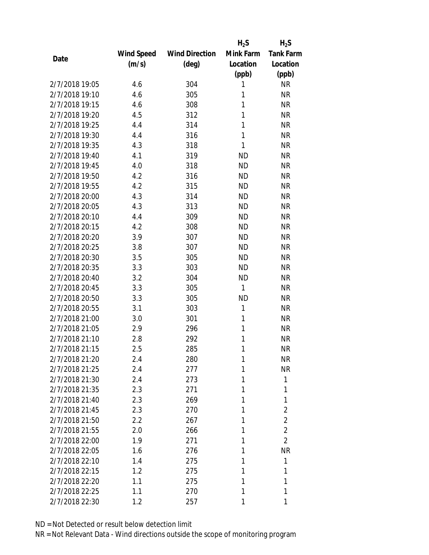|                |                   |                       | $H_2S$    | $H_2S$           |
|----------------|-------------------|-----------------------|-----------|------------------|
|                | <b>Wind Speed</b> | <b>Wind Direction</b> | Mink Farm | <b>Tank Farm</b> |
| Date           | (m/s)             | $(\text{deg})$        | Location  | Location         |
|                |                   |                       | (ppb)     | (ppb)            |
| 2/7/2018 19:05 | 4.6               | 304                   | 1         | <b>NR</b>        |
| 2/7/2018 19:10 | 4.6               | 305                   | 1         | <b>NR</b>        |
| 2/7/2018 19:15 | 4.6               | 308                   | 1         | <b>NR</b>        |
| 2/7/2018 19:20 | 4.5               | 312                   | 1         | <b>NR</b>        |
| 2/7/2018 19:25 | 4.4               | 314                   | 1         | <b>NR</b>        |
| 2/7/2018 19:30 | 4.4               | 316                   | 1         | <b>NR</b>        |
| 2/7/2018 19:35 | 4.3               | 318                   | 1         | <b>NR</b>        |
| 2/7/2018 19:40 | 4.1               | 319                   | <b>ND</b> | <b>NR</b>        |
| 2/7/2018 19:45 | 4.0               | 318                   | <b>ND</b> | <b>NR</b>        |
| 2/7/2018 19:50 | 4.2               | 316                   | <b>ND</b> | <b>NR</b>        |
| 2/7/2018 19:55 | 4.2               | 315                   | <b>ND</b> | <b>NR</b>        |
| 2/7/2018 20:00 | 4.3               | 314                   | <b>ND</b> | <b>NR</b>        |
| 2/7/2018 20:05 | 4.3               | 313                   | <b>ND</b> | <b>NR</b>        |
| 2/7/2018 20:10 | 4.4               | 309                   | <b>ND</b> | <b>NR</b>        |
| 2/7/2018 20:15 | 4.2               | 308                   | <b>ND</b> | <b>NR</b>        |
| 2/7/2018 20:20 | 3.9               | 307                   | <b>ND</b> | <b>NR</b>        |
| 2/7/2018 20:25 | 3.8               | 307                   | <b>ND</b> | <b>NR</b>        |
| 2/7/2018 20:30 | 3.5               | 305                   | <b>ND</b> | <b>NR</b>        |
| 2/7/2018 20:35 | 3.3               | 303                   | <b>ND</b> | <b>NR</b>        |
| 2/7/2018 20:40 | 3.2               | 304                   | <b>ND</b> | <b>NR</b>        |
| 2/7/2018 20:45 | 3.3               | 305                   | 1         | <b>NR</b>        |
| 2/7/2018 20:50 | 3.3               | 305                   | <b>ND</b> | <b>NR</b>        |
| 2/7/2018 20:55 | 3.1               | 303                   | 1         | <b>NR</b>        |
| 2/7/2018 21:00 | 3.0               | 301                   | 1         | <b>NR</b>        |
| 2/7/2018 21:05 | 2.9               | 296                   | 1         | <b>NR</b>        |
| 2/7/2018 21:10 | 2.8               | 292                   | 1         | <b>NR</b>        |
| 2/7/2018 21:15 | 2.5               | 285                   | 1         | <b>NR</b>        |
| 2/7/2018 21:20 | 2.4               | 280                   | 1         | <b>NR</b>        |
| 2/7/2018 21:25 | 2.4               | 277                   | 1         | <b>NR</b>        |
| 2/7/2018 21:30 | 2.4               | 273                   | 1         | 1                |
| 2/7/2018 21:35 | 2.3               | 271                   | 1         | 1                |
| 2/7/2018 21:40 | 2.3               | 269                   | 1         | 1                |
| 2/7/2018 21:45 | 2.3               | 270                   | 1         | $\overline{2}$   |
| 2/7/2018 21:50 | 2.2               | 267                   | 1         | $\overline{2}$   |
| 2/7/2018 21:55 | 2.0               | 266                   | 1         | $\overline{2}$   |
| 2/7/2018 22:00 | 1.9               | 271                   | 1         | $\overline{2}$   |
| 2/7/2018 22:05 | 1.6               | 276                   | 1         | <b>NR</b>        |
| 2/7/2018 22:10 | 1.4               | 275                   | 1         | 1                |
| 2/7/2018 22:15 | 1.2               | 275                   | 1         | 1                |
| 2/7/2018 22:20 | 1.1               | 275                   | 1         | 1                |
| 2/7/2018 22:25 | 1.1               | 270                   | 1         | 1                |
| 2/7/2018 22:30 | 1.2               | 257                   | 1         | 1                |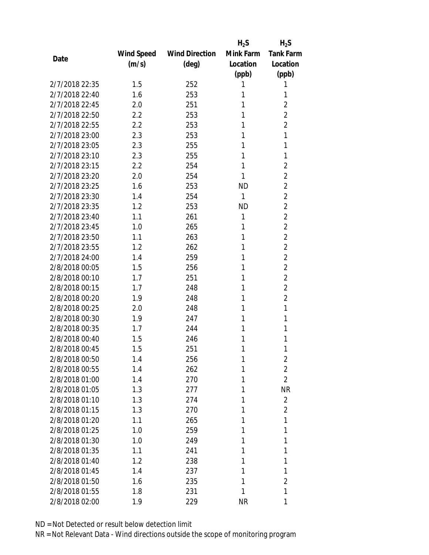|                |            |                       | $H_2S$       | $H_2S$           |
|----------------|------------|-----------------------|--------------|------------------|
|                | Wind Speed | <b>Wind Direction</b> | Mink Farm    | <b>Tank Farm</b> |
| Date           | (m/s)      | $(\text{deg})$        | Location     | Location         |
|                |            |                       | (ppb)        | (ppb)            |
| 2/7/2018 22:35 | 1.5        | 252                   | 1            | 1                |
| 2/7/2018 22:40 | 1.6        | 253                   | 1            | 1                |
| 2/7/2018 22:45 | 2.0        | 251                   | 1            | $\overline{2}$   |
| 2/7/2018 22:50 | 2.2        | 253                   | 1            | $\overline{2}$   |
| 2/7/2018 22:55 | 2.2        | 253                   | 1            | $\overline{2}$   |
| 2/7/2018 23:00 | 2.3        | 253                   | 1            | 1                |
| 2/7/2018 23:05 | 2.3        | 255                   | 1            | 1                |
| 2/7/2018 23:10 | 2.3        | 255                   | 1            | 1                |
| 2/7/2018 23:15 | 2.2        | 254                   | 1            | $\overline{2}$   |
| 2/7/2018 23:20 | 2.0        | 254                   | 1            | $\overline{2}$   |
| 2/7/2018 23:25 | 1.6        | 253                   | <b>ND</b>    | $\overline{2}$   |
| 2/7/2018 23:30 | 1.4        | 254                   | $\mathbf{1}$ | $\overline{2}$   |
| 2/7/2018 23:35 | 1.2        | 253                   | <b>ND</b>    | $\overline{2}$   |
| 2/7/2018 23:40 | 1.1        | 261                   | 1            | $\overline{2}$   |
| 2/7/2018 23:45 | 1.0        | 265                   | 1            | $\overline{2}$   |
| 2/7/2018 23:50 | 1.1        | 263                   | 1            | $\overline{2}$   |
| 2/7/2018 23:55 | 1.2        | 262                   | 1            | $\overline{2}$   |
| 2/7/2018 24:00 | 1.4        | 259                   | 1            | $\overline{2}$   |
| 2/8/2018 00:05 | 1.5        | 256                   | 1            | $\overline{2}$   |
| 2/8/2018 00:10 | 1.7        | 251                   | 1            | $\overline{2}$   |
| 2/8/2018 00:15 | 1.7        | 248                   | 1            | $\overline{2}$   |
| 2/8/2018 00:20 | 1.9        | 248                   | 1            | $\overline{2}$   |
| 2/8/2018 00:25 | 2.0        | 248                   | 1            | 1                |
| 2/8/2018 00:30 | 1.9        | 247                   | 1            | 1                |
| 2/8/2018 00:35 | 1.7        | 244                   | 1            | 1                |
| 2/8/2018 00:40 | 1.5        | 246                   | 1            | 1                |
| 2/8/2018 00:45 | 1.5        | 251                   | 1            | 1                |
| 2/8/2018 00:50 | 1.4        | 256                   | 1            | $\overline{2}$   |
| 2/8/2018 00:55 | 1.4        | 262                   | 1            | $\overline{2}$   |
| 2/8/2018 01:00 | 1.4        | 270                   | 1            | $\overline{2}$   |
| 2/8/2018 01:05 | 1.3        | 277                   | 1            | <b>NR</b>        |
| 2/8/2018 01:10 | 1.3        | 274                   | 1            | $\overline{2}$   |
| 2/8/2018 01:15 | 1.3        | 270                   | 1            | $\overline{2}$   |
| 2/8/2018 01:20 | 1.1        | 265                   | 1            | 1                |
| 2/8/2018 01:25 | 1.0        | 259                   | 1            | 1                |
| 2/8/2018 01:30 | 1.0        | 249                   | 1            | 1                |
| 2/8/2018 01:35 | 1.1        | 241                   | 1            | 1                |
| 2/8/2018 01:40 | 1.2        | 238                   | 1            | 1                |
| 2/8/2018 01:45 | 1.4        | 237                   | 1            | 1                |
| 2/8/2018 01:50 | 1.6        | 235                   | 1            | $\overline{2}$   |
| 2/8/2018 01:55 | 1.8        | 231                   | 1            | 1                |
| 2/8/2018 02:00 | 1.9        | 229                   | <b>NR</b>    | 1                |
|                |            |                       |              |                  |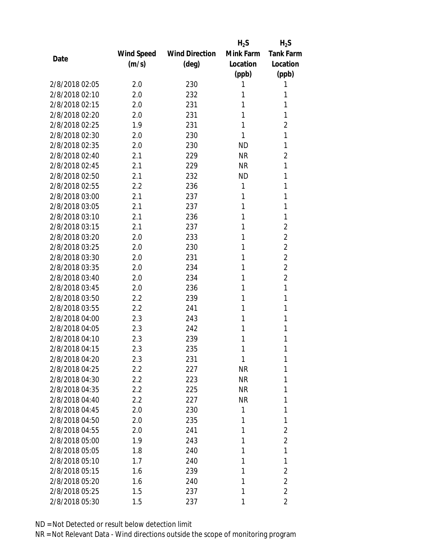|                |            |                       | $H_2S$    | $H_2S$           |
|----------------|------------|-----------------------|-----------|------------------|
|                | Wind Speed | <b>Wind Direction</b> | Mink Farm | <b>Tank Farm</b> |
| Date           | (m/s)      | $(\text{deg})$        | Location  | Location         |
|                |            |                       | (ppb)     | (ppb)            |
| 2/8/2018 02:05 | 2.0        | 230                   | 1         | 1                |
| 2/8/2018 02:10 | 2.0        | 232                   | 1         | 1                |
| 2/8/2018 02:15 | 2.0        | 231                   | 1         | 1                |
| 2/8/2018 02:20 | 2.0        | 231                   | 1         | 1                |
| 2/8/2018 02:25 | 1.9        | 231                   | 1         | $\overline{2}$   |
| 2/8/2018 02:30 | 2.0        | 230                   | 1         | 1                |
| 2/8/2018 02:35 | 2.0        | 230                   | <b>ND</b> | 1                |
| 2/8/2018 02:40 | 2.1        | 229                   | <b>NR</b> | $\overline{2}$   |
| 2/8/2018 02:45 | 2.1        | 229                   | <b>NR</b> | 1                |
| 2/8/2018 02:50 | 2.1        | 232                   | <b>ND</b> | 1                |
| 2/8/2018 02:55 | 2.2        | 236                   | 1         | 1                |
| 2/8/2018 03:00 | 2.1        | 237                   | 1         | 1                |
| 2/8/2018 03:05 | 2.1        | 237                   | 1         | 1                |
| 2/8/2018 03:10 | 2.1        | 236                   | 1         | 1                |
| 2/8/2018 03:15 | 2.1        | 237                   | 1         | $\overline{2}$   |
| 2/8/2018 03:20 | 2.0        | 233                   | 1         | $\overline{2}$   |
| 2/8/2018 03:25 | 2.0        | 230                   | 1         | $\overline{2}$   |
| 2/8/2018 03:30 | 2.0        | 231                   | 1         | $\overline{2}$   |
| 2/8/2018 03:35 | 2.0        | 234                   | 1         | $\overline{2}$   |
| 2/8/2018 03:40 | 2.0        | 234                   | 1         | $\overline{2}$   |
| 2/8/2018 03:45 | 2.0        | 236                   | 1         | 1                |
| 2/8/2018 03:50 | 2.2        | 239                   | 1         | 1                |
| 2/8/2018 03:55 | 2.2        | 241                   | 1         | 1                |
| 2/8/2018 04:00 | 2.3        | 243                   | 1         | 1                |
| 2/8/2018 04:05 | 2.3        | 242                   | 1         | 1                |
| 2/8/2018 04:10 | 2.3        | 239                   | 1         | 1                |
| 2/8/2018 04:15 | 2.3        | 235                   | 1         | 1                |
| 2/8/2018 04:20 | 2.3        | 231                   | 1         | 1                |
| 2/8/2018 04:25 | 2.2        | 227                   | <b>NR</b> | 1                |
| 2/8/2018 04:30 | $2.2\,$    | 223                   | <b>NR</b> | 1                |
| 2/8/2018 04:35 | 2.2        | 225                   | <b>NR</b> | 1                |
| 2/8/2018 04:40 | 2.2        | 227                   | <b>NR</b> | 1                |
| 2/8/2018 04:45 | 2.0        | 230                   | 1         | 1                |
| 2/8/2018 04:50 | 2.0        | 235                   | 1         | 1                |
| 2/8/2018 04:55 | 2.0        | 241                   | 1         | $\overline{2}$   |
| 2/8/2018 05:00 | 1.9        | 243                   | 1         | $\overline{2}$   |
| 2/8/2018 05:05 | 1.8        | 240                   | 1         | 1                |
| 2/8/2018 05:10 | 1.7        | 240                   | 1         | 1                |
| 2/8/2018 05:15 | 1.6        | 239                   | 1         | $\overline{2}$   |
| 2/8/2018 05:20 | 1.6        | 240                   | 1         | $\overline{2}$   |
| 2/8/2018 05:25 | 1.5        | 237                   | 1         | $\overline{2}$   |
| 2/8/2018 05:30 | 1.5        | 237                   | 1         | $\overline{2}$   |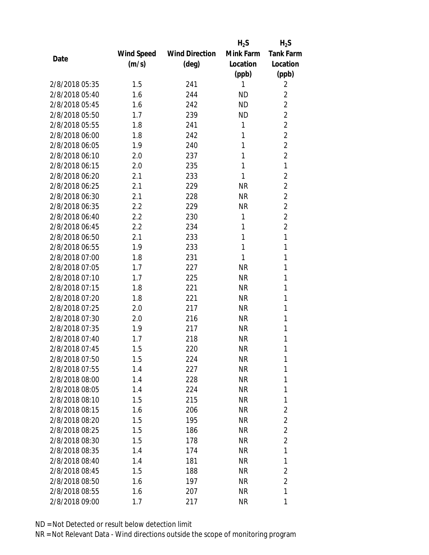|                |            |                       | $H_2S$    | $H_2S$           |
|----------------|------------|-----------------------|-----------|------------------|
|                | Wind Speed | <b>Wind Direction</b> | Mink Farm | <b>Tank Farm</b> |
| Date           | (m/s)      | (deg)                 | Location  | Location         |
|                |            |                       | (ppb)     | (ppb)            |
| 2/8/2018 05:35 | 1.5        | 241                   | 1         | 2                |
| 2/8/2018 05:40 | 1.6        | 244                   | <b>ND</b> | $\overline{2}$   |
| 2/8/2018 05:45 | 1.6        | 242                   | <b>ND</b> | $\overline{2}$   |
| 2/8/2018 05:50 | 1.7        | 239                   | <b>ND</b> | $\overline{2}$   |
| 2/8/2018 05:55 | 1.8        | 241                   | 1         | $\overline{2}$   |
| 2/8/2018 06:00 | 1.8        | 242                   | 1         | $\overline{2}$   |
| 2/8/2018 06:05 | 1.9        | 240                   | 1         | $\overline{2}$   |
| 2/8/2018 06:10 | 2.0        | 237                   | 1         | $\overline{2}$   |
| 2/8/2018 06:15 | 2.0        | 235                   | 1         | 1                |
| 2/8/2018 06:20 | 2.1        | 233                   | 1         | $\overline{2}$   |
| 2/8/2018 06:25 | 2.1        | 229                   | <b>NR</b> | $\overline{2}$   |
| 2/8/2018 06:30 | 2.1        | 228                   | <b>NR</b> | $\overline{2}$   |
| 2/8/2018 06:35 | 2.2        | 229                   | <b>NR</b> | $\overline{2}$   |
| 2/8/2018 06:40 | 2.2        | 230                   | 1         | $\overline{2}$   |
| 2/8/2018 06:45 | 2.2        | 234                   | 1         | $\overline{2}$   |
| 2/8/2018 06:50 | 2.1        | 233                   | 1         | 1                |
| 2/8/2018 06:55 | 1.9        | 233                   | 1         | 1                |
| 2/8/2018 07:00 | 1.8        | 231                   | 1         | 1                |
| 2/8/2018 07:05 | 1.7        | 227                   | <b>NR</b> | 1                |
| 2/8/2018 07:10 | 1.7        | 225                   | <b>NR</b> | 1                |
| 2/8/2018 07:15 | 1.8        | 221                   | <b>NR</b> | 1                |
| 2/8/2018 07:20 | 1.8        | 221                   | <b>NR</b> | 1                |
| 2/8/2018 07:25 | 2.0        | 217                   | <b>NR</b> | 1                |
| 2/8/2018 07:30 | 2.0        | 216                   | <b>NR</b> | 1                |
| 2/8/2018 07:35 | 1.9        | 217                   | <b>NR</b> | 1                |
| 2/8/2018 07:40 | 1.7        | 218                   | <b>NR</b> | 1                |
| 2/8/2018 07:45 | 1.5        | 220                   | <b>NR</b> | 1                |
| 2/8/2018 07:50 | 1.5        | 224                   | ΝR        | 1                |
| 2/8/2018 07:55 | 1.4        | 227                   | <b>NR</b> | 1                |
| 2/8/2018 08:00 | 1.4        | 228                   | <b>NR</b> | 1                |
| 2/8/2018 08:05 | 1.4        | 224                   | <b>NR</b> | 1                |
| 2/8/2018 08:10 | 1.5        | 215                   | <b>NR</b> | 1                |
| 2/8/2018 08:15 | 1.6        | 206                   | NR        | $\overline{2}$   |
| 2/8/2018 08:20 | 1.5        | 195                   | <b>NR</b> | $\overline{2}$   |
| 2/8/2018 08:25 | 1.5        | 186                   | NR        | $\overline{2}$   |
| 2/8/2018 08:30 | 1.5        | 178                   | <b>NR</b> | $\overline{2}$   |
| 2/8/2018 08:35 | 1.4        | 174                   | ΝR        | 1                |
| 2/8/2018 08:40 | 1.4        | 181                   | ΝR        | 1                |
| 2/8/2018 08:45 | 1.5        | 188                   | <b>NR</b> | $\overline{2}$   |
| 2/8/2018 08:50 | 1.6        | 197                   | NR        | $\overline{2}$   |
| 2/8/2018 08:55 | 1.6        | 207                   | <b>NR</b> | 1                |
| 2/8/2018 09:00 | 1.7        | 217                   | <b>NR</b> | 1                |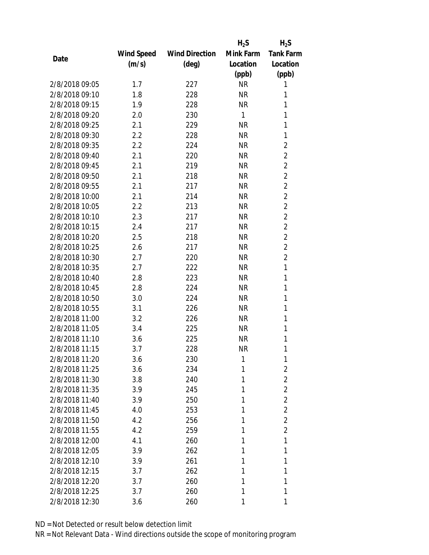|                |                   |                       | $H_2S$    | $H_2S$           |
|----------------|-------------------|-----------------------|-----------|------------------|
|                | <b>Wind Speed</b> | <b>Wind Direction</b> | Mink Farm | <b>Tank Farm</b> |
| Date           | (m/s)             | $(\text{deg})$        | Location  | Location         |
|                |                   |                       | (ppb)     | (ppb)            |
| 2/8/2018 09:05 | 1.7               | 227                   | <b>NR</b> | 1                |
| 2/8/2018 09:10 | 1.8               | 228                   | <b>NR</b> | 1                |
| 2/8/2018 09:15 | 1.9               | 228                   | <b>NR</b> | 1                |
| 2/8/2018 09:20 | 2.0               | 230                   | 1         | 1                |
| 2/8/2018 09:25 | 2.1               | 229                   | <b>NR</b> | 1                |
| 2/8/2018 09:30 | 2.2               | 228                   | <b>NR</b> | 1                |
| 2/8/2018 09:35 | 2.2               | 224                   | <b>NR</b> | $\overline{2}$   |
| 2/8/2018 09:40 | 2.1               | 220                   | <b>NR</b> | $\overline{2}$   |
| 2/8/2018 09:45 | 2.1               | 219                   | <b>NR</b> | $\overline{2}$   |
| 2/8/2018 09:50 | 2.1               | 218                   | <b>NR</b> | $\overline{2}$   |
| 2/8/2018 09:55 | 2.1               | 217                   | <b>NR</b> | $\overline{2}$   |
| 2/8/2018 10:00 | 2.1               | 214                   | <b>NR</b> | $\overline{2}$   |
| 2/8/2018 10:05 | 2.2               | 213                   | <b>NR</b> | $\overline{2}$   |
| 2/8/2018 10:10 | 2.3               | 217                   | <b>NR</b> | $\overline{2}$   |
| 2/8/2018 10:15 | 2.4               | 217                   | <b>NR</b> | $\overline{2}$   |
| 2/8/2018 10:20 | 2.5               | 218                   | <b>NR</b> | $\overline{2}$   |
| 2/8/2018 10:25 | 2.6               | 217                   | <b>NR</b> | $\overline{2}$   |
| 2/8/2018 10:30 | 2.7               | 220                   | <b>NR</b> | $\overline{2}$   |
| 2/8/2018 10:35 | 2.7               | 222                   | <b>NR</b> | 1                |
| 2/8/2018 10:40 | 2.8               | 223                   | <b>NR</b> | 1                |
| 2/8/2018 10:45 | 2.8               | 224                   | <b>NR</b> | 1                |
| 2/8/2018 10:50 | 3.0               | 224                   | <b>NR</b> | 1                |
| 2/8/2018 10:55 | 3.1               | 226                   | <b>NR</b> | 1                |
| 2/8/2018 11:00 | 3.2               | 226                   | <b>NR</b> | 1                |
| 2/8/2018 11:05 | 3.4               | 225                   | <b>NR</b> | 1                |
| 2/8/2018 11:10 | 3.6               | 225                   | <b>NR</b> | 1                |
| 2/8/2018 11:15 | 3.7               | 228                   | <b>NR</b> | 1                |
| 2/8/2018 11:20 | 3.6               | 230                   | 1         | 1                |
| 2/8/2018 11:25 | 3.6               | 234                   | 1         | $\overline{2}$   |
| 2/8/2018 11:30 | 3.8               | 240                   | 1         | $\overline{2}$   |
| 2/8/2018 11:35 | 3.9               | 245                   | 1         | $\overline{2}$   |
| 2/8/2018 11:40 | 3.9               | 250                   | 1         | $\overline{2}$   |
| 2/8/2018 11:45 | 4.0               | 253                   | 1         | $\overline{2}$   |
| 2/8/2018 11:50 | 4.2               | 256                   | 1         | $\overline{2}$   |
| 2/8/2018 11:55 | 4.2               | 259                   | 1         | $\overline{2}$   |
| 2/8/2018 12:00 | 4.1               | 260                   | 1         | 1                |
| 2/8/2018 12:05 | 3.9               | 262                   | 1         | 1                |
| 2/8/2018 12:10 | 3.9               | 261                   | 1         | 1                |
| 2/8/2018 12:15 | 3.7               | 262                   | 1         | 1                |
| 2/8/2018 12:20 | 3.7               | 260                   | 1         | 1                |
| 2/8/2018 12:25 | 3.7               | 260                   | 1         | 1                |
| 2/8/2018 12:30 | 3.6               | 260                   | 1         | 1                |
|                |                   |                       |           |                  |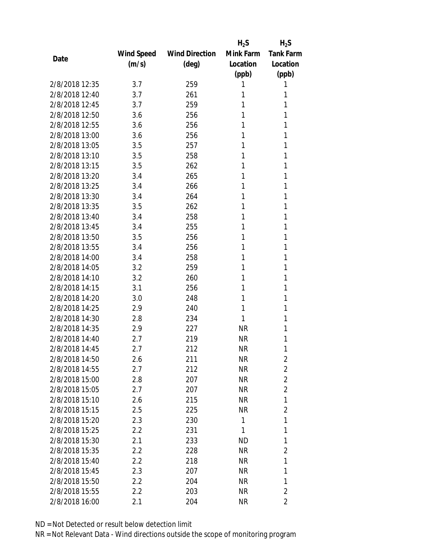|                |            |                       | $H_2S$    | $H_2S$           |
|----------------|------------|-----------------------|-----------|------------------|
|                | Wind Speed | <b>Wind Direction</b> | Mink Farm | <b>Tank Farm</b> |
| Date           | (m/s)      | $(\text{deg})$        | Location  | Location         |
|                |            |                       | (ppb)     | (ppb)            |
| 2/8/2018 12:35 | 3.7        | 259                   | 1         | 1                |
| 2/8/2018 12:40 | 3.7        | 261                   | 1         | 1                |
| 2/8/2018 12:45 | 3.7        | 259                   | 1         | 1                |
| 2/8/2018 12:50 | 3.6        | 256                   | 1         | 1                |
| 2/8/2018 12:55 | 3.6        | 256                   | 1         | 1                |
| 2/8/2018 13:00 | 3.6        | 256                   | 1         | 1                |
| 2/8/2018 13:05 | 3.5        | 257                   | 1         | 1                |
| 2/8/2018 13:10 | 3.5        | 258                   | 1         | 1                |
| 2/8/2018 13:15 | 3.5        | 262                   | 1         | 1                |
| 2/8/2018 13:20 | 3.4        | 265                   | 1         | 1                |
| 2/8/2018 13:25 | 3.4        | 266                   | 1         | 1                |
| 2/8/2018 13:30 | 3.4        | 264                   | 1         | 1                |
| 2/8/2018 13:35 | 3.5        | 262                   | 1         | 1                |
| 2/8/2018 13:40 | 3.4        | 258                   | 1         | 1                |
| 2/8/2018 13:45 | 3.4        | 255                   | 1         | 1                |
| 2/8/2018 13:50 | 3.5        | 256                   | 1         | 1                |
| 2/8/2018 13:55 | 3.4        | 256                   | 1         | 1                |
| 2/8/2018 14:00 | 3.4        | 258                   | 1         | 1                |
| 2/8/2018 14:05 | 3.2        | 259                   | 1         | 1                |
| 2/8/2018 14:10 | 3.2        | 260                   | 1         | 1                |
| 2/8/2018 14:15 | 3.1        | 256                   | 1         | 1                |
| 2/8/2018 14:20 | 3.0        | 248                   | 1         | 1                |
| 2/8/2018 14:25 | 2.9        | 240                   | 1         | 1                |
| 2/8/2018 14:30 | 2.8        | 234                   | 1         | 1                |
| 2/8/2018 14:35 | 2.9        | 227                   | <b>NR</b> | 1                |
| 2/8/2018 14:40 | 2.7        | 219                   | <b>NR</b> | 1                |
| 2/8/2018 14:45 | 2.7        | 212                   | <b>NR</b> | 1                |
| 2/8/2018 14:50 | 2.6        | 211                   | ΝR        | $\overline{2}$   |
| 2/8/2018 14:55 | 2.7        | 212                   | <b>NR</b> | $\overline{2}$   |
| 2/8/2018 15:00 | 2.8        | 207                   | NR        | $\overline{2}$   |
| 2/8/2018 15:05 | 2.7        | 207                   | <b>NR</b> | $\overline{2}$   |
| 2/8/2018 15:10 | 2.6        | 215                   | ΝR        | 1                |
| 2/8/2018 15:15 | 2.5        | 225                   | ΝR        | $\overline{2}$   |
| 2/8/2018 15:20 | 2.3        | 230                   | 1         | 1                |
| 2/8/2018 15:25 | 2.2        | 231                   | 1         | 1                |
| 2/8/2018 15:30 | 2.1        | 233                   | <b>ND</b> | 1                |
| 2/8/2018 15:35 | 2.2        | 228                   | NR        | $\overline{2}$   |
| 2/8/2018 15:40 | 2.2        | 218                   | ΝR        | 1                |
| 2/8/2018 15:45 | 2.3        | 207                   | ΝR        | 1                |
| 2/8/2018 15:50 | 2.2        | 204                   | NR        | 1                |
| 2/8/2018 15:55 | 2.2        | 203                   | <b>NR</b> | $\overline{2}$   |
| 2/8/2018 16:00 | 2.1        | 204                   | <b>NR</b> | $\overline{2}$   |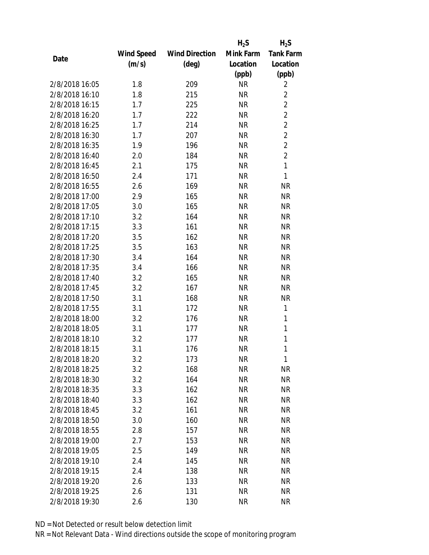|                |                   |                       | $H_2S$    | $H_2S$           |
|----------------|-------------------|-----------------------|-----------|------------------|
|                | <b>Wind Speed</b> | <b>Wind Direction</b> | Mink Farm | <b>Tank Farm</b> |
| Date           | (m/s)             | $(\text{deg})$        | Location  | Location         |
|                |                   |                       | (ppb)     | (ppb)            |
| 2/8/2018 16:05 | 1.8               | 209                   | <b>NR</b> | $\overline{2}$   |
| 2/8/2018 16:10 | 1.8               | 215                   | <b>NR</b> | $\overline{2}$   |
| 2/8/2018 16:15 | 1.7               | 225                   | <b>NR</b> | $\overline{2}$   |
| 2/8/2018 16:20 | 1.7               | 222                   | <b>NR</b> | $\overline{2}$   |
| 2/8/2018 16:25 | 1.7               | 214                   | <b>NR</b> | $\overline{2}$   |
| 2/8/2018 16:30 | 1.7               | 207                   | <b>NR</b> | $\overline{2}$   |
| 2/8/2018 16:35 | 1.9               | 196                   | <b>NR</b> | $\overline{2}$   |
| 2/8/2018 16:40 | 2.0               | 184                   | <b>NR</b> | $\overline{c}$   |
| 2/8/2018 16:45 | 2.1               | 175                   | <b>NR</b> | $\mathbf{1}$     |
| 2/8/2018 16:50 | 2.4               | 171                   | <b>NR</b> | 1                |
| 2/8/2018 16:55 | 2.6               | 169                   | <b>NR</b> | <b>NR</b>        |
| 2/8/2018 17:00 | 2.9               | 165                   | <b>NR</b> | <b>NR</b>        |
| 2/8/2018 17:05 | 3.0               | 165                   | <b>NR</b> | <b>NR</b>        |
| 2/8/2018 17:10 | 3.2               | 164                   | <b>NR</b> | <b>NR</b>        |
| 2/8/2018 17:15 | 3.3               | 161                   | <b>NR</b> | <b>NR</b>        |
| 2/8/2018 17:20 | 3.5               | 162                   | <b>NR</b> | <b>NR</b>        |
| 2/8/2018 17:25 | 3.5               | 163                   | <b>NR</b> | <b>NR</b>        |
| 2/8/2018 17:30 | 3.4               | 164                   | <b>NR</b> | <b>NR</b>        |
| 2/8/2018 17:35 | 3.4               | 166                   | <b>NR</b> | <b>NR</b>        |
| 2/8/2018 17:40 | 3.2               | 165                   | <b>NR</b> | <b>NR</b>        |
| 2/8/2018 17:45 | 3.2               | 167                   | <b>NR</b> | <b>NR</b>        |
| 2/8/2018 17:50 | 3.1               | 168                   | <b>NR</b> | <b>NR</b>        |
| 2/8/2018 17:55 | 3.1               | 172                   | <b>NR</b> | 1                |
| 2/8/2018 18:00 | 3.2               | 176                   | <b>NR</b> | 1                |
| 2/8/2018 18:05 | 3.1               | 177                   | <b>NR</b> | 1                |
| 2/8/2018 18:10 | 3.2               | 177                   | <b>NR</b> | $\mathbf{1}$     |
| 2/8/2018 18:15 | 3.1               | 176                   | <b>NR</b> | 1                |
| 2/8/2018 18:20 | 3.2               | 173                   | <b>NR</b> | 1                |
| 2/8/2018 18:25 | 3.2               | 168                   | <b>NR</b> | <b>NR</b>        |
| 2/8/2018 18:30 | 3.2               | 164                   | ΝR        | <b>NR</b>        |
| 2/8/2018 18:35 | 3.3               | 162                   | <b>NR</b> | <b>NR</b>        |
| 2/8/2018 18:40 | 3.3               | 162                   | <b>NR</b> | <b>NR</b>        |
| 2/8/2018 18:45 | 3.2               | 161                   | NR        | <b>NR</b>        |
| 2/8/2018 18:50 | 3.0               | 160                   | <b>NR</b> | <b>NR</b>        |
| 2/8/2018 18:55 | 2.8               | 157                   | NR        | <b>NR</b>        |
| 2/8/2018 19:00 | 2.7               | 153                   | <b>NR</b> | <b>NR</b>        |
| 2/8/2018 19:05 | 2.5               | 149                   | <b>NR</b> | <b>NR</b>        |
| 2/8/2018 19:10 | 2.4               | 145                   | ΝR        | <b>NR</b>        |
| 2/8/2018 19:15 | 2.4               | 138                   | <b>NR</b> | <b>NR</b>        |
| 2/8/2018 19:20 | 2.6               | 133                   | ΝR        | <b>NR</b>        |
| 2/8/2018 19:25 | 2.6               | 131                   | <b>NR</b> | <b>NR</b>        |
| 2/8/2018 19:30 | 2.6               | 130                   | <b>NR</b> | <b>NR</b>        |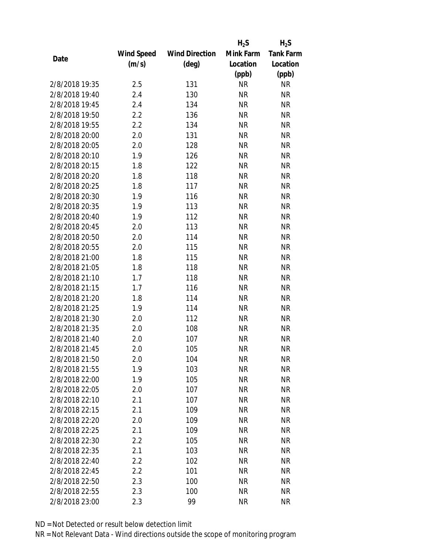|                |                   |                       | $H_2S$    | $H_2S$           |
|----------------|-------------------|-----------------------|-----------|------------------|
|                | <b>Wind Speed</b> | <b>Wind Direction</b> | Mink Farm | <b>Tank Farm</b> |
| Date           | (m/s)             | $(\text{deg})$        | Location  | Location         |
|                |                   |                       | (ppb)     | (ppb)            |
| 2/8/2018 19:35 | 2.5               | 131                   | <b>NR</b> | NR               |
| 2/8/2018 19:40 | 2.4               | 130                   | <b>NR</b> | <b>NR</b>        |
| 2/8/2018 19:45 | 2.4               | 134                   | <b>NR</b> | <b>NR</b>        |
| 2/8/2018 19:50 | 2.2               | 136                   | <b>NR</b> | <b>NR</b>        |
| 2/8/2018 19:55 | 2.2               | 134                   | <b>NR</b> | <b>NR</b>        |
| 2/8/2018 20:00 | 2.0               | 131                   | <b>NR</b> | <b>NR</b>        |
| 2/8/2018 20:05 | 2.0               | 128                   | <b>NR</b> | <b>NR</b>        |
| 2/8/2018 20:10 | 1.9               | 126                   | <b>NR</b> | <b>NR</b>        |
| 2/8/2018 20:15 | 1.8               | 122                   | <b>NR</b> | <b>NR</b>        |
| 2/8/2018 20:20 | 1.8               | 118                   | <b>NR</b> | <b>NR</b>        |
| 2/8/2018 20:25 | 1.8               | 117                   | <b>NR</b> | <b>NR</b>        |
| 2/8/2018 20:30 | 1.9               | 116                   | <b>NR</b> | <b>NR</b>        |
| 2/8/2018 20:35 | 1.9               | 113                   | <b>NR</b> | <b>NR</b>        |
| 2/8/2018 20:40 | 1.9               | 112                   | <b>NR</b> | <b>NR</b>        |
| 2/8/2018 20:45 | 2.0               | 113                   | <b>NR</b> | <b>NR</b>        |
| 2/8/2018 20:50 | 2.0               | 114                   | <b>NR</b> | <b>NR</b>        |
| 2/8/2018 20:55 | 2.0               | 115                   | <b>NR</b> | <b>NR</b>        |
| 2/8/2018 21:00 | 1.8               | 115                   | <b>NR</b> | <b>NR</b>        |
| 2/8/2018 21:05 | 1.8               | 118                   | <b>NR</b> | <b>NR</b>        |
| 2/8/2018 21:10 | 1.7               | 118                   | <b>NR</b> | <b>NR</b>        |
| 2/8/2018 21:15 | 1.7               | 116                   | <b>NR</b> | <b>NR</b>        |
| 2/8/2018 21:20 | 1.8               | 114                   | <b>NR</b> | <b>NR</b>        |
| 2/8/2018 21:25 | 1.9               | 114                   | <b>NR</b> | <b>NR</b>        |
| 2/8/2018 21:30 | 2.0               | 112                   | <b>NR</b> | <b>NR</b>        |
| 2/8/2018 21:35 | 2.0               | 108                   | <b>NR</b> | <b>NR</b>        |
| 2/8/2018 21:40 | 2.0               | 107                   | <b>NR</b> | <b>NR</b>        |
| 2/8/2018 21:45 | 2.0               | 105                   | <b>NR</b> | <b>NR</b>        |
| 2/8/2018 21:50 | 2.0               | 104                   | <b>NR</b> | <b>NR</b>        |
| 2/8/2018 21:55 | 1.9               | 103                   | <b>NR</b> | <b>NR</b>        |
| 2/8/2018 22:00 | 1.9               | 105                   | <b>NR</b> | <b>NR</b>        |
| 2/8/2018 22:05 | 2.0               | 107                   | <b>NR</b> | <b>NR</b>        |
| 2/8/2018 22:10 | 2.1               | 107                   | <b>NR</b> | <b>NR</b>        |
| 2/8/2018 22:15 | 2.1               | 109                   | <b>NR</b> | <b>NR</b>        |
| 2/8/2018 22:20 | 2.0               | 109                   | <b>NR</b> | <b>NR</b>        |
| 2/8/2018 22:25 | 2.1               | 109                   | <b>NR</b> | <b>NR</b>        |
| 2/8/2018 22:30 | $2.2\,$           | 105                   | <b>NR</b> | <b>NR</b>        |
| 2/8/2018 22:35 | 2.1               | 103                   | <b>NR</b> | <b>NR</b>        |
| 2/8/2018 22:40 | $2.2\,$           | 102                   | <b>NR</b> | <b>NR</b>        |
| 2/8/2018 22:45 | 2.2               | 101                   | <b>NR</b> | <b>NR</b>        |
| 2/8/2018 22:50 | 2.3               | 100                   | <b>NR</b> | <b>NR</b>        |
| 2/8/2018 22:55 | 2.3               | 100                   | <b>NR</b> | <b>NR</b>        |
| 2/8/2018 23:00 | 2.3               | 99                    | <b>NR</b> | <b>NR</b>        |
|                |                   |                       |           |                  |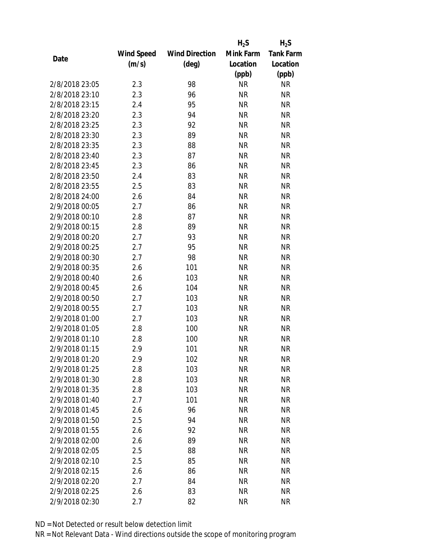|                |                   |                       | $H_2S$    | $H_2S$           |
|----------------|-------------------|-----------------------|-----------|------------------|
|                | <b>Wind Speed</b> | <b>Wind Direction</b> | Mink Farm | <b>Tank Farm</b> |
| Date           | (m/s)             | $(\text{deg})$        | Location  | Location         |
|                |                   |                       | (ppb)     | (ppb)            |
| 2/8/2018 23:05 | 2.3               | 98                    | <b>NR</b> | <b>NR</b>        |
| 2/8/2018 23:10 | 2.3               | 96                    | <b>NR</b> | <b>NR</b>        |
| 2/8/2018 23:15 | 2.4               | 95                    | <b>NR</b> | <b>NR</b>        |
| 2/8/2018 23:20 | 2.3               | 94                    | <b>NR</b> | <b>NR</b>        |
| 2/8/2018 23:25 | 2.3               | 92                    | <b>NR</b> | <b>NR</b>        |
| 2/8/2018 23:30 | 2.3               | 89                    | <b>NR</b> | <b>NR</b>        |
| 2/8/2018 23:35 | 2.3               | 88                    | <b>NR</b> | <b>NR</b>        |
| 2/8/2018 23:40 | 2.3               | 87                    | <b>NR</b> | <b>NR</b>        |
| 2/8/2018 23:45 | 2.3               | 86                    | <b>NR</b> | <b>NR</b>        |
| 2/8/2018 23:50 | 2.4               | 83                    | <b>NR</b> | <b>NR</b>        |
| 2/8/2018 23:55 | 2.5               | 83                    | <b>NR</b> | <b>NR</b>        |
| 2/8/2018 24:00 | 2.6               | 84                    | <b>NR</b> | <b>NR</b>        |
| 2/9/2018 00:05 | 2.7               | 86                    | <b>NR</b> | <b>NR</b>        |
| 2/9/2018 00:10 | 2.8               | 87                    | <b>NR</b> | <b>NR</b>        |
| 2/9/2018 00:15 | 2.8               | 89                    | <b>NR</b> | <b>NR</b>        |
| 2/9/2018 00:20 | 2.7               | 93                    | <b>NR</b> | <b>NR</b>        |
| 2/9/2018 00:25 | 2.7               | 95                    | <b>NR</b> | <b>NR</b>        |
| 2/9/2018 00:30 | 2.7               | 98                    | <b>NR</b> | <b>NR</b>        |
| 2/9/2018 00:35 | 2.6               | 101                   | <b>NR</b> | <b>NR</b>        |
| 2/9/2018 00:40 | 2.6               | 103                   | <b>NR</b> | <b>NR</b>        |
| 2/9/2018 00:45 | 2.6               | 104                   | <b>NR</b> | <b>NR</b>        |
| 2/9/2018 00:50 | 2.7               | 103                   | <b>NR</b> | <b>NR</b>        |
| 2/9/2018 00:55 | 2.7               | 103                   | <b>NR</b> | <b>NR</b>        |
| 2/9/2018 01:00 | 2.7               | 103                   | <b>NR</b> | <b>NR</b>        |
| 2/9/2018 01:05 | 2.8               | 100                   | <b>NR</b> | <b>NR</b>        |
| 2/9/2018 01:10 | 2.8               | 100                   | <b>NR</b> | <b>NR</b>        |
| 2/9/2018 01:15 | 2.9               | 101                   | <b>NR</b> | <b>NR</b>        |
| 2/9/2018 01:20 | 2.9               | 102                   | ΝR        | <b>NR</b>        |
| 2/9/2018 01:25 | 2.8               | 103                   | <b>NR</b> | <b>NR</b>        |
| 2/9/2018 01:30 | 2.8               | 103                   | ΝR        | <b>NR</b>        |
| 2/9/2018 01:35 | 2.8               | 103                   | <b>NR</b> | <b>NR</b>        |
| 2/9/2018 01:40 | 2.7               | 101                   | <b>NR</b> | <b>NR</b>        |
| 2/9/2018 01:45 | 2.6               | 96                    | <b>NR</b> | <b>NR</b>        |
| 2/9/2018 01:50 | 2.5               | 94                    | <b>NR</b> | <b>NR</b>        |
| 2/9/2018 01:55 | 2.6               | 92                    | <b>NR</b> | <b>NR</b>        |
| 2/9/2018 02:00 | 2.6               | 89                    | <b>NR</b> | <b>NR</b>        |
| 2/9/2018 02:05 | 2.5               | 88                    | ΝR        | <b>NR</b>        |
| 2/9/2018 02:10 | 2.5               | 85                    | ΝR        | <b>NR</b>        |
| 2/9/2018 02:15 | 2.6               | 86                    | <b>NR</b> | <b>NR</b>        |
| 2/9/2018 02:20 | 2.7               | 84                    | ΝR        | <b>NR</b>        |
| 2/9/2018 02:25 | 2.6               | 83                    | <b>NR</b> | <b>NR</b>        |
| 2/9/2018 02:30 | 2.7               | 82                    | <b>NR</b> | <b>NR</b>        |
|                |                   |                       |           |                  |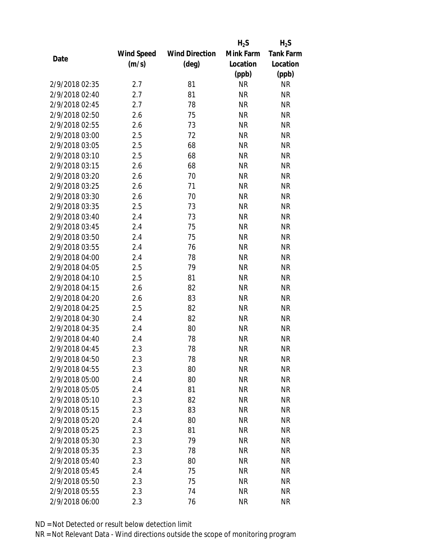|                |                   |                       | $H_2S$    | $H_2S$           |
|----------------|-------------------|-----------------------|-----------|------------------|
|                | <b>Wind Speed</b> | <b>Wind Direction</b> | Mink Farm | <b>Tank Farm</b> |
| Date           | (m/s)             | $(\text{deg})$        | Location  | Location         |
|                |                   |                       | (ppb)     | (ppb)            |
| 2/9/2018 02:35 | 2.7               | 81                    | <b>NR</b> | <b>NR</b>        |
| 2/9/2018 02:40 | 2.7               | 81                    | <b>NR</b> | <b>NR</b>        |
| 2/9/2018 02:45 | 2.7               | 78                    | <b>NR</b> | <b>NR</b>        |
| 2/9/2018 02:50 | 2.6               | 75                    | <b>NR</b> | <b>NR</b>        |
| 2/9/2018 02:55 | 2.6               | 73                    | <b>NR</b> | <b>NR</b>        |
| 2/9/2018 03:00 | 2.5               | 72                    | <b>NR</b> | <b>NR</b>        |
| 2/9/2018 03:05 | 2.5               | 68                    | <b>NR</b> | <b>NR</b>        |
| 2/9/2018 03:10 | 2.5               | 68                    | <b>NR</b> | <b>NR</b>        |
| 2/9/2018 03:15 | 2.6               | 68                    | <b>NR</b> | <b>NR</b>        |
| 2/9/2018 03:20 | 2.6               | 70                    | <b>NR</b> | <b>NR</b>        |
| 2/9/2018 03:25 | 2.6               | 71                    | <b>NR</b> | <b>NR</b>        |
| 2/9/2018 03:30 | 2.6               | 70                    | <b>NR</b> | <b>NR</b>        |
| 2/9/2018 03:35 | 2.5               | 73                    | <b>NR</b> | <b>NR</b>        |
| 2/9/2018 03:40 | 2.4               | 73                    | <b>NR</b> | <b>NR</b>        |
| 2/9/2018 03:45 | 2.4               | 75                    | <b>NR</b> | <b>NR</b>        |
| 2/9/2018 03:50 | 2.4               | 75                    | <b>NR</b> | <b>NR</b>        |
| 2/9/2018 03:55 | 2.4               | 76                    | <b>NR</b> | <b>NR</b>        |
| 2/9/2018 04:00 | 2.4               | 78                    | <b>NR</b> | <b>NR</b>        |
| 2/9/2018 04:05 | 2.5               | 79                    | <b>NR</b> | <b>NR</b>        |
| 2/9/2018 04:10 | 2.5               | 81                    | <b>NR</b> | <b>NR</b>        |
| 2/9/2018 04:15 | 2.6               | 82                    | <b>NR</b> | <b>NR</b>        |
| 2/9/2018 04:20 | 2.6               | 83                    | <b>NR</b> | <b>NR</b>        |
| 2/9/2018 04:25 | 2.5               | 82                    | <b>NR</b> | <b>NR</b>        |
| 2/9/2018 04:30 | 2.4               | 82                    | <b>NR</b> | <b>NR</b>        |
| 2/9/2018 04:35 | 2.4               | 80                    | <b>NR</b> | <b>NR</b>        |
| 2/9/2018 04:40 | 2.4               | 78                    | <b>NR</b> | <b>NR</b>        |
| 2/9/2018 04:45 | 2.3               | 78                    | <b>NR</b> | <b>NR</b>        |
| 2/9/2018 04:50 | 2.3               | 78                    | ΝR        | <b>NR</b>        |
| 2/9/2018 04:55 | 2.3               | 80                    | <b>NR</b> | <b>NR</b>        |
| 2/9/2018 05:00 | 2.4               | 80                    | <b>NR</b> | <b>NR</b>        |
| 2/9/2018 05:05 | 2.4               | 81                    | <b>NR</b> | <b>NR</b>        |
| 2/9/2018 05:10 | 2.3               | 82                    | <b>NR</b> | <b>NR</b>        |
| 2/9/2018 05:15 | 2.3               | 83                    | <b>NR</b> | <b>NR</b>        |
| 2/9/2018 05:20 | 2.4               | 80                    | <b>NR</b> | <b>NR</b>        |
| 2/9/2018 05:25 | 2.3               | 81                    | <b>NR</b> | <b>NR</b>        |
| 2/9/2018 05:30 | 2.3               | 79                    | <b>NR</b> | <b>NR</b>        |
| 2/9/2018 05:35 | 2.3               | 78                    | <b>NR</b> | <b>NR</b>        |
| 2/9/2018 05:40 | 2.3               | 80                    | ΝR        | <b>NR</b>        |
| 2/9/2018 05:45 | 2.4               | 75                    | <b>NR</b> | <b>NR</b>        |
| 2/9/2018 05:50 | 2.3               | 75                    | ΝR        | <b>NR</b>        |
| 2/9/2018 05:55 | 2.3               | 74                    | <b>NR</b> | <b>NR</b>        |
| 2/9/2018 06:00 | 2.3               | 76                    | <b>NR</b> | <b>NR</b>        |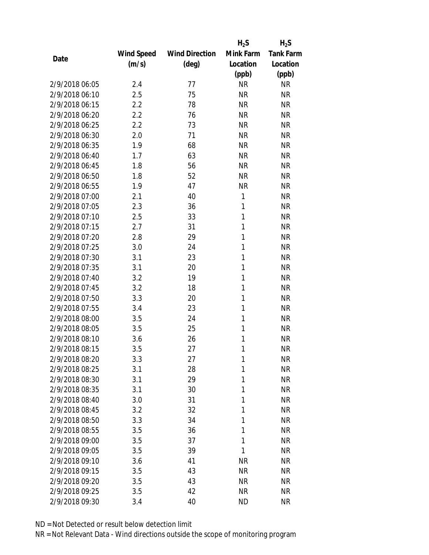|                |                   |                       | $H_2S$    | $H_2S$           |
|----------------|-------------------|-----------------------|-----------|------------------|
|                | <b>Wind Speed</b> | <b>Wind Direction</b> | Mink Farm | <b>Tank Farm</b> |
| Date           | (m/s)             | $(\text{deg})$        | Location  | Location         |
|                |                   |                       | (ppb)     | (ppb)            |
| 2/9/2018 06:05 | 2.4               | 77                    | <b>NR</b> | <b>NR</b>        |
| 2/9/2018 06:10 | 2.5               | 75                    | <b>NR</b> | <b>NR</b>        |
| 2/9/2018 06:15 | 2.2               | 78                    | <b>NR</b> | <b>NR</b>        |
| 2/9/2018 06:20 | 2.2               | 76                    | <b>NR</b> | <b>NR</b>        |
| 2/9/2018 06:25 | 2.2               | 73                    | <b>NR</b> | <b>NR</b>        |
| 2/9/2018 06:30 | 2.0               | 71                    | <b>NR</b> | <b>NR</b>        |
| 2/9/2018 06:35 | 1.9               | 68                    | <b>NR</b> | <b>NR</b>        |
| 2/9/2018 06:40 | 1.7               | 63                    | <b>NR</b> | <b>NR</b>        |
| 2/9/2018 06:45 | 1.8               | 56                    | <b>NR</b> | <b>NR</b>        |
| 2/9/2018 06:50 | 1.8               | 52                    | <b>NR</b> | <b>NR</b>        |
| 2/9/2018 06:55 | 1.9               | 47                    | <b>NR</b> | <b>NR</b>        |
| 2/9/2018 07:00 | 2.1               | 40                    | 1         | <b>NR</b>        |
| 2/9/2018 07:05 | 2.3               | 36                    | 1         | <b>NR</b>        |
| 2/9/2018 07:10 | 2.5               | 33                    | 1         | <b>NR</b>        |
| 2/9/2018 07:15 | 2.7               | 31                    | 1         | <b>NR</b>        |
| 2/9/2018 07:20 | 2.8               | 29                    | 1         | <b>NR</b>        |
| 2/9/2018 07:25 | 3.0               | 24                    | 1         | <b>NR</b>        |
| 2/9/2018 07:30 | 3.1               | 23                    | 1         | <b>NR</b>        |
| 2/9/2018 07:35 | 3.1               | 20                    | 1         | <b>NR</b>        |
| 2/9/2018 07:40 | 3.2               | 19                    | 1         | <b>NR</b>        |
| 2/9/2018 07:45 | 3.2               | 18                    | 1         | <b>NR</b>        |
| 2/9/2018 07:50 | 3.3               | 20                    | 1         | <b>NR</b>        |
| 2/9/2018 07:55 | 3.4               | 23                    | 1         | <b>NR</b>        |
| 2/9/2018 08:00 | 3.5               | 24                    | 1         | <b>NR</b>        |
| 2/9/2018 08:05 | 3.5               | 25                    | 1         | <b>NR</b>        |
| 2/9/2018 08:10 | 3.6               | 26                    | 1         | <b>NR</b>        |
| 2/9/2018 08:15 | 3.5               | 27                    | 1         | <b>NR</b>        |
| 2/9/2018 08:20 | 3.3               | 27                    | 1         | <b>NR</b>        |
| 2/9/2018 08:25 | 3.1               | 28                    | 1         | <b>NR</b>        |
| 2/9/2018 08:30 | 3.1               | 29                    | 1         | <b>NR</b>        |
| 2/9/2018 08:35 | 3.1               | 30                    | 1         | <b>NR</b>        |
| 2/9/2018 08:40 | 3.0               | 31                    | 1         | <b>NR</b>        |
| 2/9/2018 08:45 | 3.2               | 32                    | 1         | <b>NR</b>        |
| 2/9/2018 08:50 | 3.3               | 34                    | 1         | <b>NR</b>        |
| 2/9/2018 08:55 | 3.5               | 36                    | 1         | <b>NR</b>        |
| 2/9/2018 09:00 | 3.5               | 37                    | 1         | <b>NR</b>        |
| 2/9/2018 09:05 | 3.5               | 39                    | 1         | <b>NR</b>        |
| 2/9/2018 09:10 | 3.6               | 41                    | <b>NR</b> | <b>NR</b>        |
| 2/9/2018 09:15 | 3.5               | 43                    | <b>NR</b> | <b>NR</b>        |
| 2/9/2018 09:20 | 3.5               | 43                    | <b>NR</b> | ΝR               |
| 2/9/2018 09:25 | 3.5               | 42                    | <b>NR</b> | <b>NR</b>        |
| 2/9/2018 09:30 | 3.4               | 40                    | <b>ND</b> | <b>NR</b>        |
|                |                   |                       |           |                  |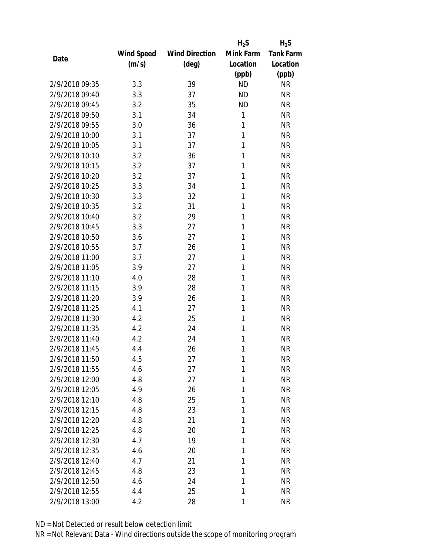|                |                   |                       | $H_2S$    | $H_2S$           |
|----------------|-------------------|-----------------------|-----------|------------------|
|                | <b>Wind Speed</b> | <b>Wind Direction</b> | Mink Farm | <b>Tank Farm</b> |
| Date           | (m/s)             | $(\text{deg})$        | Location  | Location         |
|                |                   |                       | (ppb)     | (ppb)            |
| 2/9/2018 09:35 | 3.3               | 39                    | <b>ND</b> | <b>NR</b>        |
| 2/9/2018 09:40 | 3.3               | 37                    | <b>ND</b> | <b>NR</b>        |
| 2/9/2018 09:45 | 3.2               | 35                    | <b>ND</b> | <b>NR</b>        |
| 2/9/2018 09:50 | 3.1               | 34                    | 1         | <b>NR</b>        |
| 2/9/2018 09:55 | 3.0               | 36                    | 1         | <b>NR</b>        |
| 2/9/2018 10:00 | 3.1               | 37                    | 1         | <b>NR</b>        |
| 2/9/2018 10:05 | 3.1               | 37                    | 1         | <b>NR</b>        |
| 2/9/2018 10:10 | 3.2               | 36                    | 1         | <b>NR</b>        |
| 2/9/2018 10:15 | 3.2               | 37                    | 1         | <b>NR</b>        |
| 2/9/2018 10:20 | 3.2               | 37                    | 1         | <b>NR</b>        |
| 2/9/2018 10:25 | 3.3               | 34                    | 1         | <b>NR</b>        |
| 2/9/2018 10:30 | 3.3               | 32                    | 1         | <b>NR</b>        |
| 2/9/2018 10:35 | 3.2               | 31                    | 1         | <b>NR</b>        |
| 2/9/2018 10:40 | 3.2               | 29                    | 1         | <b>NR</b>        |
| 2/9/2018 10:45 | 3.3               | 27                    | 1         | <b>NR</b>        |
| 2/9/2018 10:50 | 3.6               | 27                    | 1         | <b>NR</b>        |
| 2/9/2018 10:55 | 3.7               | 26                    | 1         | <b>NR</b>        |
| 2/9/2018 11:00 | 3.7               | 27                    | 1         | <b>NR</b>        |
| 2/9/2018 11:05 | 3.9               | 27                    | 1         | <b>NR</b>        |
| 2/9/2018 11:10 | 4.0               | 28                    | 1         | <b>NR</b>        |
| 2/9/2018 11:15 | 3.9               | 28                    | 1         | <b>NR</b>        |
| 2/9/2018 11:20 | 3.9               | 26                    | 1         | <b>NR</b>        |
| 2/9/2018 11:25 | 4.1               | 27                    | 1         | <b>NR</b>        |
| 2/9/2018 11:30 | 4.2               | 25                    | 1         | <b>NR</b>        |
| 2/9/2018 11:35 | 4.2               | 24                    | 1         | <b>NR</b>        |
| 2/9/2018 11:40 | 4.2               | 24                    | 1         | <b>NR</b>        |
| 2/9/2018 11:45 | 4.4               | 26                    | 1         | <b>NR</b>        |
| 2/9/2018 11:50 | 4.5               | 27                    | 1         | <b>NR</b>        |
| 2/9/2018 11:55 | 4.6               | 27                    | 1         | <b>NR</b>        |
| 2/9/2018 12:00 | 4.8               | 27                    | 1         | <b>NR</b>        |
| 2/9/2018 12:05 | 4.9               | 26                    | 1         | <b>NR</b>        |
| 2/9/2018 12:10 | 4.8               | 25                    | 1         | <b>NR</b>        |
| 2/9/2018 12:15 | 4.8               | 23                    | 1         | <b>NR</b>        |
| 2/9/2018 12:20 | 4.8               | 21                    | 1         | <b>NR</b>        |
| 2/9/2018 12:25 | 4.8               | 20                    | 1         | <b>NR</b>        |
| 2/9/2018 12:30 | 4.7               | 19                    | 1         | <b>NR</b>        |
| 2/9/2018 12:35 | 4.6               | 20                    | 1         | <b>NR</b>        |
| 2/9/2018 12:40 | 4.7               | 21                    | 1         | <b>NR</b>        |
|                |                   |                       | 1         |                  |
| 2/9/2018 12:45 | 4.8               | 23                    | 1         | <b>NR</b>        |
| 2/9/2018 12:50 | 4.6               | 24                    |           | <b>NR</b>        |
| 2/9/2018 12:55 | 4.4               | 25                    | 1         | <b>NR</b>        |
| 2/9/2018 13:00 | 4.2               | 28                    | 1         | <b>NR</b>        |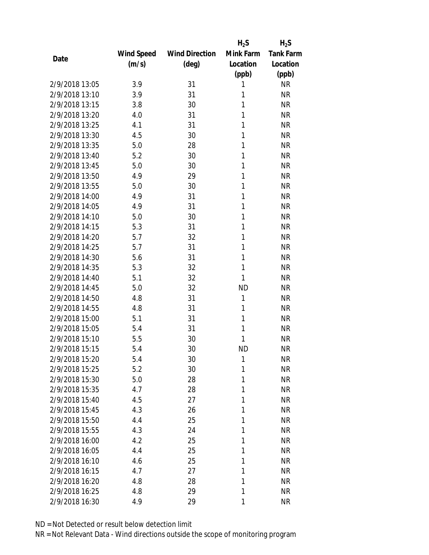|                |            |                       | $H_2S$    | $H_2S$           |
|----------------|------------|-----------------------|-----------|------------------|
|                | Wind Speed | <b>Wind Direction</b> | Mink Farm | <b>Tank Farm</b> |
| Date           | (m/s)      | $(\text{deg})$        | Location  | Location         |
|                |            |                       | (ppb)     | (ppb)            |
| 2/9/2018 13:05 | 3.9        | 31                    | 1         | <b>NR</b>        |
| 2/9/2018 13:10 | 3.9        | 31                    | 1         | <b>NR</b>        |
| 2/9/2018 13:15 | 3.8        | 30                    | 1         | <b>NR</b>        |
| 2/9/2018 13:20 | 4.0        | 31                    | 1         | <b>NR</b>        |
| 2/9/2018 13:25 | 4.1        | 31                    | 1         | <b>NR</b>        |
| 2/9/2018 13:30 | 4.5        | 30                    | 1         | <b>NR</b>        |
| 2/9/2018 13:35 | 5.0        | 28                    | 1         | <b>NR</b>        |
| 2/9/2018 13:40 | 5.2        | 30                    | 1         | <b>NR</b>        |
| 2/9/2018 13:45 | 5.0        | 30                    | 1         | <b>NR</b>        |
| 2/9/2018 13:50 | 4.9        | 29                    | 1         | <b>NR</b>        |
| 2/9/2018 13:55 | 5.0        | 30                    | 1         | <b>NR</b>        |
| 2/9/2018 14:00 | 4.9        | 31                    | 1         | <b>NR</b>        |
| 2/9/2018 14:05 | 4.9        | 31                    | 1         | <b>NR</b>        |
| 2/9/2018 14:10 | 5.0        | 30                    | 1         | <b>NR</b>        |
| 2/9/2018 14:15 | 5.3        | 31                    | 1         | <b>NR</b>        |
| 2/9/2018 14:20 | 5.7        | 32                    | 1         | <b>NR</b>        |
| 2/9/2018 14:25 | 5.7        | 31                    | 1         | <b>NR</b>        |
| 2/9/2018 14:30 | 5.6        | 31                    | 1         | <b>NR</b>        |
| 2/9/2018 14:35 | 5.3        | 32                    | 1         | <b>NR</b>        |
| 2/9/2018 14:40 | 5.1        | 32                    | 1         | <b>NR</b>        |
| 2/9/2018 14:45 | 5.0        | 32                    | <b>ND</b> | <b>NR</b>        |
| 2/9/2018 14:50 | 4.8        | 31                    | 1         | <b>NR</b>        |
| 2/9/2018 14:55 | 4.8        | 31                    | 1         | <b>NR</b>        |
| 2/9/2018 15:00 | 5.1        | 31                    | 1         | <b>NR</b>        |
| 2/9/2018 15:05 | 5.4        | 31                    | 1         | <b>NR</b>        |
| 2/9/2018 15:10 | 5.5        | 30                    | 1         | <b>NR</b>        |
| 2/9/2018 15:15 | 5.4        | 30                    | <b>ND</b> | <b>NR</b>        |
| 2/9/2018 15:20 | 5.4        | 30                    | 1         | <b>NR</b>        |
| 2/9/2018 15:25 | 5.2        | 30                    | 1         | <b>NR</b>        |
| 2/9/2018 15:30 | 5.0        | 28                    | 1         | <b>NR</b>        |
| 2/9/2018 15:35 | 4.7        | 28                    | 1         | <b>NR</b>        |
| 2/9/2018 15:40 | 4.5        | 27                    | 1         | <b>NR</b>        |
| 2/9/2018 15:45 | 4.3        | 26                    | 1         | <b>NR</b>        |
| 2/9/2018 15:50 | 4.4        | 25                    | 1         | <b>NR</b>        |
| 2/9/2018 15:55 | 4.3        | 24                    | 1         | <b>NR</b>        |
| 2/9/2018 16:00 | 4.2        | 25                    | 1         | <b>NR</b>        |
| 2/9/2018 16:05 | 4.4        | 25                    | 1         | <b>NR</b>        |
| 2/9/2018 16:10 | 4.6        | 25                    | 1         | <b>NR</b>        |
| 2/9/2018 16:15 | 4.7        | 27                    | 1         | <b>NR</b>        |
| 2/9/2018 16:20 | 4.8        | 28                    | 1         | <b>NR</b>        |
| 2/9/2018 16:25 | 4.8        | 29                    | 1         | <b>NR</b>        |
| 2/9/2018 16:30 | 4.9        | 29                    | 1         | <b>NR</b>        |
|                |            |                       |           |                  |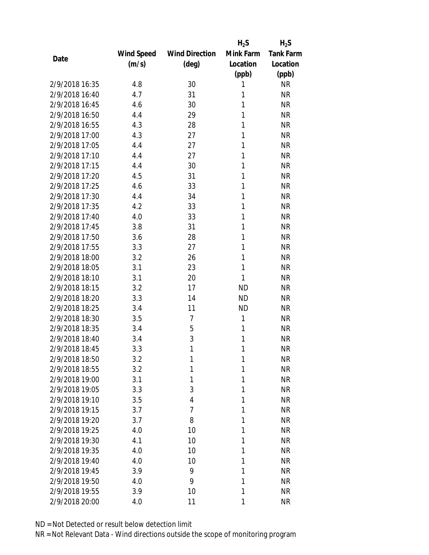|                |            |                       | $H_2S$    | $H_2S$           |
|----------------|------------|-----------------------|-----------|------------------|
|                | Wind Speed | <b>Wind Direction</b> | Mink Farm | <b>Tank Farm</b> |
| Date           | (m/s)      | $(\text{deg})$        | Location  | Location         |
|                |            |                       | (ppb)     | (ppb)            |
| 2/9/2018 16:35 | 4.8        | 30                    | 1         | <b>NR</b>        |
| 2/9/2018 16:40 | 4.7        | 31                    | 1         | <b>NR</b>        |
| 2/9/2018 16:45 | 4.6        | 30                    | 1         | <b>NR</b>        |
| 2/9/2018 16:50 | 4.4        | 29                    | 1         | <b>NR</b>        |
| 2/9/2018 16:55 | 4.3        | 28                    | 1         | <b>NR</b>        |
| 2/9/2018 17:00 | 4.3        | 27                    | 1         | <b>NR</b>        |
| 2/9/2018 17:05 | 4.4        | 27                    | 1         | <b>NR</b>        |
| 2/9/2018 17:10 | 4.4        | 27                    | 1         | <b>NR</b>        |
| 2/9/2018 17:15 | 4.4        | 30                    | 1         | <b>NR</b>        |
| 2/9/2018 17:20 | 4.5        | 31                    | 1         | <b>NR</b>        |
| 2/9/2018 17:25 | 4.6        | 33                    | 1         | <b>NR</b>        |
| 2/9/2018 17:30 | 4.4        | 34                    | 1         | <b>NR</b>        |
| 2/9/2018 17:35 | 4.2        | 33                    | 1         | <b>NR</b>        |
| 2/9/2018 17:40 | 4.0        | 33                    | 1         | <b>NR</b>        |
| 2/9/2018 17:45 | 3.8        | 31                    | 1         | <b>NR</b>        |
| 2/9/2018 17:50 | 3.6        | 28                    | 1         | <b>NR</b>        |
| 2/9/2018 17:55 | 3.3        | 27                    | 1         | <b>NR</b>        |
| 2/9/2018 18:00 | 3.2        | 26                    | 1         | <b>NR</b>        |
| 2/9/2018 18:05 | 3.1        | 23                    | 1         | <b>NR</b>        |
| 2/9/2018 18:10 | 3.1        | 20                    | 1         | <b>NR</b>        |
| 2/9/2018 18:15 | 3.2        | 17                    | <b>ND</b> | <b>NR</b>        |
| 2/9/2018 18:20 | 3.3        | 14                    | <b>ND</b> | <b>NR</b>        |
| 2/9/2018 18:25 | 3.4        | 11                    | <b>ND</b> | <b>NR</b>        |
| 2/9/2018 18:30 | 3.5        | 7                     | 1         | <b>NR</b>        |
| 2/9/2018 18:35 | 3.4        | 5                     | 1         | <b>NR</b>        |
| 2/9/2018 18:40 | 3.4        | 3                     | 1         | <b>NR</b>        |
| 2/9/2018 18:45 | 3.3        | 1                     | 1         | <b>NR</b>        |
| 2/9/2018 18:50 | 3.2        | 1                     | 1         | <b>NR</b>        |
| 2/9/2018 18:55 | 3.2        | 1                     | 1         | <b>NR</b>        |
| 2/9/2018 19:00 | 3.1        | 1                     | 1         | <b>NR</b>        |
| 2/9/2018 19:05 | 3.3        | 3                     | 1         | <b>NR</b>        |
| 2/9/2018 19:10 | 3.5        | 4                     | 1         | <b>NR</b>        |
| 2/9/2018 19:15 | 3.7        | 7                     | 1         | <b>NR</b>        |
| 2/9/2018 19:20 | 3.7        | 8                     | 1         | <b>NR</b>        |
| 2/9/2018 19:25 | 4.0        | 10                    | 1         | <b>NR</b>        |
| 2/9/2018 19:30 | 4.1        | 10                    | 1         | <b>NR</b>        |
| 2/9/2018 19:35 | 4.0        | 10                    | 1         | <b>NR</b>        |
| 2/9/2018 19:40 | 4.0        | 10                    | 1         | <b>NR</b>        |
| 2/9/2018 19:45 | 3.9        | 9                     | 1         | <b>NR</b>        |
| 2/9/2018 19:50 | 4.0        | 9                     | 1         | <b>NR</b>        |
| 2/9/2018 19:55 | 3.9        | 10                    | 1         | <b>NR</b>        |
| 2/9/2018 20:00 | 4.0        | 11                    | 1         | <b>NR</b>        |
|                |            |                       |           |                  |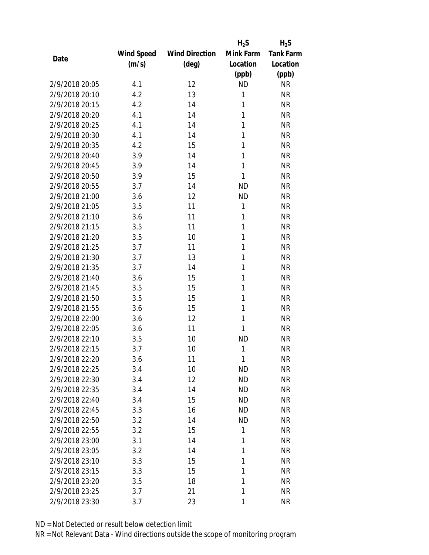|                |            |                       | $H_2S$    | $H_2S$           |
|----------------|------------|-----------------------|-----------|------------------|
|                | Wind Speed | <b>Wind Direction</b> | Mink Farm | <b>Tank Farm</b> |
| Date           | (m/s)      | $(\text{deg})$        | Location  | Location         |
|                |            |                       | (ppb)     | (ppb)            |
| 2/9/2018 20:05 | 4.1        | 12                    | <b>ND</b> | <b>NR</b>        |
| 2/9/2018 20:10 | 4.2        | 13                    | 1         | <b>NR</b>        |
| 2/9/2018 20:15 | 4.2        | 14                    | 1         | <b>NR</b>        |
| 2/9/2018 20:20 | 4.1        | 14                    | 1         | <b>NR</b>        |
| 2/9/2018 20:25 | 4.1        | 14                    | 1         | <b>NR</b>        |
| 2/9/2018 20:30 | 4.1        | 14                    | 1         | <b>NR</b>        |
| 2/9/2018 20:35 | 4.2        | 15                    | 1         | <b>NR</b>        |
| 2/9/2018 20:40 | 3.9        | 14                    | 1         | <b>NR</b>        |
| 2/9/2018 20:45 | 3.9        | 14                    | 1         | <b>NR</b>        |
| 2/9/2018 20:50 | 3.9        | 15                    | 1         | <b>NR</b>        |
| 2/9/2018 20:55 | 3.7        | 14                    | <b>ND</b> | <b>NR</b>        |
| 2/9/2018 21:00 | 3.6        | 12                    | <b>ND</b> | <b>NR</b>        |
| 2/9/2018 21:05 | 3.5        | 11                    | 1         | <b>NR</b>        |
| 2/9/2018 21:10 | 3.6        | 11                    | 1         | <b>NR</b>        |
| 2/9/2018 21:15 | 3.5        | 11                    | 1         | <b>NR</b>        |
| 2/9/2018 21:20 | 3.5        | 10                    | 1         | <b>NR</b>        |
| 2/9/2018 21:25 | 3.7        | 11                    | 1         | <b>NR</b>        |
| 2/9/2018 21:30 | 3.7        | 13                    | 1         | <b>NR</b>        |
| 2/9/2018 21:35 | 3.7        | 14                    | 1         | <b>NR</b>        |
| 2/9/2018 21:40 | 3.6        | 15                    | 1         | <b>NR</b>        |
| 2/9/2018 21:45 | 3.5        | 15                    | 1         | <b>NR</b>        |
| 2/9/2018 21:50 | 3.5        | 15                    | 1         | <b>NR</b>        |
| 2/9/2018 21:55 | 3.6        | 15                    | 1         | <b>NR</b>        |
| 2/9/2018 22:00 | 3.6        | 12                    | 1         | <b>NR</b>        |
| 2/9/2018 22:05 | 3.6        | 11                    | 1         | <b>NR</b>        |
| 2/9/2018 22:10 | 3.5        | 10                    | <b>ND</b> | <b>NR</b>        |
| 2/9/2018 22:15 | 3.7        | 10                    | 1         | <b>NR</b>        |
| 2/9/2018 22:20 | 3.6        | 11                    | 1         | <b>NR</b>        |
| 2/9/2018 22:25 | 3.4        | 10                    | <b>ND</b> | <b>NR</b>        |
| 2/9/2018 22:30 | 3.4        | 12                    | <b>ND</b> | <b>NR</b>        |
| 2/9/2018 22:35 | 3.4        | 14                    | <b>ND</b> | <b>NR</b>        |
| 2/9/2018 22:40 | 3.4        | 15                    | <b>ND</b> | NR               |
| 2/9/2018 22:45 | 3.3        | 16                    | <b>ND</b> | <b>NR</b>        |
| 2/9/2018 22:50 | 3.2        | 14                    | <b>ND</b> | <b>NR</b>        |
| 2/9/2018 22:55 | 3.2        | 15                    | 1         | <b>NR</b>        |
| 2/9/2018 23:00 | 3.1        | 14                    | 1         | <b>NR</b>        |
| 2/9/2018 23:05 | 3.2        | 14                    | 1         | <b>NR</b>        |
| 2/9/2018 23:10 | 3.3        | 15                    | 1         | <b>NR</b>        |
| 2/9/2018 23:15 | 3.3        | 15                    | 1         | <b>NR</b>        |
| 2/9/2018 23:20 | 3.5        | 18                    | 1         | <b>NR</b>        |
| 2/9/2018 23:25 | 3.7        | 21                    | 1         | <b>NR</b>        |
| 2/9/2018 23:30 | 3.7        | 23                    | 1         | <b>NR</b>        |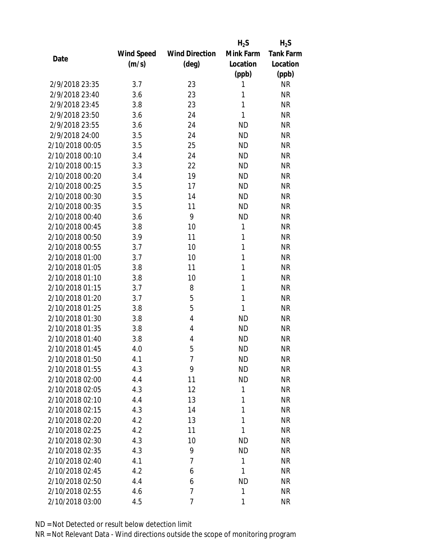|                 |            |                       | $H_2S$       | $H_2S$           |
|-----------------|------------|-----------------------|--------------|------------------|
|                 | Wind Speed | <b>Wind Direction</b> | Mink Farm    | <b>Tank Farm</b> |
| Date            | (m/s)      | $(\text{deg})$        | Location     | Location         |
|                 |            |                       | (ppb)        | (ppb)            |
| 2/9/2018 23:35  | 3.7        | 23                    | 1            | <b>NR</b>        |
| 2/9/2018 23:40  | 3.6        | 23                    | 1            | <b>NR</b>        |
| 2/9/2018 23:45  | 3.8        | 23                    | 1            | <b>NR</b>        |
| 2/9/2018 23:50  | 3.6        | 24                    | 1            | <b>NR</b>        |
| 2/9/2018 23:55  | 3.6        | 24                    | <b>ND</b>    | <b>NR</b>        |
| 2/9/2018 24:00  | 3.5        | 24                    | <b>ND</b>    | <b>NR</b>        |
| 2/10/2018 00:05 | 3.5        | 25                    | <b>ND</b>    | <b>NR</b>        |
| 2/10/2018 00:10 | 3.4        | 24                    | <b>ND</b>    | <b>NR</b>        |
| 2/10/2018 00:15 | 3.3        | 22                    | <b>ND</b>    | <b>NR</b>        |
| 2/10/2018 00:20 | 3.4        | 19                    | <b>ND</b>    | <b>NR</b>        |
| 2/10/2018 00:25 | 3.5        | 17                    | <b>ND</b>    | <b>NR</b>        |
| 2/10/2018 00:30 | 3.5        | 14                    | <b>ND</b>    | <b>NR</b>        |
| 2/10/2018 00:35 | 3.5        | 11                    | <b>ND</b>    | <b>NR</b>        |
| 2/10/2018 00:40 | 3.6        | 9                     | <b>ND</b>    | <b>NR</b>        |
| 2/10/2018 00:45 | 3.8        | 10                    | 1            | <b>NR</b>        |
| 2/10/2018 00:50 | 3.9        | 11                    | 1            | <b>NR</b>        |
| 2/10/2018 00:55 | 3.7        | 10                    | 1            | <b>NR</b>        |
| 2/10/2018 01:00 | 3.7        | 10                    | 1            | <b>NR</b>        |
| 2/10/2018 01:05 | 3.8        | 11                    | 1            | <b>NR</b>        |
| 2/10/2018 01:10 | 3.8        | 10                    | 1            | <b>NR</b>        |
| 2/10/2018 01:15 | 3.7        | 8                     | 1            | <b>NR</b>        |
| 2/10/2018 01:20 | 3.7        | 5                     | 1            | <b>NR</b>        |
| 2/10/2018 01:25 | 3.8        | 5                     | 1            | <b>NR</b>        |
| 2/10/2018 01:30 | 3.8        | 4                     | <b>ND</b>    | <b>NR</b>        |
| 2/10/2018 01:35 | 3.8        | 4                     | <b>ND</b>    | <b>NR</b>        |
| 2/10/2018 01:40 | 3.8        | 4                     | <b>ND</b>    | <b>NR</b>        |
| 2/10/2018 01:45 | 4.0        | 5                     | <b>ND</b>    | <b>NR</b>        |
| 2/10/2018 01:50 | 4.1        | 7                     | <b>ND</b>    | <b>NR</b>        |
| 2/10/2018 01:55 | 4.3        | 9                     | <b>ND</b>    | <b>NR</b>        |
| 2/10/2018 02:00 | 4.4        | 11                    | <b>ND</b>    | <b>NR</b>        |
| 2/10/2018 02:05 | 4.3        | 12                    | $\mathbf{1}$ | <b>NR</b>        |
| 2/10/2018 02:10 | 4.4        | 13                    | 1            | <b>NR</b>        |
| 2/10/2018 02:15 | 4.3        | 14                    | 1            | <b>NR</b>        |
| 2/10/2018 02:20 | 4.2        | 13                    | 1            | <b>NR</b>        |
| 2/10/2018 02:25 | 4.2        | 11                    | 1            | <b>NR</b>        |
| 2/10/2018 02:30 | 4.3        | 10                    | <b>ND</b>    | <b>NR</b>        |
| 2/10/2018 02:35 | 4.3        | 9                     | <b>ND</b>    | <b>NR</b>        |
| 2/10/2018 02:40 | 4.1        | $\overline{7}$        | 1            | <b>NR</b>        |
| 2/10/2018 02:45 | 4.2        | 6                     | 1            | <b>NR</b>        |
| 2/10/2018 02:50 | 4.4        | 6                     | <b>ND</b>    | <b>NR</b>        |
| 2/10/2018 02:55 | 4.6        | $\overline{7}$        | 1            | <b>NR</b>        |
| 2/10/2018 03:00 | 4.5        | 7                     | 1            | <b>NR</b>        |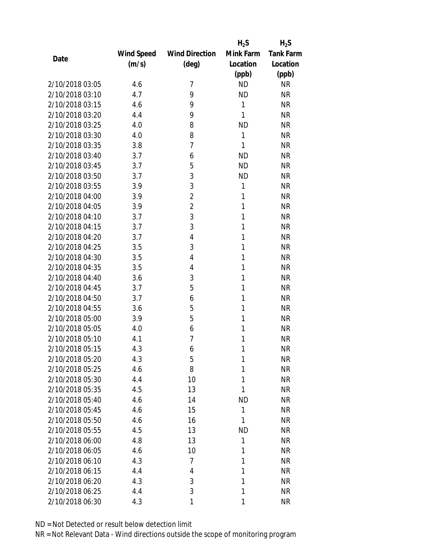|                 |            |                       | $H_2S$    | $H_2S$           |
|-----------------|------------|-----------------------|-----------|------------------|
|                 | Wind Speed | <b>Wind Direction</b> | Mink Farm | <b>Tank Farm</b> |
| Date            | (m/s)      | $(\text{deg})$        | Location  | Location         |
|                 |            |                       | (ppb)     | (ppb)            |
| 2/10/2018 03:05 | 4.6        | 7                     | <b>ND</b> | <b>NR</b>        |
| 2/10/2018 03:10 | 4.7        | 9                     | <b>ND</b> | <b>NR</b>        |
| 2/10/2018 03:15 | 4.6        | 9                     | 1         | <b>NR</b>        |
| 2/10/2018 03:20 | 4.4        | 9                     | 1         | <b>NR</b>        |
| 2/10/2018 03:25 | 4.0        | 8                     | <b>ND</b> | <b>NR</b>        |
| 2/10/2018 03:30 | 4.0        | 8                     | 1         | <b>NR</b>        |
| 2/10/2018 03:35 | 3.8        | 7                     | 1         | <b>NR</b>        |
| 2/10/2018 03:40 | 3.7        | 6                     | <b>ND</b> | <b>NR</b>        |
| 2/10/2018 03:45 | 3.7        | 5                     | <b>ND</b> | <b>NR</b>        |
| 2/10/2018 03:50 | 3.7        | 3                     | <b>ND</b> | <b>NR</b>        |
| 2/10/2018 03:55 | 3.9        | 3                     | 1         | <b>NR</b>        |
| 2/10/2018 04:00 | 3.9        | $\overline{2}$        | 1         | <b>NR</b>        |
| 2/10/2018 04:05 | 3.9        | $\overline{2}$        | 1         | <b>NR</b>        |
| 2/10/2018 04:10 | 3.7        | 3                     | 1         | <b>NR</b>        |
| 2/10/2018 04:15 | 3.7        | 3                     | 1         | <b>NR</b>        |
| 2/10/2018 04:20 | 3.7        | $\overline{4}$        | 1         | <b>NR</b>        |
| 2/10/2018 04:25 | 3.5        | 3                     | 1         | <b>NR</b>        |
| 2/10/2018 04:30 | 3.5        | 4                     | 1         | <b>NR</b>        |
| 2/10/2018 04:35 | 3.5        | 4                     | 1         | <b>NR</b>        |
| 2/10/2018 04:40 | 3.6        | 3                     | 1         | <b>NR</b>        |
| 2/10/2018 04:45 | 3.7        | 5                     | 1         | <b>NR</b>        |
| 2/10/2018 04:50 | 3.7        | 6                     | 1         | <b>NR</b>        |
| 2/10/2018 04:55 | 3.6        | 5                     | 1         | <b>NR</b>        |
| 2/10/2018 05:00 | 3.9        | 5                     | 1         | <b>NR</b>        |
| 2/10/2018 05:05 | 4.0        | 6                     | 1         | <b>NR</b>        |
| 2/10/2018 05:10 | 4.1        | 7                     | 1         | <b>NR</b>        |
| 2/10/2018 05:15 | 4.3        | 6                     | 1         | <b>NR</b>        |
| 2/10/2018 05:20 | 4.3        | 5                     | 1         | <b>NR</b>        |
| 2/10/2018 05:25 | 4.6        | 8                     | 1         | <b>NR</b>        |
| 2/10/2018 05:30 | 4.4        | 10                    | 1         | <b>NR</b>        |
| 2/10/2018 05:35 | 4.5        | 13                    | 1         | <b>NR</b>        |
| 2/10/2018 05:40 | 4.6        | 14                    | <b>ND</b> | <b>NR</b>        |
| 2/10/2018 05:45 | 4.6        | 15                    | 1         | <b>NR</b>        |
| 2/10/2018 05:50 | 4.6        | 16                    | 1         | <b>NR</b>        |
| 2/10/2018 05:55 | 4.5        | 13                    | <b>ND</b> | <b>NR</b>        |
| 2/10/2018 06:00 | 4.8        | 13                    | 1         | <b>NR</b>        |
| 2/10/2018 06:05 | 4.6        | 10                    | 1         | <b>NR</b>        |
| 2/10/2018 06:10 | 4.3        | 7                     | 1         | <b>NR</b>        |
| 2/10/2018 06:15 | 4.4        | 4                     | 1         | <b>NR</b>        |
| 2/10/2018 06:20 | 4.3        | 3                     | 1         | <b>NR</b>        |
| 2/10/2018 06:25 | 4.4        | 3                     | 1         | <b>NR</b>        |
| 2/10/2018 06:30 | 4.3        | 1                     | 1         | <b>NR</b>        |
|                 |            |                       |           |                  |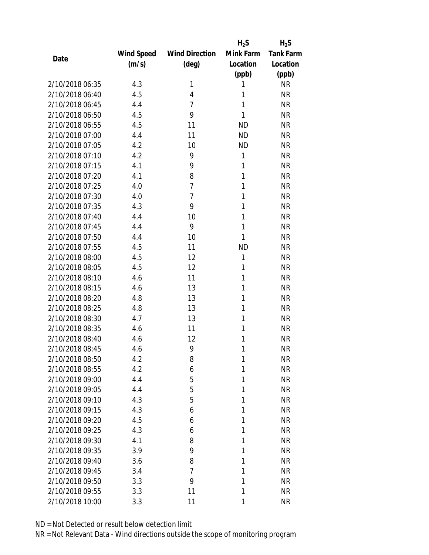|                 |            |                       | $H_2S$       | $H_2S$           |
|-----------------|------------|-----------------------|--------------|------------------|
|                 | Wind Speed | <b>Wind Direction</b> | Mink Farm    | <b>Tank Farm</b> |
| Date            | (m/s)      | $(\text{deg})$        | Location     | Location         |
|                 |            |                       | (ppb)        | (ppb)            |
| 2/10/2018 06:35 | 4.3        | 1                     | 1            | <b>NR</b>        |
| 2/10/2018 06:40 | 4.5        | 4                     | 1            | <b>NR</b>        |
| 2/10/2018 06:45 | 4.4        | $\overline{7}$        | 1            | <b>NR</b>        |
| 2/10/2018 06:50 | 4.5        | 9                     | 1            | <b>NR</b>        |
| 2/10/2018 06:55 | 4.5        | 11                    | <b>ND</b>    | <b>NR</b>        |
| 2/10/2018 07:00 | 4.4        | 11                    | <b>ND</b>    | <b>NR</b>        |
| 2/10/2018 07:05 | 4.2        | 10                    | <b>ND</b>    | <b>NR</b>        |
| 2/10/2018 07:10 | 4.2        | 9                     | $\mathbf{1}$ | <b>NR</b>        |
| 2/10/2018 07:15 | 4.1        | 9                     | 1            | <b>NR</b>        |
| 2/10/2018 07:20 | 4.1        | 8                     | 1            | <b>NR</b>        |
| 2/10/2018 07:25 | 4.0        | $\overline{7}$        | 1            | <b>NR</b>        |
| 2/10/2018 07:30 | 4.0        | $\overline{7}$        | 1            | <b>NR</b>        |
| 2/10/2018 07:35 | 4.3        | 9                     | 1            | <b>NR</b>        |
| 2/10/2018 07:40 | 4.4        | 10                    | 1            | <b>NR</b>        |
| 2/10/2018 07:45 | 4.4        | 9                     | 1            | <b>NR</b>        |
| 2/10/2018 07:50 | 4.4        | 10                    | 1            | <b>NR</b>        |
| 2/10/2018 07:55 | 4.5        | 11                    | <b>ND</b>    | <b>NR</b>        |
| 2/10/2018 08:00 | 4.5        | 12                    | 1            | <b>NR</b>        |
| 2/10/2018 08:05 | 4.5        | 12                    | 1            | <b>NR</b>        |
| 2/10/2018 08:10 | 4.6        | 11                    | 1            | <b>NR</b>        |
| 2/10/2018 08:15 | 4.6        | 13                    | 1            | <b>NR</b>        |
| 2/10/2018 08:20 | 4.8        | 13                    | 1            | <b>NR</b>        |
| 2/10/2018 08:25 | 4.8        | 13                    | 1            | <b>NR</b>        |
| 2/10/2018 08:30 | 4.7        | 13                    | 1            | <b>NR</b>        |
| 2/10/2018 08:35 | 4.6        | 11                    | 1            | <b>NR</b>        |
| 2/10/2018 08:40 | 4.6        | 12                    | 1            | <b>NR</b>        |
| 2/10/2018 08:45 | 4.6        | 9                     | 1            | <b>NR</b>        |
| 2/10/2018 08:50 | 4.2        | 8                     | 1            | <b>NR</b>        |
| 2/10/2018 08:55 | 4.2        | 6                     | 1            | <b>NR</b>        |
| 2/10/2018 09:00 | 4.4        | 5                     | 1            | <b>NR</b>        |
| 2/10/2018 09:05 | 4.4        | 5                     | 1            | <b>NR</b>        |
| 2/10/2018 09:10 | 4.3        | 5                     | 1            | <b>NR</b>        |
| 2/10/2018 09:15 | 4.3        | 6                     | 1            | <b>NR</b>        |
| 2/10/2018 09:20 | 4.5        | 6                     | 1            | <b>NR</b>        |
| 2/10/2018 09:25 | 4.3        | 6                     | 1            | <b>NR</b>        |
| 2/10/2018 09:30 | 4.1        | 8                     | 1            | <b>NR</b>        |
| 2/10/2018 09:35 | 3.9        | 9                     | 1            | <b>NR</b>        |
| 2/10/2018 09:40 | 3.6        | 8                     | 1            | <b>NR</b>        |
| 2/10/2018 09:45 | 3.4        | $\overline{7}$        | 1            | <b>NR</b>        |
| 2/10/2018 09:50 | 3.3        | 9                     | 1            | <b>NR</b>        |
| 2/10/2018 09:55 | 3.3        | 11                    | 1            | <b>NR</b>        |
| 2/10/2018 10:00 | 3.3        | 11                    | 1            | <b>NR</b>        |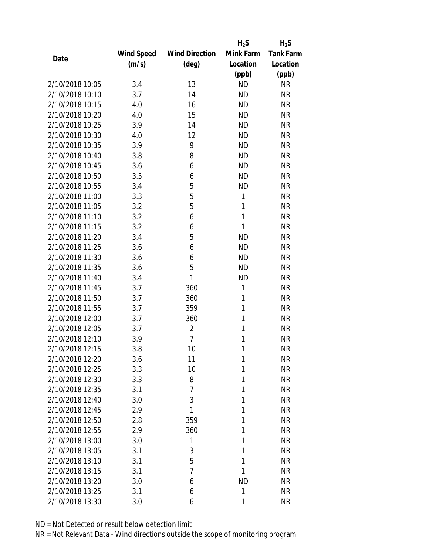|                 |            |                       | $H_2S$       | $H_2S$           |
|-----------------|------------|-----------------------|--------------|------------------|
|                 | Wind Speed | <b>Wind Direction</b> | Mink Farm    | <b>Tank Farm</b> |
| Date            | (m/s)      | $(\text{deg})$        | Location     | Location         |
|                 |            |                       | (ppb)        | (ppb)            |
| 2/10/2018 10:05 | 3.4        | 13                    | <b>ND</b>    | <b>NR</b>        |
| 2/10/2018 10:10 | 3.7        | 14                    | <b>ND</b>    | <b>NR</b>        |
| 2/10/2018 10:15 | 4.0        | 16                    | <b>ND</b>    | <b>NR</b>        |
| 2/10/2018 10:20 | 4.0        | 15                    | <b>ND</b>    | <b>NR</b>        |
| 2/10/2018 10:25 | 3.9        | 14                    | <b>ND</b>    | <b>NR</b>        |
| 2/10/2018 10:30 | 4.0        | 12                    | <b>ND</b>    | <b>NR</b>        |
| 2/10/2018 10:35 | 3.9        | 9                     | <b>ND</b>    | <b>NR</b>        |
| 2/10/2018 10:40 | 3.8        | 8                     | <b>ND</b>    | <b>NR</b>        |
| 2/10/2018 10:45 | 3.6        | 6                     | <b>ND</b>    | <b>NR</b>        |
| 2/10/2018 10:50 | 3.5        | 6                     | <b>ND</b>    | <b>NR</b>        |
| 2/10/2018 10:55 | 3.4        | 5                     | <b>ND</b>    | <b>NR</b>        |
| 2/10/2018 11:00 | 3.3        | 5                     | 1            | <b>NR</b>        |
| 2/10/2018 11:05 | 3.2        | 5                     | 1            | <b>NR</b>        |
| 2/10/2018 11:10 | 3.2        | 6                     | 1            | <b>NR</b>        |
| 2/10/2018 11:15 | 3.2        | 6                     | 1            | <b>NR</b>        |
| 2/10/2018 11:20 | 3.4        | 5                     | <b>ND</b>    | <b>NR</b>        |
| 2/10/2018 11:25 | 3.6        | 6                     | <b>ND</b>    | <b>NR</b>        |
| 2/10/2018 11:30 | 3.6        | 6                     | <b>ND</b>    | <b>NR</b>        |
| 2/10/2018 11:35 | 3.6        | 5                     | <b>ND</b>    | <b>NR</b>        |
| 2/10/2018 11:40 | 3.4        | 1                     | <b>ND</b>    | <b>NR</b>        |
| 2/10/2018 11:45 | 3.7        | 360                   | $\mathbf{1}$ | <b>NR</b>        |
| 2/10/2018 11:50 | 3.7        | 360                   | 1            | <b>NR</b>        |
| 2/10/2018 11:55 | 3.7        | 359                   | 1            | <b>NR</b>        |
| 2/10/2018 12:00 | 3.7        | 360                   | 1            | <b>NR</b>        |
| 2/10/2018 12:05 | 3.7        | $\overline{2}$        | 1            | <b>NR</b>        |
| 2/10/2018 12:10 | 3.9        | $\overline{7}$        | 1            | <b>NR</b>        |
| 2/10/2018 12:15 | 3.8        | 10                    | 1            | <b>NR</b>        |
| 2/10/2018 12:20 | 3.6        | 11                    | 1            | <b>NR</b>        |
| 2/10/2018 12:25 | 3.3        | 10                    | 1            | <b>NR</b>        |
| 2/10/2018 12:30 | 3.3        | 8                     | 1            | <b>NR</b>        |
| 2/10/2018 12:35 | 3.1        | $\overline{7}$        | 1            | <b>NR</b>        |
| 2/10/2018 12:40 | 3.0        | 3                     | 1            | <b>NR</b>        |
| 2/10/2018 12:45 | 2.9        | 1                     | 1            | <b>NR</b>        |
| 2/10/2018 12:50 | 2.8        | 359                   | 1            | <b>NR</b>        |
| 2/10/2018 12:55 | 2.9        | 360                   | 1            | <b>NR</b>        |
| 2/10/2018 13:00 | 3.0        | 1                     | 1            | <b>NR</b>        |
| 2/10/2018 13:05 | 3.1        | 3                     | 1            | <b>NR</b>        |
| 2/10/2018 13:10 | 3.1        | 5                     | 1            | <b>NR</b>        |
| 2/10/2018 13:15 | 3.1        | 7                     | 1            | <b>NR</b>        |
| 2/10/2018 13:20 | 3.0        | 6                     | <b>ND</b>    | <b>NR</b>        |
| 2/10/2018 13:25 |            | 6                     | 1            | <b>NR</b>        |
|                 | 3.1        |                       |              |                  |
| 2/10/2018 13:30 | 3.0        | 6                     | 1            | <b>NR</b>        |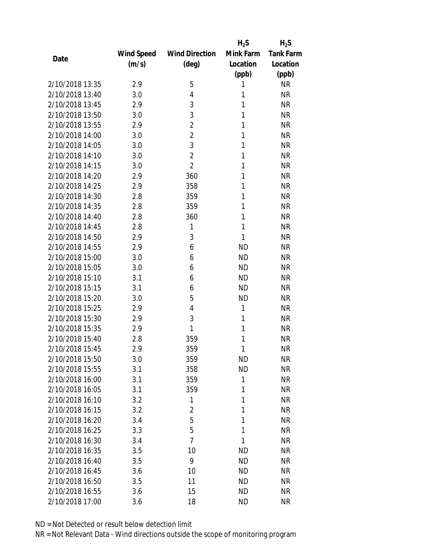|                 |            |                       | $H_2S$    | $H_2S$           |
|-----------------|------------|-----------------------|-----------|------------------|
|                 | Wind Speed | <b>Wind Direction</b> | Mink Farm | <b>Tank Farm</b> |
| Date            | (m/s)      | (deg)                 | Location  | Location         |
|                 |            |                       | (ppb)     | (ppb)            |
| 2/10/2018 13:35 | 2.9        | 5                     | 1         | <b>NR</b>        |
| 2/10/2018 13:40 | 3.0        | $\overline{4}$        | 1         | <b>NR</b>        |
| 2/10/2018 13:45 | 2.9        | 3                     | 1         | <b>NR</b>        |
| 2/10/2018 13:50 | 3.0        | 3                     | 1         | <b>NR</b>        |
| 2/10/2018 13:55 | 2.9        | $\overline{2}$        | 1         | <b>NR</b>        |
| 2/10/2018 14:00 | 3.0        | $\overline{2}$        | 1         | <b>NR</b>        |
| 2/10/2018 14:05 | 3.0        | 3                     | 1         | <b>NR</b>        |
| 2/10/2018 14:10 | 3.0        | $\overline{2}$        | 1         | <b>NR</b>        |
| 2/10/2018 14:15 | 3.0        | $\overline{2}$        | 1         | <b>NR</b>        |
| 2/10/2018 14:20 | 2.9        | 360                   | 1         | <b>NR</b>        |
| 2/10/2018 14:25 | 2.9        | 358                   | 1         | <b>NR</b>        |
| 2/10/2018 14:30 | 2.8        | 359                   | 1         | <b>NR</b>        |
| 2/10/2018 14:35 | 2.8        | 359                   | 1         | <b>NR</b>        |
| 2/10/2018 14:40 | 2.8        | 360                   | 1         | <b>NR</b>        |
| 2/10/2018 14:45 | 2.8        | 1                     | 1         | <b>NR</b>        |
| 2/10/2018 14:50 | 2.9        | 3                     | 1         | <b>NR</b>        |
| 2/10/2018 14:55 | 2.9        | 6                     | <b>ND</b> | <b>NR</b>        |
| 2/10/2018 15:00 | 3.0        | 6                     | <b>ND</b> | <b>NR</b>        |
| 2/10/2018 15:05 | 3.0        | 6                     | <b>ND</b> | <b>NR</b>        |
| 2/10/2018 15:10 | 3.1        | 6                     | <b>ND</b> | <b>NR</b>        |
| 2/10/2018 15:15 | 3.1        | 6                     | <b>ND</b> | <b>NR</b>        |
| 2/10/2018 15:20 | 3.0        | 5                     | <b>ND</b> | <b>NR</b>        |
| 2/10/2018 15:25 | 2.9        | $\overline{4}$        | 1         | <b>NR</b>        |
| 2/10/2018 15:30 | 2.9        | 3                     | 1         | <b>NR</b>        |
| 2/10/2018 15:35 | 2.9        | 1                     | 1         | <b>NR</b>        |
| 2/10/2018 15:40 | 2.8        | 359                   | 1         | <b>NR</b>        |
| 2/10/2018 15:45 | 2.9        | 359                   | 1         | <b>NR</b>        |
| 2/10/2018 15:50 | 3.0        | 359                   | ND        | <b>NR</b>        |
| 2/10/2018 15:55 | 3.1        | 358                   | <b>ND</b> | <b>NR</b>        |
| 2/10/2018 16:00 | 3.1        | 359                   | 1         | <b>NR</b>        |
| 2/10/2018 16:05 | 3.1        | 359                   | 1         | <b>NR</b>        |
| 2/10/2018 16:10 | 3.2        | 1                     | 1         | <b>NR</b>        |
| 2/10/2018 16:15 | 3.2        | 2                     | 1         | <b>NR</b>        |
| 2/10/2018 16:20 | 3.4        | 5                     | 1         | <b>NR</b>        |
| 2/10/2018 16:25 | 3.3        | 5                     | 1         | <b>NR</b>        |
| 2/10/2018 16:30 | 3.4        | $\overline{7}$        | 1         | <b>NR</b>        |
| 2/10/2018 16:35 | 3.5        | 10                    | ND        | <b>NR</b>        |
| 2/10/2018 16:40 | 3.5        | 9                     | ND        | ΝR               |
| 2/10/2018 16:45 | 3.6        | 10                    | <b>ND</b> | NR               |
| 2/10/2018 16:50 | 3.5        | 11                    | ND        | <b>NR</b>        |
| 2/10/2018 16:55 | 3.6        | 15                    | ND        | <b>NR</b>        |
| 2/10/2018 17:00 | 3.6        | 18                    | ND        | <b>NR</b>        |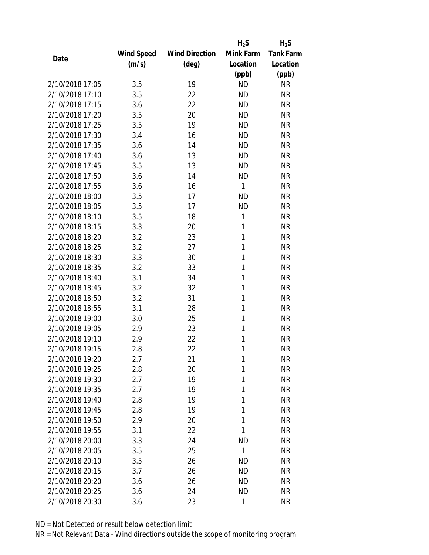|                 |                   |                       | $H_2S$    | $H_2S$           |
|-----------------|-------------------|-----------------------|-----------|------------------|
|                 | <b>Wind Speed</b> | <b>Wind Direction</b> | Mink Farm | <b>Tank Farm</b> |
| Date            | (m/s)             | $(\text{deg})$        | Location  | Location         |
|                 |                   |                       | (ppb)     | (ppb)            |
| 2/10/2018 17:05 | 3.5               | 19                    | <b>ND</b> | <b>NR</b>        |
| 2/10/2018 17:10 | 3.5               | 22                    | <b>ND</b> | <b>NR</b>        |
| 2/10/2018 17:15 | 3.6               | 22                    | <b>ND</b> | <b>NR</b>        |
| 2/10/2018 17:20 | 3.5               | 20                    | <b>ND</b> | <b>NR</b>        |
| 2/10/2018 17:25 | 3.5               | 19                    | <b>ND</b> | <b>NR</b>        |
| 2/10/2018 17:30 | 3.4               | 16                    | <b>ND</b> | <b>NR</b>        |
| 2/10/2018 17:35 | 3.6               | 14                    | <b>ND</b> | <b>NR</b>        |
| 2/10/2018 17:40 | 3.6               | 13                    | <b>ND</b> | <b>NR</b>        |
| 2/10/2018 17:45 | 3.5               | 13                    | <b>ND</b> | <b>NR</b>        |
| 2/10/2018 17:50 | 3.6               | 14                    | <b>ND</b> | <b>NR</b>        |
| 2/10/2018 17:55 | 3.6               | 16                    | 1         | <b>NR</b>        |
| 2/10/2018 18:00 | 3.5               | 17                    | <b>ND</b> | <b>NR</b>        |
| 2/10/2018 18:05 | 3.5               | 17                    | <b>ND</b> | <b>NR</b>        |
| 2/10/2018 18:10 | 3.5               | 18                    | 1         | <b>NR</b>        |
| 2/10/2018 18:15 | 3.3               | 20                    | 1         | <b>NR</b>        |
| 2/10/2018 18:20 | 3.2               | 23                    | 1         | <b>NR</b>        |
| 2/10/2018 18:25 | 3.2               | 27                    | 1         | <b>NR</b>        |
| 2/10/2018 18:30 | 3.3               | 30                    | 1         | <b>NR</b>        |
| 2/10/2018 18:35 | 3.2               | 33                    | 1         | <b>NR</b>        |
| 2/10/2018 18:40 | 3.1               | 34                    | 1         | <b>NR</b>        |
| 2/10/2018 18:45 | 3.2               | 32                    | 1         | <b>NR</b>        |
| 2/10/2018 18:50 | 3.2               | 31                    | 1         | <b>NR</b>        |
| 2/10/2018 18:55 | 3.1               | 28                    | 1         | <b>NR</b>        |
| 2/10/2018 19:00 | 3.0               | 25                    | 1         | <b>NR</b>        |
| 2/10/2018 19:05 | 2.9               | 23                    | 1         | <b>NR</b>        |
| 2/10/2018 19:10 | 2.9               | 22                    | 1         | <b>NR</b>        |
| 2/10/2018 19:15 | 2.8               | 22                    | 1         | <b>NR</b>        |
| 2/10/2018 19:20 | 2.7               | 21                    | 1         | <b>NR</b>        |
| 2/10/2018 19:25 | 2.8               | 20                    | 1         | <b>NR</b>        |
| 2/10/2018 19:30 | 2.7               | 19                    | 1         | <b>NR</b>        |
| 2/10/2018 19:35 | 2.7               | 19                    | 1         | <b>NR</b>        |
| 2/10/2018 19:40 | 2.8               | 19                    | 1         | <b>NR</b>        |
| 2/10/2018 19:45 | 2.8               | 19                    | 1         | <b>NR</b>        |
| 2/10/2018 19:50 | 2.9               | 20                    | 1         | <b>NR</b>        |
| 2/10/2018 19:55 | 3.1               | 22                    | 1         | <b>NR</b>        |
| 2/10/2018 20:00 | 3.3               | 24                    | <b>ND</b> | <b>NR</b>        |
| 2/10/2018 20:05 | 3.5               | 25                    | 1         | <b>NR</b>        |
| 2/10/2018 20:10 | 3.5               | 26                    | ND        | <b>NR</b>        |
| 2/10/2018 20:15 | 3.7               | 26                    | <b>ND</b> | <b>NR</b>        |
| 2/10/2018 20:20 | 3.6               | 26                    | ND        | <b>NR</b>        |
| 2/10/2018 20:25 | 3.6               | 24                    | <b>ND</b> | <b>NR</b>        |
| 2/10/2018 20:30 | 3.6               | 23                    | 1         | <b>NR</b>        |
|                 |                   |                       |           |                  |